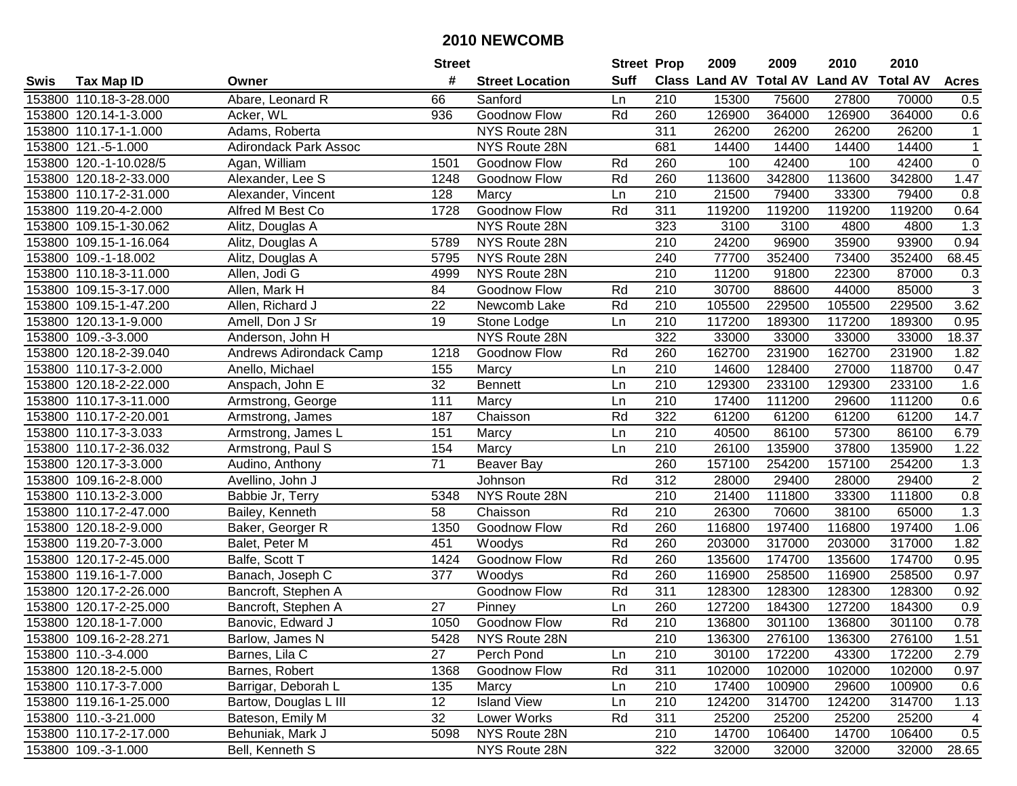|      |                        |                                | <b>Street</b>   |                        | <b>Street Prop</b> |                  | 2009                          | 2009   | 2010           | 2010            |                |
|------|------------------------|--------------------------------|-----------------|------------------------|--------------------|------------------|-------------------------------|--------|----------------|-----------------|----------------|
| Swis | <b>Tax Map ID</b>      | Owner                          | #               | <b>Street Location</b> | <b>Suff</b>        |                  | <b>Class Land AV Total AV</b> |        | <b>Land AV</b> | <b>Total AV</b> | <b>Acres</b>   |
|      | 153800 110.18-3-28.000 | Abare, Leonard R               | 66              | Sanford                | Ln                 | 210              | 15300                         | 75600  | 27800          | 70000           | 0.5            |
|      | 153800 120.14-1-3.000  | Acker, WL                      | 936             | Goodnow Flow           | Rd                 | 260              | 126900                        | 364000 | 126900         | 364000          | 0.6            |
|      | 153800 110.17-1-1.000  | Adams, Roberta                 |                 | NYS Route 28N          |                    | 311              | 26200                         | 26200  | 26200          | 26200           | $\mathbf{1}$   |
|      | 153800 121.-5-1.000    | <b>Adirondack Park Assoc</b>   |                 | NYS Route 28N          |                    | 681              | 14400                         | 14400  | 14400          | 14400           | $\mathbf{1}$   |
|      | 153800 120.-1-10.028/5 | Agan, William                  | 1501            | Goodnow Flow           | Rd                 | 260              | 100                           | 42400  | 100            | 42400           | $\overline{0}$ |
|      | 153800 120.18-2-33.000 | Alexander, Lee S               | 1248            | Goodnow Flow           | Rd                 | 260              | 113600                        | 342800 | 113600         | 342800          | 1.47           |
|      | 153800 110.17-2-31.000 | Alexander, Vincent             | 128             | Marcy                  | Ln                 | 210              | 21500                         | 79400  | 33300          | 79400           | 0.8            |
|      | 153800 119.20-4-2.000  | Alfred M Best Co               | 1728            | Goodnow Flow           | Rd                 | 311              | 119200                        | 119200 | 119200         | 119200          | 0.64           |
|      | 153800 109.15-1-30.062 | Alitz, Douglas A               |                 | NYS Route 28N          |                    | 323              | 3100                          | 3100   | 4800           | 4800            | 1.3            |
|      | 153800 109.15-1-16.064 | Alitz, Douglas A               | 5789            | NYS Route 28N          |                    | 210              | 24200                         | 96900  | 35900          | 93900           | 0.94           |
|      | 153800 109.-1-18.002   | Alitz, Douglas A               | 5795            | NYS Route 28N          |                    | 240              | 77700                         | 352400 | 73400          | 352400          | 68.45          |
|      | 153800 110.18-3-11.000 | Allen, Jodi G                  | 4999            | NYS Route 28N          |                    | 210              | 11200                         | 91800  | 22300          | 87000           | 0.3            |
|      | 153800 109.15-3-17.000 | Allen, Mark H                  | 84              | Goodnow Flow           | Rd                 | 210              | 30700                         | 88600  | 44000          | 85000           | $\overline{3}$ |
|      | 153800 109.15-1-47.200 | Allen, Richard J               | $\overline{22}$ | Newcomb Lake           | Rd                 | $\overline{210}$ | 105500                        | 229500 | 105500         | 229500          | 3.62           |
|      | 153800 120.13-1-9.000  | Amell, Don J Sr                | 19              | Stone Lodge            | Ln                 | $\overline{210}$ | 117200                        | 189300 | 117200         | 189300          | 0.95           |
|      | 153800 109.-3-3.000    | Anderson, John H               |                 | NYS Route 28N          |                    | 322              | 33000                         | 33000  | 33000          | 33000           | 18.37          |
|      | 153800 120.18-2-39.040 | <b>Andrews Adirondack Camp</b> | 1218            | Goodnow Flow           | Rd                 | 260              | 162700                        | 231900 | 162700         | 231900          | 1.82           |
|      | 153800 110.17-3-2.000  | Anello, Michael                | 155             | Marcy                  | Ln                 | $\overline{210}$ | 14600                         | 128400 | 27000          | 118700          | 0.47           |
|      | 153800 120.18-2-22.000 | Anspach, John E                | $\overline{32}$ | <b>Bennett</b>         | Ln                 | $\overline{210}$ | 129300                        | 233100 | 129300         | 233100          | 1.6            |
|      | 153800 110.17-3-11.000 | Armstrong, George              | 111             | Marcy                  | Ln                 | 210              | 17400                         | 111200 | 29600          | 111200          | 0.6            |
|      | 153800 110.17-2-20.001 | Armstrong, James               | 187             | Chaisson               | Rd                 | 322              | 61200                         | 61200  | 61200          | 61200           | 14.7           |
|      | 153800 110.17-3-3.033  | Armstrong, James L             | 151             | Marcy                  | Ln                 | 210              | 40500                         | 86100  | 57300          | 86100           | 6.79           |
|      | 153800 110.17-2-36.032 | Armstrong, Paul S              | 154             | Marcy                  | Ln                 | 210              | 26100                         | 135900 | 37800          | 135900          | 1.22           |
|      | 153800 120.17-3-3.000  | Audino, Anthony                | 71              | Beaver Bay             |                    | 260              | 157100                        | 254200 | 157100         | 254200          | 1.3            |
|      | 153800 109.16-2-8.000  | Avellino, John J               |                 | Johnson                | Rd                 | 312              | 28000                         | 29400  | 28000          | 29400           | $\sqrt{2}$     |
|      | 153800 110.13-2-3.000  | Babbie Jr, Terry               | 5348            | NYS Route 28N          |                    | $\overline{210}$ | 21400                         | 111800 | 33300          | 111800          | 0.8            |
|      | 153800 110.17-2-47.000 | Bailey, Kenneth                | 58              | Chaisson               | Rd                 | 210              | 26300                         | 70600  | 38100          | 65000           | 1.3            |
|      | 153800 120.18-2-9.000  | Baker, Georger R               | 1350            | Goodnow Flow           | Rd                 | 260              | 116800                        | 197400 | 116800         | 197400          | 1.06           |
|      | 153800 119.20-7-3.000  | Balet, Peter M                 | 451             | Woodys                 | Rd                 | 260              | 203000                        | 317000 | 203000         | 317000          | 1.82           |
|      | 153800 120.17-2-45.000 | Balfe, Scott T                 | 1424            | <b>Goodnow Flow</b>    | Rd                 | 260              | 135600                        | 174700 | 135600         | 174700          | 0.95           |
|      | 153800 119.16-1-7.000  | Banach, Joseph C               | 377             | Woodys                 | Rd                 | 260              | 116900                        | 258500 | 116900         | 258500          | 0.97           |
|      | 153800 120.17-2-26.000 | Bancroft, Stephen A            |                 | Goodnow Flow           | Rd                 | 311              | 128300                        | 128300 | 128300         | 128300          | 0.92           |
|      | 153800 120.17-2-25.000 | Bancroft, Stephen A            | 27              | Pinney                 | Ln                 | 260              | 127200                        | 184300 | 127200         | 184300          | 0.9            |
|      | 153800 120.18-1-7.000  | Banovic, Edward J              | 1050            | Goodnow Flow           | Rd                 | $\overline{210}$ | 136800                        | 301100 | 136800         | 301100          | 0.78           |
|      | 153800 109.16-2-28.271 | Barlow, James N                | 5428            | NYS Route 28N          |                    | 210              | 136300                        | 276100 | 136300         | 276100          | 1.51           |
|      | 153800 110.-3-4.000    | Barnes, Lila C                 | 27              | Perch Pond             | Ln                 | 210              | 30100                         | 172200 | 43300          | 172200          | 2.79           |
|      | 153800 120.18-2-5.000  | Barnes, Robert                 | 1368            | Goodnow Flow           | Rd                 | 311              | 102000                        | 102000 | 102000         | 102000          | 0.97           |
|      | 153800 110.17-3-7.000  | Barrigar, Deborah L            | 135             | Marcy                  | Ln                 | 210              | 17400                         | 100900 | 29600          | 100900          | 0.6            |
|      | 153800 119.16-1-25.000 | Bartow, Douglas L III          | 12 <sup>2</sup> | <b>Island View</b>     | Ln                 | 210              | 124200                        | 314700 | 124200         | 314700          | 1.13           |
|      | 153800 110.-3-21.000   | Bateson, Emily M               | 32              | Lower Works            | Rd                 | 311              | 25200                         | 25200  | 25200          | 25200           | 4              |
|      | 153800 110.17-2-17.000 | Behuniak, Mark J               | 5098            | NYS Route 28N          |                    | 210              | 14700                         | 106400 | 14700          | 106400          | 0.5            |
|      | 153800 109.-3-1.000    | Bell, Kenneth S                |                 | NYS Route 28N          |                    | 322              | 32000                         | 32000  | 32000          | 32000           | 28.65          |
|      |                        |                                |                 |                        |                    |                  |                               |        |                |                 |                |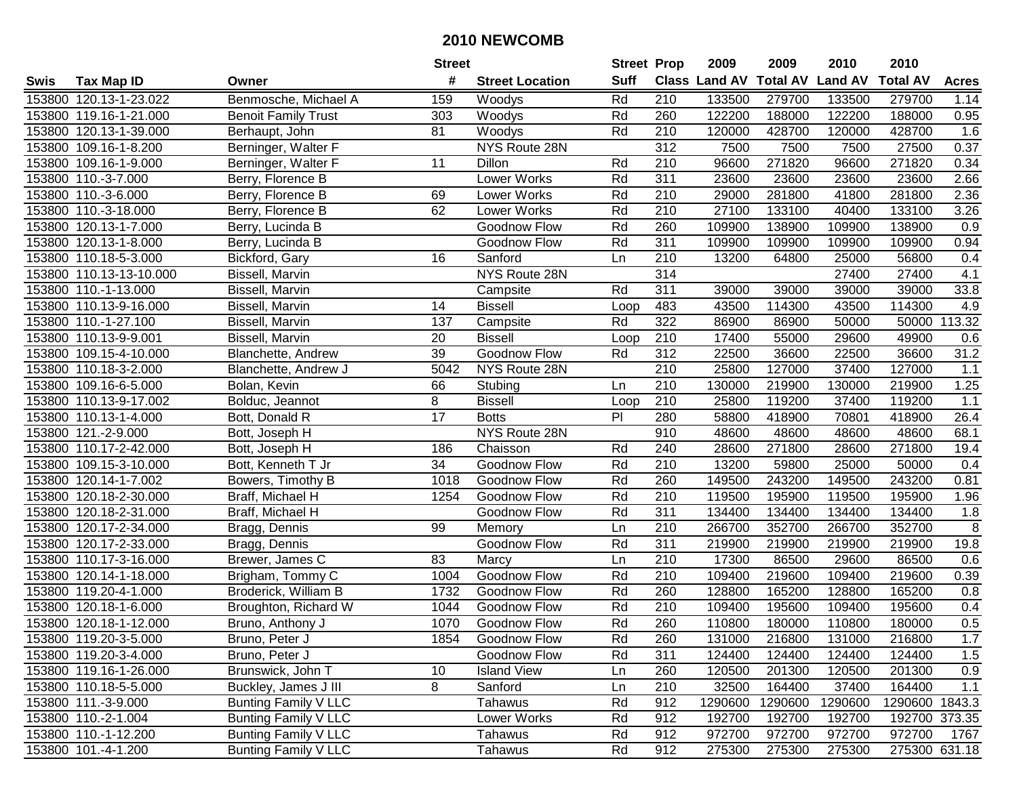| #<br><b>Suff</b><br><b>Total AV</b><br>Class Land AV<br><b>Land AV</b><br><b>Total AV</b><br><b>Tax Map ID</b><br><b>Street Location</b><br><b>Acres</b><br>Swis<br>Owner<br>153800 120.13-1-23.022<br>Benmosche, Michael A<br>159<br>Rd<br>210<br>133500<br>279700<br>133500<br>279700<br>1.14<br>Woodys<br>Rd<br>260<br>122200<br>188000<br>122200<br>188000<br>0.95<br>153800 119.16-1-21.000<br><b>Benoit Family Trust</b><br>303<br>Woodys<br>153800 120.13-1-39.000<br>81<br>Woodys<br>Rd<br>210<br>120000<br>428700<br>120000<br>428700<br>1.6<br>Berhaupt, John<br>0.37<br>NYS Route 28N<br>312<br>7500<br>7500<br>153800 109.16-1-8.200<br>Berninger, Walter F<br>7500<br>27500<br>271820<br>0.34<br>153800 109.16-1-9.000<br>Berninger, Walter F<br>11<br>Rd<br>210<br>96600<br>271820<br>96600<br>Dillon<br><b>Lower Works</b><br>Rd<br>311<br>2.66<br>153800 110.-3-7.000<br>Berry, Florence B<br>23600<br>23600<br>23600<br>23600<br>Lower Works<br>Rd<br>210<br>29000<br>281800<br>281800<br>2.36<br>153800 110.-3-6.000<br>Berry, Florence B<br>69<br>41800<br>3.26<br>62<br>Rd<br>$\overline{210}$<br>27100<br>133100<br>133100<br>153800 110.-3-18.000<br>Berry, Florence B<br>Lower Works<br>40400<br>Rd<br>260<br>$\overline{0.9}$<br>153800 120.13-1-7.000<br>Berry, Lucinda B<br>Goodnow Flow<br>109900<br>138900<br>109900<br>138900<br>311<br>153800 120.13-1-8.000<br>Berry, Lucinda B<br>Goodnow Flow<br>Rd<br>109900<br>109900<br>109900<br>109900<br>0.94<br>153800 110.18-5-3.000<br>Bickford, Gary<br>16<br>210<br>13200<br>25000<br>56800<br>Sanford<br>Ln<br>64800<br>0.4<br>314<br>153800 110.13-13-10.000<br>Bissell, Marvin<br>NYS Route 28N<br>27400<br>27400<br>4.1<br>$\overline{311}$<br>39000<br>39000<br>33.8<br>153800 110.-1-13.000<br>Rd<br>39000<br>39000<br>Bissell, Marvin<br>Campsite<br>483<br>43500<br>114300<br>43500<br>114300<br>4.9<br>153800 110.13-9-16.000<br>Bissell, Marvin<br>14<br><b>Bissell</b><br>Loop<br>322<br>113.32<br>153800 110.-1-27.100<br>137<br>Rd<br>86900<br>50000<br>50000<br>Bissell, Marvin<br>Campsite<br>86900<br>20<br>210<br>17400<br>55000<br>29600<br>49900<br>153800 110.13-9-9.001<br><b>Bissell</b><br>0.6<br>Bissell, Marvin<br>Loop<br>39<br>31.2<br>312<br>36600<br>Goodnow Flow<br>Rd<br>22500<br>36600<br>22500<br>153800 109.15-4-10.000<br>Blanchette, Andrew<br>210<br>5042<br>NYS Route 28N<br>25800<br>127000<br>37400<br>127000<br>1.1<br>153800 110.18-3-2.000<br>Blanchette, Andrew J<br>210<br>1.25<br>153800 109.16-6-5.000<br>66<br>130000<br>219900<br>130000<br>219900<br>Bolan, Kevin<br>Stubing<br>Ln<br>8<br><b>Bissell</b><br>210<br>25800<br>119200<br>37400<br>119200<br>1.1<br>153800 110.13-9-17.002<br>Bolduc, Jeannot<br>Loop<br>$\overline{17}$<br>PI<br>280<br>58800<br>418900<br>70801<br>418900<br>26.4<br>153800 110.13-1-4.000<br><b>Botts</b><br>Bott, Donald R<br>153800 121.-2-9.000<br>NYS Route 28N<br>910<br>48600<br>48600<br>48600<br>48600<br>68.1<br>Bott, Joseph H<br>153800 110.17-2-42.000<br>186<br>Chaisson<br>Rd<br>240<br>28600<br>271800<br>28600<br>271800<br>19.4<br>Bott, Joseph H<br>153800 109.15-3-10.000<br>34<br>Rd<br>210<br>13200<br>59800<br>25000<br>50000<br>Bott, Kenneth T Jr<br>Goodnow Flow<br>0.4 |
|----------------------------------------------------------------------------------------------------------------------------------------------------------------------------------------------------------------------------------------------------------------------------------------------------------------------------------------------------------------------------------------------------------------------------------------------------------------------------------------------------------------------------------------------------------------------------------------------------------------------------------------------------------------------------------------------------------------------------------------------------------------------------------------------------------------------------------------------------------------------------------------------------------------------------------------------------------------------------------------------------------------------------------------------------------------------------------------------------------------------------------------------------------------------------------------------------------------------------------------------------------------------------------------------------------------------------------------------------------------------------------------------------------------------------------------------------------------------------------------------------------------------------------------------------------------------------------------------------------------------------------------------------------------------------------------------------------------------------------------------------------------------------------------------------------------------------------------------------------------------------------------------------------------------------------------------------------------------------------------------------------------------------------------------------------------------------------------------------------------------------------------------------------------------------------------------------------------------------------------------------------------------------------------------------------------------------------------------------------------------------------------------------------------------------------------------------------------------------------------------------------------------------------------------------------------------------------------------------------------------------------------------------------------------------------------------------------------------------------------------------------------------------------------------------------------------------------------------------------------------------------------------------------------------------------------------------------------------------------------------------------------------------------------------------------------------------------------------------------------------------------------------------------------------------------------------------------------------------------------------------------------|
|                                                                                                                                                                                                                                                                                                                                                                                                                                                                                                                                                                                                                                                                                                                                                                                                                                                                                                                                                                                                                                                                                                                                                                                                                                                                                                                                                                                                                                                                                                                                                                                                                                                                                                                                                                                                                                                                                                                                                                                                                                                                                                                                                                                                                                                                                                                                                                                                                                                                                                                                                                                                                                                                                                                                                                                                                                                                                                                                                                                                                                                                                                                                                                                                                                                                |
|                                                                                                                                                                                                                                                                                                                                                                                                                                                                                                                                                                                                                                                                                                                                                                                                                                                                                                                                                                                                                                                                                                                                                                                                                                                                                                                                                                                                                                                                                                                                                                                                                                                                                                                                                                                                                                                                                                                                                                                                                                                                                                                                                                                                                                                                                                                                                                                                                                                                                                                                                                                                                                                                                                                                                                                                                                                                                                                                                                                                                                                                                                                                                                                                                                                                |
|                                                                                                                                                                                                                                                                                                                                                                                                                                                                                                                                                                                                                                                                                                                                                                                                                                                                                                                                                                                                                                                                                                                                                                                                                                                                                                                                                                                                                                                                                                                                                                                                                                                                                                                                                                                                                                                                                                                                                                                                                                                                                                                                                                                                                                                                                                                                                                                                                                                                                                                                                                                                                                                                                                                                                                                                                                                                                                                                                                                                                                                                                                                                                                                                                                                                |
|                                                                                                                                                                                                                                                                                                                                                                                                                                                                                                                                                                                                                                                                                                                                                                                                                                                                                                                                                                                                                                                                                                                                                                                                                                                                                                                                                                                                                                                                                                                                                                                                                                                                                                                                                                                                                                                                                                                                                                                                                                                                                                                                                                                                                                                                                                                                                                                                                                                                                                                                                                                                                                                                                                                                                                                                                                                                                                                                                                                                                                                                                                                                                                                                                                                                |
|                                                                                                                                                                                                                                                                                                                                                                                                                                                                                                                                                                                                                                                                                                                                                                                                                                                                                                                                                                                                                                                                                                                                                                                                                                                                                                                                                                                                                                                                                                                                                                                                                                                                                                                                                                                                                                                                                                                                                                                                                                                                                                                                                                                                                                                                                                                                                                                                                                                                                                                                                                                                                                                                                                                                                                                                                                                                                                                                                                                                                                                                                                                                                                                                                                                                |
|                                                                                                                                                                                                                                                                                                                                                                                                                                                                                                                                                                                                                                                                                                                                                                                                                                                                                                                                                                                                                                                                                                                                                                                                                                                                                                                                                                                                                                                                                                                                                                                                                                                                                                                                                                                                                                                                                                                                                                                                                                                                                                                                                                                                                                                                                                                                                                                                                                                                                                                                                                                                                                                                                                                                                                                                                                                                                                                                                                                                                                                                                                                                                                                                                                                                |
|                                                                                                                                                                                                                                                                                                                                                                                                                                                                                                                                                                                                                                                                                                                                                                                                                                                                                                                                                                                                                                                                                                                                                                                                                                                                                                                                                                                                                                                                                                                                                                                                                                                                                                                                                                                                                                                                                                                                                                                                                                                                                                                                                                                                                                                                                                                                                                                                                                                                                                                                                                                                                                                                                                                                                                                                                                                                                                                                                                                                                                                                                                                                                                                                                                                                |
|                                                                                                                                                                                                                                                                                                                                                                                                                                                                                                                                                                                                                                                                                                                                                                                                                                                                                                                                                                                                                                                                                                                                                                                                                                                                                                                                                                                                                                                                                                                                                                                                                                                                                                                                                                                                                                                                                                                                                                                                                                                                                                                                                                                                                                                                                                                                                                                                                                                                                                                                                                                                                                                                                                                                                                                                                                                                                                                                                                                                                                                                                                                                                                                                                                                                |
|                                                                                                                                                                                                                                                                                                                                                                                                                                                                                                                                                                                                                                                                                                                                                                                                                                                                                                                                                                                                                                                                                                                                                                                                                                                                                                                                                                                                                                                                                                                                                                                                                                                                                                                                                                                                                                                                                                                                                                                                                                                                                                                                                                                                                                                                                                                                                                                                                                                                                                                                                                                                                                                                                                                                                                                                                                                                                                                                                                                                                                                                                                                                                                                                                                                                |
|                                                                                                                                                                                                                                                                                                                                                                                                                                                                                                                                                                                                                                                                                                                                                                                                                                                                                                                                                                                                                                                                                                                                                                                                                                                                                                                                                                                                                                                                                                                                                                                                                                                                                                                                                                                                                                                                                                                                                                                                                                                                                                                                                                                                                                                                                                                                                                                                                                                                                                                                                                                                                                                                                                                                                                                                                                                                                                                                                                                                                                                                                                                                                                                                                                                                |
|                                                                                                                                                                                                                                                                                                                                                                                                                                                                                                                                                                                                                                                                                                                                                                                                                                                                                                                                                                                                                                                                                                                                                                                                                                                                                                                                                                                                                                                                                                                                                                                                                                                                                                                                                                                                                                                                                                                                                                                                                                                                                                                                                                                                                                                                                                                                                                                                                                                                                                                                                                                                                                                                                                                                                                                                                                                                                                                                                                                                                                                                                                                                                                                                                                                                |
|                                                                                                                                                                                                                                                                                                                                                                                                                                                                                                                                                                                                                                                                                                                                                                                                                                                                                                                                                                                                                                                                                                                                                                                                                                                                                                                                                                                                                                                                                                                                                                                                                                                                                                                                                                                                                                                                                                                                                                                                                                                                                                                                                                                                                                                                                                                                                                                                                                                                                                                                                                                                                                                                                                                                                                                                                                                                                                                                                                                                                                                                                                                                                                                                                                                                |
|                                                                                                                                                                                                                                                                                                                                                                                                                                                                                                                                                                                                                                                                                                                                                                                                                                                                                                                                                                                                                                                                                                                                                                                                                                                                                                                                                                                                                                                                                                                                                                                                                                                                                                                                                                                                                                                                                                                                                                                                                                                                                                                                                                                                                                                                                                                                                                                                                                                                                                                                                                                                                                                                                                                                                                                                                                                                                                                                                                                                                                                                                                                                                                                                                                                                |
|                                                                                                                                                                                                                                                                                                                                                                                                                                                                                                                                                                                                                                                                                                                                                                                                                                                                                                                                                                                                                                                                                                                                                                                                                                                                                                                                                                                                                                                                                                                                                                                                                                                                                                                                                                                                                                                                                                                                                                                                                                                                                                                                                                                                                                                                                                                                                                                                                                                                                                                                                                                                                                                                                                                                                                                                                                                                                                                                                                                                                                                                                                                                                                                                                                                                |
|                                                                                                                                                                                                                                                                                                                                                                                                                                                                                                                                                                                                                                                                                                                                                                                                                                                                                                                                                                                                                                                                                                                                                                                                                                                                                                                                                                                                                                                                                                                                                                                                                                                                                                                                                                                                                                                                                                                                                                                                                                                                                                                                                                                                                                                                                                                                                                                                                                                                                                                                                                                                                                                                                                                                                                                                                                                                                                                                                                                                                                                                                                                                                                                                                                                                |
|                                                                                                                                                                                                                                                                                                                                                                                                                                                                                                                                                                                                                                                                                                                                                                                                                                                                                                                                                                                                                                                                                                                                                                                                                                                                                                                                                                                                                                                                                                                                                                                                                                                                                                                                                                                                                                                                                                                                                                                                                                                                                                                                                                                                                                                                                                                                                                                                                                                                                                                                                                                                                                                                                                                                                                                                                                                                                                                                                                                                                                                                                                                                                                                                                                                                |
|                                                                                                                                                                                                                                                                                                                                                                                                                                                                                                                                                                                                                                                                                                                                                                                                                                                                                                                                                                                                                                                                                                                                                                                                                                                                                                                                                                                                                                                                                                                                                                                                                                                                                                                                                                                                                                                                                                                                                                                                                                                                                                                                                                                                                                                                                                                                                                                                                                                                                                                                                                                                                                                                                                                                                                                                                                                                                                                                                                                                                                                                                                                                                                                                                                                                |
|                                                                                                                                                                                                                                                                                                                                                                                                                                                                                                                                                                                                                                                                                                                                                                                                                                                                                                                                                                                                                                                                                                                                                                                                                                                                                                                                                                                                                                                                                                                                                                                                                                                                                                                                                                                                                                                                                                                                                                                                                                                                                                                                                                                                                                                                                                                                                                                                                                                                                                                                                                                                                                                                                                                                                                                                                                                                                                                                                                                                                                                                                                                                                                                                                                                                |
|                                                                                                                                                                                                                                                                                                                                                                                                                                                                                                                                                                                                                                                                                                                                                                                                                                                                                                                                                                                                                                                                                                                                                                                                                                                                                                                                                                                                                                                                                                                                                                                                                                                                                                                                                                                                                                                                                                                                                                                                                                                                                                                                                                                                                                                                                                                                                                                                                                                                                                                                                                                                                                                                                                                                                                                                                                                                                                                                                                                                                                                                                                                                                                                                                                                                |
|                                                                                                                                                                                                                                                                                                                                                                                                                                                                                                                                                                                                                                                                                                                                                                                                                                                                                                                                                                                                                                                                                                                                                                                                                                                                                                                                                                                                                                                                                                                                                                                                                                                                                                                                                                                                                                                                                                                                                                                                                                                                                                                                                                                                                                                                                                                                                                                                                                                                                                                                                                                                                                                                                                                                                                                                                                                                                                                                                                                                                                                                                                                                                                                                                                                                |
|                                                                                                                                                                                                                                                                                                                                                                                                                                                                                                                                                                                                                                                                                                                                                                                                                                                                                                                                                                                                                                                                                                                                                                                                                                                                                                                                                                                                                                                                                                                                                                                                                                                                                                                                                                                                                                                                                                                                                                                                                                                                                                                                                                                                                                                                                                                                                                                                                                                                                                                                                                                                                                                                                                                                                                                                                                                                                                                                                                                                                                                                                                                                                                                                                                                                |
|                                                                                                                                                                                                                                                                                                                                                                                                                                                                                                                                                                                                                                                                                                                                                                                                                                                                                                                                                                                                                                                                                                                                                                                                                                                                                                                                                                                                                                                                                                                                                                                                                                                                                                                                                                                                                                                                                                                                                                                                                                                                                                                                                                                                                                                                                                                                                                                                                                                                                                                                                                                                                                                                                                                                                                                                                                                                                                                                                                                                                                                                                                                                                                                                                                                                |
|                                                                                                                                                                                                                                                                                                                                                                                                                                                                                                                                                                                                                                                                                                                                                                                                                                                                                                                                                                                                                                                                                                                                                                                                                                                                                                                                                                                                                                                                                                                                                                                                                                                                                                                                                                                                                                                                                                                                                                                                                                                                                                                                                                                                                                                                                                                                                                                                                                                                                                                                                                                                                                                                                                                                                                                                                                                                                                                                                                                                                                                                                                                                                                                                                                                                |
|                                                                                                                                                                                                                                                                                                                                                                                                                                                                                                                                                                                                                                                                                                                                                                                                                                                                                                                                                                                                                                                                                                                                                                                                                                                                                                                                                                                                                                                                                                                                                                                                                                                                                                                                                                                                                                                                                                                                                                                                                                                                                                                                                                                                                                                                                                                                                                                                                                                                                                                                                                                                                                                                                                                                                                                                                                                                                                                                                                                                                                                                                                                                                                                                                                                                |
|                                                                                                                                                                                                                                                                                                                                                                                                                                                                                                                                                                                                                                                                                                                                                                                                                                                                                                                                                                                                                                                                                                                                                                                                                                                                                                                                                                                                                                                                                                                                                                                                                                                                                                                                                                                                                                                                                                                                                                                                                                                                                                                                                                                                                                                                                                                                                                                                                                                                                                                                                                                                                                                                                                                                                                                                                                                                                                                                                                                                                                                                                                                                                                                                                                                                |
| Rd<br>260<br>243200<br>243200<br>153800 120.14-1-7.002<br>1018<br>149500<br>149500<br>0.81<br>Bowers, Timothy B<br>Goodnow Flow                                                                                                                                                                                                                                                                                                                                                                                                                                                                                                                                                                                                                                                                                                                                                                                                                                                                                                                                                                                                                                                                                                                                                                                                                                                                                                                                                                                                                                                                                                                                                                                                                                                                                                                                                                                                                                                                                                                                                                                                                                                                                                                                                                                                                                                                                                                                                                                                                                                                                                                                                                                                                                                                                                                                                                                                                                                                                                                                                                                                                                                                                                                                |
| Rd<br>210<br>195900<br>153800 120.18-2-30.000<br>Braff, Michael H<br>1254<br>Goodnow Flow<br>119500<br>119500<br>195900<br>1.96                                                                                                                                                                                                                                                                                                                                                                                                                                                                                                                                                                                                                                                                                                                                                                                                                                                                                                                                                                                                                                                                                                                                                                                                                                                                                                                                                                                                                                                                                                                                                                                                                                                                                                                                                                                                                                                                                                                                                                                                                                                                                                                                                                                                                                                                                                                                                                                                                                                                                                                                                                                                                                                                                                                                                                                                                                                                                                                                                                                                                                                                                                                                |
| 311<br>134400<br>153800 120.18-2-31.000<br>Braff, Michael H<br>Rd<br>134400<br>134400<br>134400<br>1.8<br>Goodnow Flow                                                                                                                                                                                                                                                                                                                                                                                                                                                                                                                                                                                                                                                                                                                                                                                                                                                                                                                                                                                                                                                                                                                                                                                                                                                                                                                                                                                                                                                                                                                                                                                                                                                                                                                                                                                                                                                                                                                                                                                                                                                                                                                                                                                                                                                                                                                                                                                                                                                                                                                                                                                                                                                                                                                                                                                                                                                                                                                                                                                                                                                                                                                                         |
| 210<br>352700<br>8<br>153800 120.17-2-34.000<br>99<br>266700<br>266700<br>352700<br>Bragg, Dennis<br>Ln<br>Memory                                                                                                                                                                                                                                                                                                                                                                                                                                                                                                                                                                                                                                                                                                                                                                                                                                                                                                                                                                                                                                                                                                                                                                                                                                                                                                                                                                                                                                                                                                                                                                                                                                                                                                                                                                                                                                                                                                                                                                                                                                                                                                                                                                                                                                                                                                                                                                                                                                                                                                                                                                                                                                                                                                                                                                                                                                                                                                                                                                                                                                                                                                                                              |
| 311<br>Goodnow Flow<br>Rd<br>219900<br>219900<br>219900<br>19.8<br>153800 120.17-2-33.000<br>219900<br>Bragg, Dennis                                                                                                                                                                                                                                                                                                                                                                                                                                                                                                                                                                                                                                                                                                                                                                                                                                                                                                                                                                                                                                                                                                                                                                                                                                                                                                                                                                                                                                                                                                                                                                                                                                                                                                                                                                                                                                                                                                                                                                                                                                                                                                                                                                                                                                                                                                                                                                                                                                                                                                                                                                                                                                                                                                                                                                                                                                                                                                                                                                                                                                                                                                                                           |
| $\overline{210}$<br>86500<br>153800 110.17-3-16.000<br>83<br>17300<br>86500<br>29600<br>0.6<br>Brewer, James C<br>Marcy<br>Ln                                                                                                                                                                                                                                                                                                                                                                                                                                                                                                                                                                                                                                                                                                                                                                                                                                                                                                                                                                                                                                                                                                                                                                                                                                                                                                                                                                                                                                                                                                                                                                                                                                                                                                                                                                                                                                                                                                                                                                                                                                                                                                                                                                                                                                                                                                                                                                                                                                                                                                                                                                                                                                                                                                                                                                                                                                                                                                                                                                                                                                                                                                                                  |
| <b>Goodnow Flow</b><br>Rd<br>$\overline{210}$<br>219600<br>153800 120.14-1-18.000<br>1004<br>109400<br>109400<br>219600<br>0.39<br>Brigham, Tommy C                                                                                                                                                                                                                                                                                                                                                                                                                                                                                                                                                                                                                                                                                                                                                                                                                                                                                                                                                                                                                                                                                                                                                                                                                                                                                                                                                                                                                                                                                                                                                                                                                                                                                                                                                                                                                                                                                                                                                                                                                                                                                                                                                                                                                                                                                                                                                                                                                                                                                                                                                                                                                                                                                                                                                                                                                                                                                                                                                                                                                                                                                                            |
| 153800 119.20-4-1.000<br>Rd<br>260<br>165200<br>165200<br>1732<br>Goodnow Flow<br>128800<br>128800<br>0.8<br>Broderick, William B                                                                                                                                                                                                                                                                                                                                                                                                                                                                                                                                                                                                                                                                                                                                                                                                                                                                                                                                                                                                                                                                                                                                                                                                                                                                                                                                                                                                                                                                                                                                                                                                                                                                                                                                                                                                                                                                                                                                                                                                                                                                                                                                                                                                                                                                                                                                                                                                                                                                                                                                                                                                                                                                                                                                                                                                                                                                                                                                                                                                                                                                                                                              |
| Rd<br>$\overline{210}$<br>153800 120.18-1-6.000<br>Goodnow Flow<br>109400<br>195600<br>109400<br>195600<br>0.4<br>Broughton, Richard W<br>1044                                                                                                                                                                                                                                                                                                                                                                                                                                                                                                                                                                                                                                                                                                                                                                                                                                                                                                                                                                                                                                                                                                                                                                                                                                                                                                                                                                                                                                                                                                                                                                                                                                                                                                                                                                                                                                                                                                                                                                                                                                                                                                                                                                                                                                                                                                                                                                                                                                                                                                                                                                                                                                                                                                                                                                                                                                                                                                                                                                                                                                                                                                                 |
| Rd<br>260<br>0.5<br>180000<br>110800<br>153800 120.18-1-12.000<br>1070<br>Goodnow Flow<br>110800<br>180000<br>Bruno, Anthony J                                                                                                                                                                                                                                                                                                                                                                                                                                                                                                                                                                                                                                                                                                                                                                                                                                                                                                                                                                                                                                                                                                                                                                                                                                                                                                                                                                                                                                                                                                                                                                                                                                                                                                                                                                                                                                                                                                                                                                                                                                                                                                                                                                                                                                                                                                                                                                                                                                                                                                                                                                                                                                                                                                                                                                                                                                                                                                                                                                                                                                                                                                                                 |
| 153800 119.20-3-5.000<br>Bruno, Peter J<br>1854<br>Goodnow Flow<br>Rd<br>260<br>131000<br>216800<br>131000<br>216800<br>1.7                                                                                                                                                                                                                                                                                                                                                                                                                                                                                                                                                                                                                                                                                                                                                                                                                                                                                                                                                                                                                                                                                                                                                                                                                                                                                                                                                                                                                                                                                                                                                                                                                                                                                                                                                                                                                                                                                                                                                                                                                                                                                                                                                                                                                                                                                                                                                                                                                                                                                                                                                                                                                                                                                                                                                                                                                                                                                                                                                                                                                                                                                                                                    |
| 1.5<br>153800 119.20-3-4.000<br>Bruno, Peter J<br>Goodnow Flow<br>Rd<br>311<br>124400<br>124400<br>124400<br>124400                                                                                                                                                                                                                                                                                                                                                                                                                                                                                                                                                                                                                                                                                                                                                                                                                                                                                                                                                                                                                                                                                                                                                                                                                                                                                                                                                                                                                                                                                                                                                                                                                                                                                                                                                                                                                                                                                                                                                                                                                                                                                                                                                                                                                                                                                                                                                                                                                                                                                                                                                                                                                                                                                                                                                                                                                                                                                                                                                                                                                                                                                                                                            |
| 120500<br>201300<br>201300<br>0.9<br>153800 119.16-1-26.000<br>Brunswick, John T<br>10<br><b>Island View</b><br>260<br>120500<br>Ln                                                                                                                                                                                                                                                                                                                                                                                                                                                                                                                                                                                                                                                                                                                                                                                                                                                                                                                                                                                                                                                                                                                                                                                                                                                                                                                                                                                                                                                                                                                                                                                                                                                                                                                                                                                                                                                                                                                                                                                                                                                                                                                                                                                                                                                                                                                                                                                                                                                                                                                                                                                                                                                                                                                                                                                                                                                                                                                                                                                                                                                                                                                            |
| 8<br>$1.1$<br>Buckley, James J III<br>210<br>32500<br>164400<br>37400<br>164400<br>153800 110.18-5-5.000<br>Sanford<br>Ln                                                                                                                                                                                                                                                                                                                                                                                                                                                                                                                                                                                                                                                                                                                                                                                                                                                                                                                                                                                                                                                                                                                                                                                                                                                                                                                                                                                                                                                                                                                                                                                                                                                                                                                                                                                                                                                                                                                                                                                                                                                                                                                                                                                                                                                                                                                                                                                                                                                                                                                                                                                                                                                                                                                                                                                                                                                                                                                                                                                                                                                                                                                                      |
| Bunting Family V LLC<br>912<br>153800 111.-3-9.000<br>Tahawus<br>Rd<br>1290600<br>1290600<br>1290600<br>1290600 1843.3                                                                                                                                                                                                                                                                                                                                                                                                                                                                                                                                                                                                                                                                                                                                                                                                                                                                                                                                                                                                                                                                                                                                                                                                                                                                                                                                                                                                                                                                                                                                                                                                                                                                                                                                                                                                                                                                                                                                                                                                                                                                                                                                                                                                                                                                                                                                                                                                                                                                                                                                                                                                                                                                                                                                                                                                                                                                                                                                                                                                                                                                                                                                         |
| 153800 110.-2-1.004<br><b>Bunting Family V LLC</b><br>Lower Works<br>912<br>192700<br>192700<br>Rd<br>192700<br>192700 373.35                                                                                                                                                                                                                                                                                                                                                                                                                                                                                                                                                                                                                                                                                                                                                                                                                                                                                                                                                                                                                                                                                                                                                                                                                                                                                                                                                                                                                                                                                                                                                                                                                                                                                                                                                                                                                                                                                                                                                                                                                                                                                                                                                                                                                                                                                                                                                                                                                                                                                                                                                                                                                                                                                                                                                                                                                                                                                                                                                                                                                                                                                                                                  |
| Bunting Family V LLC<br>972700<br>153800 110.-1-12.200<br>Rd<br>912<br>972700<br>972700<br>972700<br>Tahawus<br>1767                                                                                                                                                                                                                                                                                                                                                                                                                                                                                                                                                                                                                                                                                                                                                                                                                                                                                                                                                                                                                                                                                                                                                                                                                                                                                                                                                                                                                                                                                                                                                                                                                                                                                                                                                                                                                                                                                                                                                                                                                                                                                                                                                                                                                                                                                                                                                                                                                                                                                                                                                                                                                                                                                                                                                                                                                                                                                                                                                                                                                                                                                                                                           |
| 912<br>275300 631.18<br>153800 101.-4-1.200<br>Bunting Family V LLC<br>Rd<br>275300<br>275300<br>275300<br>Tahawus                                                                                                                                                                                                                                                                                                                                                                                                                                                                                                                                                                                                                                                                                                                                                                                                                                                                                                                                                                                                                                                                                                                                                                                                                                                                                                                                                                                                                                                                                                                                                                                                                                                                                                                                                                                                                                                                                                                                                                                                                                                                                                                                                                                                                                                                                                                                                                                                                                                                                                                                                                                                                                                                                                                                                                                                                                                                                                                                                                                                                                                                                                                                             |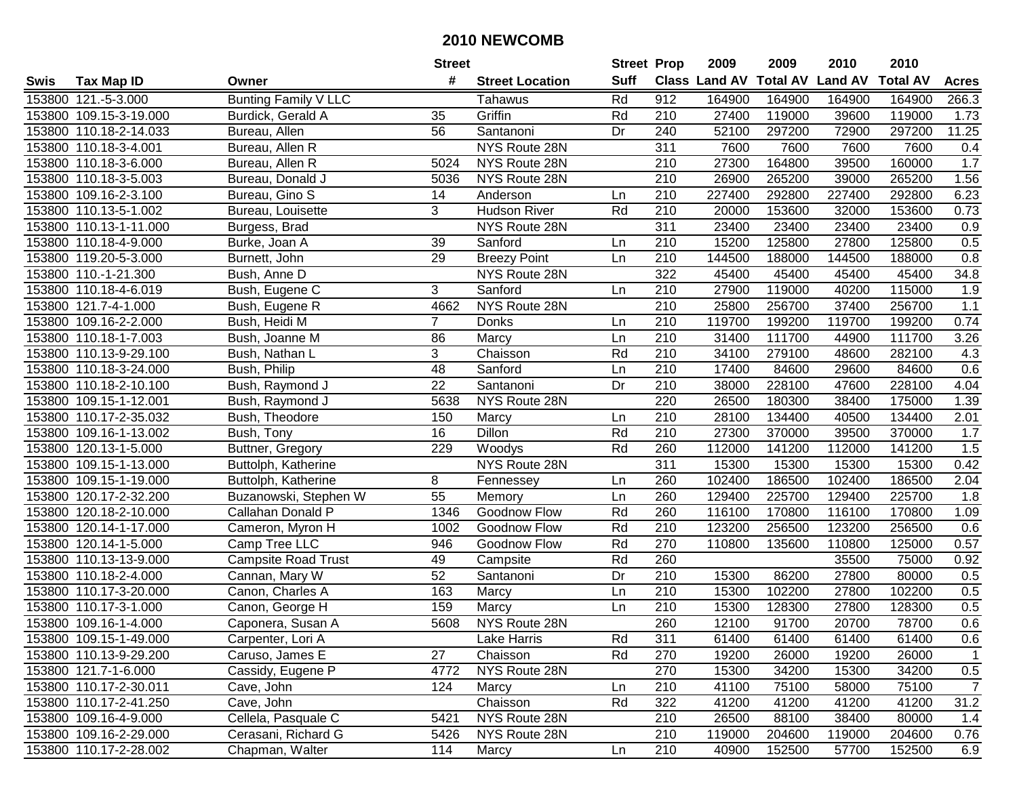|        |                        |                             | <b>Street</b>   |                        | <b>Street Prop</b> |                  | 2009          | 2009            | 2010           | 2010            |                |
|--------|------------------------|-----------------------------|-----------------|------------------------|--------------------|------------------|---------------|-----------------|----------------|-----------------|----------------|
| Swis   | <b>Tax Map ID</b>      | Owner                       | #               | <b>Street Location</b> | <b>Suff</b>        |                  | Class Land AV | <b>Total AV</b> | <b>Land AV</b> | <b>Total AV</b> | <b>Acres</b>   |
|        | 153800 121.-5-3.000    | <b>Bunting Family V LLC</b> |                 | Tahawus                | Rd                 | 912              | 164900        | 164900          | 164900         | 164900          | 266.3          |
|        | 153800 109.15-3-19.000 | Burdick, Gerald A           | 35              | Griffin                | Rd                 | 210              | 27400         | 119000          | 39600          | 119000          | 1.73           |
|        | 153800 110.18-2-14.033 | Bureau, Allen               | 56              | Santanoni              | Dr                 | 240              | 52100         | 297200          | 72900          | 297200          | 11.25          |
|        | 153800 110.18-3-4.001  | Bureau, Allen R             |                 | NYS Route 28N          |                    | 311              | 7600          | 7600            | 7600           | 7600            | 0.4            |
|        | 153800 110.18-3-6.000  | Bureau, Allen R             | 5024            | NYS Route 28N          |                    | 210              | 27300         | 164800          | 39500          | 160000          | 1.7            |
|        | 153800 110.18-3-5.003  | Bureau, Donald J            | 5036            | NYS Route 28N          |                    | $\overline{210}$ | 26900         | 265200          | 39000          | 265200          | 1.56           |
|        | 153800 109.16-2-3.100  | Bureau, Gino S              | 14              | Anderson               | Ln                 | 210              | 227400        | 292800          | 227400         | 292800          | 6.23           |
|        | 153800 110.13-5-1.002  | Bureau, Louisette           | 3               | <b>Hudson River</b>    | Rd                 | 210              | 20000         | 153600          | 32000          | 153600          | 0.73           |
|        | 153800 110.13-1-11.000 | Burgess, Brad               |                 | NYS Route 28N          |                    | 311              | 23400         | 23400           | 23400          | 23400           | 0.9            |
|        | 153800 110.18-4-9.000  | Burke, Joan A               | 39              | Sanford                | Ln                 | 210              | 15200         | 125800          | 27800          | 125800          | 0.5            |
|        | 153800 119.20-5-3.000  | Burnett, John               | 29              | <b>Breezy Point</b>    | Ln                 | 210              | 144500        | 188000          | 144500         | 188000          | 0.8            |
|        | 153800 110.-1-21.300   | Bush, Anne D                |                 | NYS Route 28N          |                    | 322              | 45400         | 45400           | 45400          | 45400           | 34.8           |
|        | 153800 110.18-4-6.019  | Bush, Eugene C              | 3               | Sanford                | Ln                 | 210              | 27900         | 119000          | 40200          | 115000          | 1.9            |
|        | 153800 121.7-4-1.000   | Bush, Eugene R              | 4662            | NYS Route 28N          |                    | 210              | 25800         | 256700          | 37400          | 256700          | 1.1            |
|        | 153800 109.16-2-2.000  | Bush, Heidi M               | $\overline{7}$  | Donks                  | Ln                 | 210              | 119700        | 199200          | 119700         | 199200          | 0.74           |
|        | 153800 110.18-1-7.003  | Bush, Joanne M              | 86              | Marcy                  | Ln                 | 210              | 31400         | 111700          | 44900          | 111700          | 3.26           |
|        | 153800 110.13-9-29.100 | Bush, Nathan L              | 3               | Chaisson               | Rd                 | $\overline{210}$ | 34100         | 279100          | 48600          | 282100          | 4.3            |
|        | 153800 110.18-3-24.000 | Bush, Philip                | 48              | Sanford                | Ln                 | 210              | 17400         | 84600           | 29600          | 84600           | 0.6            |
|        | 153800 110.18-2-10.100 | Bush, Raymond J             | 22              | Santanoni              | Dr                 | 210              | 38000         | 228100          | 47600          | 228100          | 4.04           |
|        | 153800 109.15-1-12.001 | Bush, Raymond J             | 5638            | NYS Route 28N          |                    | 220              | 26500         | 180300          | 38400          | 175000          | 1.39           |
|        | 153800 110.17-2-35.032 | Bush, Theodore              | 150             | Marcy                  | Ln                 | 210              | 28100         | 134400          | 40500          | 134400          | 2.01           |
|        | 153800 109.16-1-13.002 | Bush, Tony                  | 16              | Dillon                 | Rd                 | 210              | 27300         | 370000          | 39500          | 370000          | 1.7            |
| 153800 | 120.13-1-5.000         | Buttner, Gregory            | 229             | Woodys                 | Rd                 | 260              | 112000        | 141200          | 112000         | 141200          | 1.5            |
| 153800 | 109.15-1-13.000        | Buttolph, Katherine         |                 | NYS Route 28N          |                    | 311              | 15300         | 15300           | 15300          | 15300           | 0.42           |
|        | 153800 109.15-1-19.000 | Buttolph, Katherine         | 8               | Fennessey              | Ln                 | 260              | 102400        | 186500          | 102400         | 186500          | 2.04           |
|        | 153800 120.17-2-32.200 | Buzanowski, Stephen W       | 55              | Memory                 | Ln                 | 260              | 129400        | 225700          | 129400         | 225700          | 1.8            |
|        | 153800 120.18-2-10.000 | Callahan Donald P           | 1346            | Goodnow Flow           | Rd                 | 260              | 116100        | 170800          | 116100         | 170800          | 1.09           |
|        | 153800 120.14-1-17.000 | Cameron, Myron H            | 1002            | Goodnow Flow           | Rd                 | 210              | 123200        | 256500          | 123200         | 256500          | 0.6            |
|        | 153800 120.14-1-5.000  | Camp Tree LLC               | 946             | Goodnow Flow           | Rd                 | 270              | 110800        | 135600          | 110800         | 125000          | 0.57           |
|        | 153800 110.13-13-9.000 | <b>Campsite Road Trust</b>  | 49              | Campsite               | Rd                 | 260              |               |                 | 35500          | 75000           | 0.92           |
|        | 153800 110.18-2-4.000  | Cannan, Mary W              | $\overline{52}$ | Santanoni              | $\overline{Dr}$    | $\overline{210}$ | 15300         | 86200           | 27800          | 80000           | 0.5            |
|        | 153800 110.17-3-20.000 | Canon, Charles A            | 163             | Marcy                  | Ln                 | $\overline{210}$ | 15300         | 102200          | 27800          | 102200          | 0.5            |
|        | 153800 110.17-3-1.000  | Canon, George H             | 159             | Marcy                  | Ln                 | 210              | 15300         | 128300          | 27800          | 128300          | 0.5            |
|        | 153800 109.16-1-4.000  | Caponera, Susan A           | 5608            | NYS Route 28N          |                    | 260              | 12100         | 91700           | 20700          | 78700           | 0.6            |
|        | 153800 109.15-1-49.000 | Carpenter, Lori A           |                 | Lake Harris            | Rd                 | 311              | 61400         | 61400           | 61400          | 61400           | 0.6            |
|        | 153800 110.13-9-29.200 | Caruso, James E             | 27              | Chaisson               | Rd                 | 270              | 19200         | 26000           | 19200          | 26000           | $\mathbf{1}$   |
|        | 153800 121.7-1-6.000   | Cassidy, Eugene P           | 4772            | NYS Route 28N          |                    | 270              | 15300         | 34200           | 15300          | 34200           | 0.5            |
|        | 153800 110.17-2-30.011 | Cave, John                  | 124             | Marcy                  | Ln                 | 210              | 41100         | 75100           | 58000          | 75100           | $\overline{7}$ |
|        | 153800 110.17-2-41.250 | Cave, John                  |                 | Chaisson               | Rd                 | 322              | 41200         | 41200           | 41200          | 41200           | 31.2           |
|        | 153800 109.16-4-9.000  | Cellela, Pasquale C         | 5421            | NYS Route 28N          |                    | 210              | 26500         | 88100           | 38400          | 80000           | 1.4            |
|        | 153800 109.16-2-29.000 | Cerasani, Richard G         | 5426            | NYS Route 28N          |                    | 210              | 119000        | 204600          | 119000         | 204600          | 0.76           |
|        | 153800 110.17-2-28.002 | Chapman, Walter             | 114             | Marcy                  | Ln                 | 210              | 40900         | 152500          | 57700          | 152500          | 6.9            |
|        |                        |                             |                 |                        |                    |                  |               |                 |                |                 |                |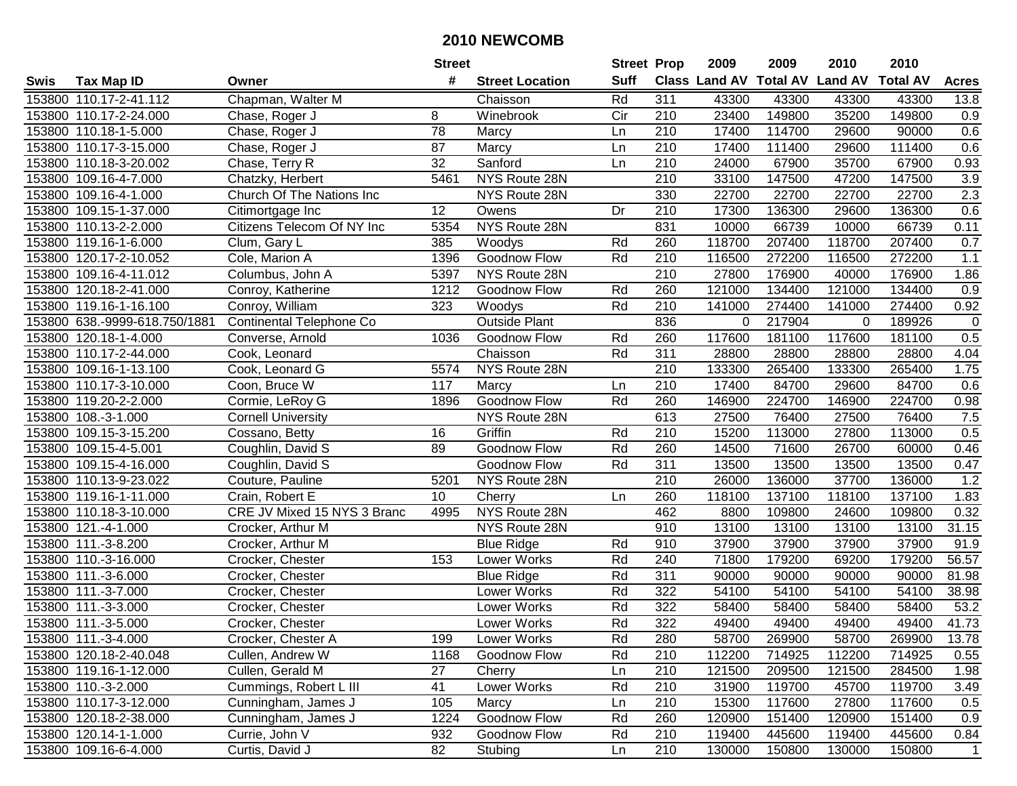|      |                               |                                  | <b>Street</b>   |                        | <b>Street Prop</b> |                  | 2009   | 2009   | 2010                           | 2010            |              |
|------|-------------------------------|----------------------------------|-----------------|------------------------|--------------------|------------------|--------|--------|--------------------------------|-----------------|--------------|
| Swis | <b>Tax Map ID</b>             | Owner                            | #               | <b>Street Location</b> | <b>Suff</b>        |                  |        |        | Class Land AV Total AV Land AV | <b>Total AV</b> | <b>Acres</b> |
|      | 153800 110.17-2-41.112        | Chapman, Walter M                |                 | Chaisson               | Rd                 | 311              | 43300  | 43300  | 43300                          | 43300           | 13.8         |
|      | 153800 110.17-2-24.000        | Chase, Roger J                   | 8               | Winebrook              | Cir                | 210              | 23400  | 149800 | 35200                          | 149800          | 0.9          |
|      | 153800 110.18-1-5.000         | Chase, Roger J                   | 78              | Marcy                  | Ln                 | 210              | 17400  | 114700 | 29600                          | 90000           | 0.6          |
|      | 153800 110.17-3-15.000        | Chase, Roger J                   | 87              | Marcy                  | Ln                 | 210              | 17400  | 111400 | 29600                          | 111400          | 0.6          |
|      | 153800 110.18-3-20.002        | Chase, Terry R                   | 32              | Sanford                | Ln                 | 210              | 24000  | 67900  | 35700                          | 67900           | 0.93         |
|      | 153800 109.16-4-7.000         | Chatzky, Herbert                 | 5461            | NYS Route 28N          |                    | $\overline{210}$ | 33100  | 147500 | 47200                          | 147500          | 3.9          |
|      | 153800 109.16-4-1.000         | <b>Church Of The Nations Inc</b> |                 | NYS Route 28N          |                    | 330              | 22700  | 22700  | 22700                          | 22700           | 2.3          |
|      | 153800 109.15-1-37.000        | Citimortgage Inc                 | $\overline{12}$ | Owens                  | Dr                 | 210              | 17300  | 136300 | 29600                          | 136300          | 0.6          |
|      | 153800 110.13-2-2.000         | Citizens Telecom Of NY Inc       | 5354            | NYS Route 28N          |                    | 831              | 10000  | 66739  | 10000                          | 66739           | 0.11         |
|      | 153800 119.16-1-6.000         | Clum, Gary L                     | 385             | Woodys                 | Rd                 | 260              | 118700 | 207400 | 118700                         | 207400          | 0.7          |
|      | 153800 120.17-2-10.052        | Cole, Marion A                   | 1396            | Goodnow Flow           | Rd                 | 210              | 116500 | 272200 | 116500                         | 272200          | 1.1          |
|      | 153800 109.16-4-11.012        | Columbus, John A                 | 5397            | NYS Route 28N          |                    | 210              | 27800  | 176900 | 40000                          | 176900          | 1.86         |
|      | 153800 120.18-2-41.000        | Conroy, Katherine                | 1212            | Goodnow Flow           | Rd                 | 260              | 121000 | 134400 | 121000                         | 134400          | 0.9          |
|      | 153800 119.16-1-16.100        | Conroy, William                  | 323             | Woodys                 | Rd                 | 210              | 141000 | 274400 | 141000                         | 274400          | 0.92         |
|      | 153800 638.-9999-618.750/1881 | Continental Telephone Co         |                 | Outside Plant          |                    | 836              | 0      | 217904 | 0                              | 189926          | $\mathbf 0$  |
|      | 153800 120.18-1-4.000         | Converse, Arnold                 | 1036            | Goodnow Flow           | Rd                 | 260              | 117600 | 181100 | 117600                         | 181100          | 0.5          |
|      | 153800 110.17-2-44.000        | Cook, Leonard                    |                 | Chaisson               | Rd                 | 311              | 28800  | 28800  | 28800                          | 28800           | 4.04         |
|      | 153800 109.16-1-13.100        | Cook, Leonard G                  | 5574            | NYS Route 28N          |                    | 210              | 133300 | 265400 | 133300                         | 265400          | 1.75         |
|      | 153800 110.17-3-10.000        | Coon, Bruce W                    | 117             | Marcy                  | Ln                 | 210              | 17400  | 84700  | 29600                          | 84700           | 0.6          |
|      | 153800 119.20-2-2.000         | Cormie, LeRoy G                  | 1896            | Goodnow Flow           | Rd                 | 260              | 146900 | 224700 | 146900                         | 224700          | 0.98         |
|      | 153800 108.-3-1.000           | <b>Cornell University</b>        |                 | NYS Route 28N          |                    | 613              | 27500  | 76400  | 27500                          | 76400           | 7.5          |
|      | 153800 109.15-3-15.200        | Cossano, Betty                   | 16              | Griffin                | Rd                 | 210              | 15200  | 113000 | 27800                          | 113000          | 0.5          |
|      | 153800 109.15-4-5.001         | Coughlin, David S                | 89              | Goodnow Flow           | Rd                 | 260              | 14500  | 71600  | 26700                          | 60000           | 0.46         |
|      | 153800 109.15-4-16.000        | Coughlin, David S                |                 | Goodnow Flow           | Rd                 | 311              | 13500  | 13500  | 13500                          | 13500           | 0.47         |
|      | 153800 110.13-9-23.022        | Couture, Pauline                 | 5201            | NYS Route 28N          |                    | $\overline{210}$ | 26000  | 136000 | 37700                          | 136000          | 1.2          |
|      | 153800 119.16-1-11.000        | Crain, Robert E                  | 10 <sup>°</sup> | Cherry                 | Ln                 | 260              | 118100 | 137100 | 118100                         | 137100          | 1.83         |
|      | 153800 110.18-3-10.000        | CRE JV Mixed 15 NYS 3 Branc      | 4995            | NYS Route 28N          |                    | 462              | 8800   | 109800 | 24600                          | 109800          | 0.32         |
|      | 153800 121.-4-1.000           | Crocker, Arthur M                |                 | NYS Route 28N          |                    | 910              | 13100  | 13100  | 13100                          | 13100           | 31.15        |
|      | 153800 111.-3-8.200           | Crocker, Arthur M                |                 | <b>Blue Ridge</b>      | Rd                 | 910              | 37900  | 37900  | 37900                          | 37900           | 91.9         |
|      | 153800 110.-3-16.000          | Crocker, Chester                 | 153             | Lower Works            | Rd                 | 240              | 71800  | 179200 | 69200                          | 179200          | 56.57        |
|      | 153800 111.-3-6.000           | Crocker, Chester                 |                 | <b>Blue Ridge</b>      | Rd                 | $\overline{311}$ | 90000  | 90000  | 90000                          | 90000           | 81.98        |
|      | 153800 111.-3-7.000           | Crocker, Chester                 |                 | Lower Works            | Rd                 | 322              | 54100  | 54100  | 54100                          | 54100           | 38.98        |
|      | 153800 111.-3-3.000           | Crocker, Chester                 |                 | <b>Lower Works</b>     | Rd                 | 322              | 58400  | 58400  | 58400                          | 58400           | 53.2         |
|      | 153800 111.-3-5.000           | Crocker, Chester                 |                 | Lower Works            | Rd                 | 322              | 49400  | 49400  | 49400                          | 49400           | 41.73        |
|      | 153800 111.-3-4.000           | Crocker, Chester A               | 199             | Lower Works            | Rd                 | 280              | 58700  | 269900 | 58700                          | 269900          | 13.78        |
|      | 153800 120.18-2-40.048        | Cullen, Andrew W                 | 1168            | Goodnow Flow           | Rd                 | 210              | 112200 | 714925 | 112200                         | 714925          | 0.55         |
|      | 153800 119.16-1-12.000        | Cullen, Gerald M                 | 27              | Cherry                 | Ln                 | 210              | 121500 | 209500 | 121500                         | 284500          | 1.98         |
|      | 153800 110.-3-2.000           | Cummings, Robert L III           | 41              | Lower Works            | Rd                 | 210              | 31900  | 119700 | 45700                          | 119700          | 3.49         |
|      | 153800 110.17-3-12.000        | Cunningham, James J              | 105             | Marcy                  | Ln                 | 210              | 15300  | 117600 | 27800                          | 117600          | 0.5          |
|      | 153800 120.18-2-38.000        | Cunningham, James J              | 1224            | Goodnow Flow           | Rd                 | 260              | 120900 | 151400 | 120900                         | 151400          | 0.9          |
|      | 153800 120.14-1-1.000         | Currie, John V                   | 932             | Goodnow Flow           | Rd                 | 210              | 119400 | 445600 | 119400                         | 445600          | 0.84         |
|      | 153800 109.16-6-4.000         | Curtis, David J                  | 82              | Stubing                | Ln                 | 210              | 130000 | 150800 | 130000                         | 150800          | $\mathbf 1$  |
|      |                               |                                  |                 |                        |                    |                  |        |        |                                |                 |              |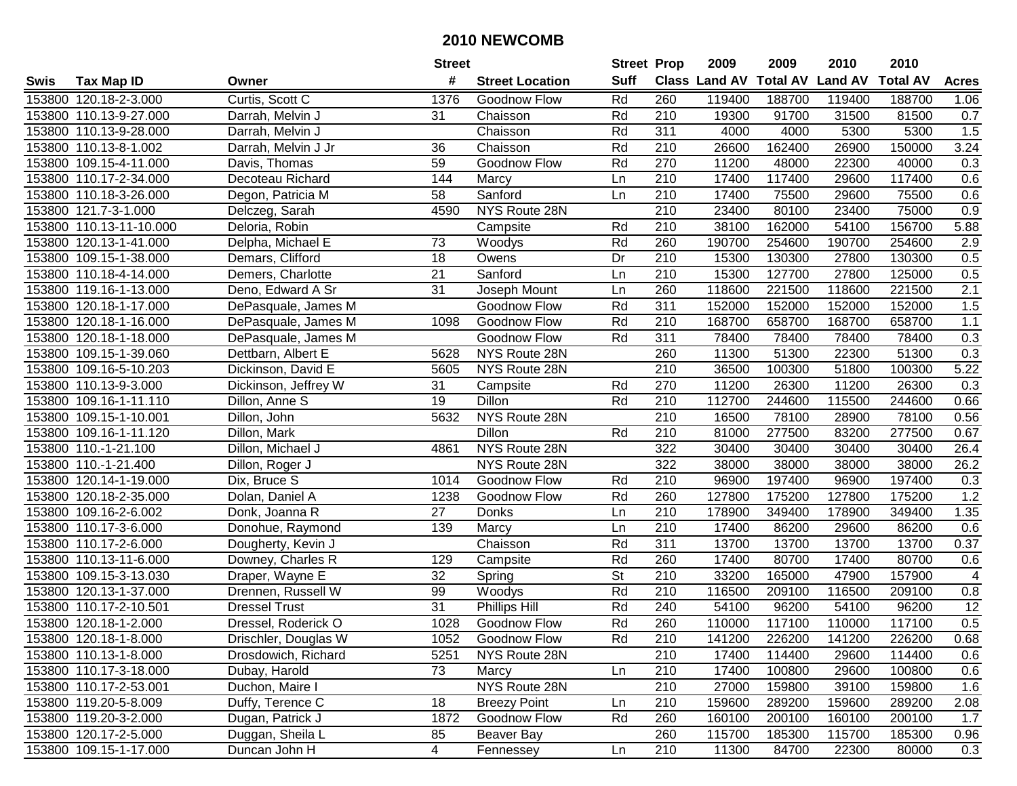|      |                         |                      | <b>Street</b>   |                        | <b>Street Prop</b>       |                  | 2009          | 2009            | 2010           | 2010            |                 |
|------|-------------------------|----------------------|-----------------|------------------------|--------------------------|------------------|---------------|-----------------|----------------|-----------------|-----------------|
| Swis | <b>Tax Map ID</b>       | Owner                | #               | <b>Street Location</b> | <b>Suff</b>              |                  | Class Land AV | <b>Total AV</b> | <b>Land AV</b> | <b>Total AV</b> | <b>Acres</b>    |
|      | 153800 120.18-2-3.000   | Curtis, Scott C      | 1376            | Goodnow Flow           | Rd                       | 260              | 119400        | 188700          | 119400         | 188700          | 1.06            |
|      | 153800 110.13-9-27.000  | Darrah, Melvin J     | 31              | Chaisson               | Rd                       | 210              | 19300         | 91700           | 31500          | 81500           | 0.7             |
|      | 153800 110.13-9-28.000  | Darrah, Melvin J     |                 | Chaisson               | Rd                       | 311              | 4000          | 4000            | 5300           | 5300            | 1.5             |
|      | 153800 110.13-8-1.002   | Darrah, Melvin J Jr  | 36              | Chaisson               | Rd                       | 210              | 26600         | 162400          | 26900          | 150000          | 3.24            |
|      | 153800 109.15-4-11.000  | Davis, Thomas        | 59              | Goodnow Flow           | Rd                       | 270              | 11200         | 48000           | 22300          | 40000           | 0.3             |
|      | 153800 110.17-2-34.000  | Decoteau Richard     | 144             | Marcy                  | Ln                       | 210              | 17400         | 117400          | 29600          | 117400          | 0.6             |
|      | 153800 110.18-3-26.000  | Degon, Patricia M    | 58              | Sanford                | Ln                       | 210              | 17400         | 75500           | 29600          | 75500           | 0.6             |
|      | 153800 121.7-3-1.000    | Delczeg, Sarah       | 4590            | NYS Route 28N          |                          | 210              | 23400         | 80100           | 23400          | 75000           | 0.9             |
|      | 153800 110.13-11-10.000 | Deloria, Robin       |                 | Campsite               | Rd                       | $\overline{210}$ | 38100         | 162000          | 54100          | 156700          | 5.88            |
|      | 153800 120.13-1-41.000  | Delpha, Michael E    | 73              | Woodys                 | Rd                       | 260              | 190700        | 254600          | 190700         | 254600          | 2.9             |
|      | 153800 109.15-1-38.000  | Demars, Clifford     | 18              | Owens                  | Dr                       | 210              | 15300         | 130300          | 27800          | 130300          | 0.5             |
|      | 153800 110.18-4-14.000  | Demers, Charlotte    | 21              | Sanford                | Ln                       | 210              | 15300         | 127700          | 27800          | 125000          | 0.5             |
|      | 153800 119.16-1-13.000  | Deno, Edward A Sr    | $\overline{31}$ | Joseph Mount           | Ln                       | 260              | 118600        | 221500          | 118600         | 221500          | 2.1             |
|      | 153800 120.18-1-17.000  | DePasquale, James M  |                 | Goodnow Flow           | Rd                       | 311              | 152000        | 152000          | 152000         | 152000          | 1.5             |
|      | 153800 120.18-1-16.000  | DePasquale, James M  | 1098            | Goodnow Flow           | Rd                       | 210              | 168700        | 658700          | 168700         | 658700          | $1.1$           |
|      | 153800 120.18-1-18.000  | DePasquale, James M  |                 | Goodnow Flow           | Rd                       | 311              | 78400         | 78400           | 78400          | 78400           | 0.3             |
|      | 153800 109.15-1-39.060  | Dettbarn, Albert E   | 5628            | NYS Route 28N          |                          | 260              | 11300         | 51300           | 22300          | 51300           | 0.3             |
|      | 153800 109.16-5-10.203  | Dickinson, David E   | 5605            | NYS Route 28N          |                          | 210              | 36500         | 100300          | 51800          | 100300          | 5.22            |
|      | 153800 110.13-9-3.000   | Dickinson, Jeffrey W | 31              | Campsite               | Rd                       | 270              | 11200         | 26300           | 11200          | 26300           | 0.3             |
|      | 153800 109.16-1-11.110  | Dillon, Anne S       | 19              | Dillon                 | Rd                       | 210              | 112700        | 244600          | 115500         | 244600          | 0.66            |
|      | 153800 109.15-1-10.001  | Dillon, John         | 5632            | NYS Route 28N          |                          | 210              | 16500         | 78100           | 28900          | 78100           | 0.56            |
|      | 153800 109.16-1-11.120  | Dillon, Mark         |                 | Dillon                 | Rd                       | 210              | 81000         | 277500          | 83200          | 277500          | 0.67            |
|      | 153800 110.-1-21.100    | Dillon, Michael J    | 4861            | NYS Route 28N          |                          | 322              | 30400         | 30400           | 30400          | 30400           | 26.4            |
|      | 153800 110.-1-21.400    | Dillon, Roger J      |                 | NYS Route 28N          |                          | 322              | 38000         | 38000           | 38000          | 38000           | 26.2            |
|      | 153800 120.14-1-19.000  | Dix, Bruce S         | 1014            | Goodnow Flow           | Rd                       | $\overline{210}$ | 96900         | 197400          | 96900          | 197400          | 0.3             |
|      | 153800 120.18-2-35.000  | Dolan, Daniel A      | 1238            | Goodnow Flow           | Rd                       | 260              | 127800        | 175200          | 127800         | 175200          | 1.2             |
|      | 153800 109.16-2-6.002   | Donk, Joanna R       | 27              | Donks                  | Ln                       | 210              | 178900        | 349400          | 178900         | 349400          | 1.35            |
|      | 153800 110.17-3-6.000   | Donohue, Raymond     | 139             | Marcy                  | Ln                       | 210              | 17400         | 86200           | 29600          | 86200           | 0.6             |
|      | 153800 110.17-2-6.000   | Dougherty, Kevin J   |                 | Chaisson               | Rd                       | 311              | 13700         | 13700           | 13700          | 13700           | 0.37            |
|      | 153800 110.13-11-6.000  | Downey, Charles R    | 129             | Campsite               | Rd                       | 260              | 17400         | 80700           | 17400          | 80700           | 0.6             |
|      | 153800 109.15-3-13.030  | Draper, Wayne E      | $\overline{32}$ | Spring                 | $\overline{\mathsf{St}}$ | $\overline{210}$ | 33200         | 165000          | 47900          | 157900          | $\overline{4}$  |
|      | 153800 120.13-1-37.000  | Drennen, Russell W   | 99              | Woodys                 | Rd                       | 210              | 116500        | 209100          | 116500         | 209100          | 0.8             |
|      | 153800 110.17-2-10.501  | <b>Dressel Trust</b> | 31              | Phillips Hill          | Rd                       | 240              | 54100         | 96200           | 54100          | 96200           | $\overline{12}$ |
|      | 153800 120.18-1-2.000   | Dressel, Roderick O  | 1028            | Goodnow Flow           | Rd                       | 260              | 110000        | 117100          | 110000         | 117100          | 0.5             |
|      | 153800 120.18-1-8.000   | Drischler, Douglas W | 1052            | Goodnow Flow           | Rd                       | 210              | 141200        | 226200          | 141200         | 226200          | 0.68            |
|      | 153800 110.13-1-8.000   | Drosdowich, Richard  | 5251            | NYS Route 28N          |                          | 210              | 17400         | 114400          | 29600          | 114400          | 0.6             |
|      | 153800 110.17-3-18.000  | Dubay, Harold        | 73              | Marcy                  | Ln                       | 210              | 17400         | 100800          | 29600          | 100800          | 0.6             |
|      | 153800 110.17-2-53.001  | Duchon, Maire I      |                 | NYS Route 28N          |                          | 210              | 27000         | 159800          | 39100          | 159800          | 1.6             |
|      | 153800 119.20-5-8.009   | Duffy, Terence C     | 18              | <b>Breezy Point</b>    | Ln                       | 210              | 159600        | 289200          | 159600         | 289200          | 2.08            |
|      | 153800 119.20-3-2.000   | Dugan, Patrick J     | 1872            | Goodnow Flow           | Rd                       | 260              | 160100        | 200100          | 160100         | 200100          | 1.7             |
|      | 153800 120.17-2-5.000   | Duggan, Sheila L     | 85              | Beaver Bay             |                          | 260              | 115700        | 185300          | 115700         | 185300          | 0.96            |
|      | 153800 109.15-1-17.000  | Duncan John H        | $\overline{4}$  | Fennessey              | Ln                       | 210              | 11300         | 84700           | 22300          | 80000           | 0.3             |
|      |                         |                      |                 |                        |                          |                  |               |                 |                |                 |                 |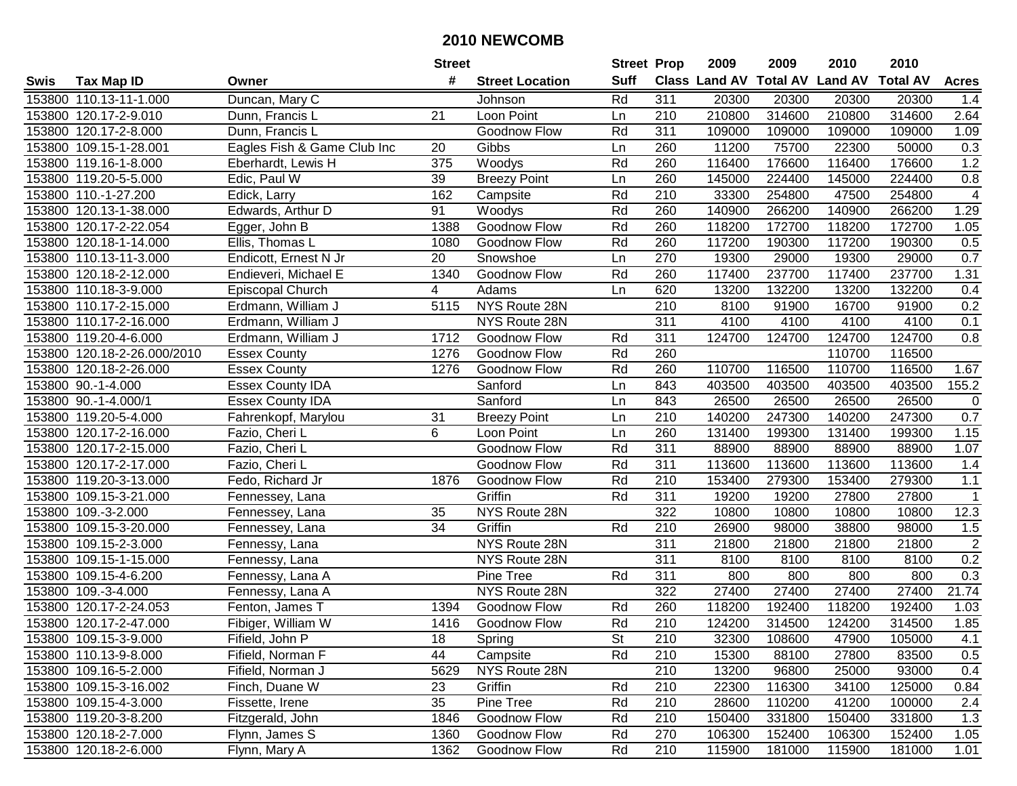|        |                             |                             | <b>Street</b> |                        | <b>Street Prop</b> |                  | 2009   | 2009   | 2010                           | 2010            |                |
|--------|-----------------------------|-----------------------------|---------------|------------------------|--------------------|------------------|--------|--------|--------------------------------|-----------------|----------------|
| Swis   | <b>Tax Map ID</b>           | Owner                       | #             | <b>Street Location</b> | <b>Suff</b>        |                  |        |        | Class Land AV Total AV Land AV | <b>Total AV</b> | <b>Acres</b>   |
|        | 153800 110.13-11-1.000      | Duncan, Mary C              |               | Johnson                | Rd                 | 311              | 20300  | 20300  | 20300                          | 20300           | 1.4            |
|        | 153800 120.17-2-9.010       | Dunn, Francis L             | 21            | Loon Point             | Ln                 | 210              | 210800 | 314600 | 210800                         | 314600          | 2.64           |
|        | 153800 120.17-2-8.000       | Dunn, Francis L             |               | Goodnow Flow           | Rd                 | 311              | 109000 | 109000 | 109000                         | 109000          | 1.09           |
|        | 153800 109.15-1-28.001      | Eagles Fish & Game Club Inc | 20            | Gibbs                  | Ln                 | 260              | 11200  | 75700  | 22300                          | 50000           | 0.3            |
|        | 153800 119.16-1-8.000       | Eberhardt, Lewis H          | 375           | Woodys                 | Rd                 | 260              | 116400 | 176600 | 116400                         | 176600          | 1.2            |
|        | 153800 119.20-5-5.000       | Edic, Paul W                | 39            | <b>Breezy Point</b>    | Ln                 | 260              | 145000 | 224400 | 145000                         | 224400          | 0.8            |
|        | 153800 110.-1-27.200        | Edick, Larry                | 162           | Campsite               | Rd                 | 210              | 33300  | 254800 | 47500                          | 254800          | 4              |
|        | 153800 120.13-1-38.000      | Edwards, Arthur D           | 91            | Woodys                 | Rd                 | 260              | 140900 | 266200 | 140900                         | 266200          | 1.29           |
|        | 153800 120.17-2-22.054      | Egger, John B               | 1388          | Goodnow Flow           | Rd                 | 260              | 118200 | 172700 | 118200                         | 172700          | 1.05           |
|        | 153800 120.18-1-14.000      | Ellis, Thomas L             | 1080          | Goodnow Flow           | Rd                 | 260              | 117200 | 190300 | 117200                         | 190300          | 0.5            |
|        | 153800 110.13-11-3.000      | Endicott, Ernest N Jr       | 20            | Snowshoe               | Ln                 | 270              | 19300  | 29000  | 19300                          | 29000           | 0.7            |
|        | 153800 120.18-2-12.000      | Endieveri, Michael E        | 1340          | Goodnow Flow           | Rd                 | 260              | 117400 | 237700 | 117400                         | 237700          | 1.31           |
|        | 153800 110.18-3-9.000       | Episcopal Church            | 4             | Adams                  | Ln                 | 620              | 13200  | 132200 | 13200                          | 132200          | 0.4            |
| 153800 | 110.17-2-15.000             | Erdmann, William J          | 5115          | NYS Route 28N          |                    | 210              | 8100   | 91900  | 16700                          | 91900           | 0.2            |
| 153800 | 110.17-2-16.000             | Erdmann, William J          |               | NYS Route 28N          |                    | 311              | 4100   | 4100   | 4100                           | 4100            | 0.1            |
|        | 153800 119.20-4-6.000       | Erdmann, William J          | 1712          | Goodnow Flow           | Rd                 | 311              | 124700 | 124700 | 124700                         | 124700          | 0.8            |
|        | 153800 120.18-2-26.000/2010 | <b>Essex County</b>         | 1276          | Goodnow Flow           | Rd                 | 260              |        |        | 110700                         | 116500          |                |
|        | 153800 120.18-2-26.000      | <b>Essex County</b>         | 1276          | Goodnow Flow           | Rd                 | 260              | 110700 | 116500 | 110700                         | 116500          | 1.67           |
|        | 153800 90.-1-4.000          | <b>Essex County IDA</b>     |               | Sanford                | Ln                 | 843              | 403500 | 403500 | 403500                         | 403500          | 155.2          |
|        | 153800 90.-1-4.000/1        | <b>Essex County IDA</b>     |               | Sanford                | Ln                 | 843              | 26500  | 26500  | 26500                          | 26500           | 0              |
|        | 153800 119.20-5-4.000       | Fahrenkopf, Marylou         | 31            | <b>Breezy Point</b>    | Ln                 | 210              | 140200 | 247300 | 140200                         | 247300          | $0.7\,$        |
|        | 153800 120.17-2-16.000      | Fazio, Cheri L              | 6             | Loon Point             | Ln                 | 260              | 131400 | 199300 | 131400                         | 199300          | 1.15           |
| 153800 | 120.17-2-15.000             | Fazio, Cheri L              |               | Goodnow Flow           | Rd                 | 311              | 88900  | 88900  | 88900                          | 88900           | 1.07           |
| 153800 | 120.17-2-17.000             | Fazio, Cheri L              |               | Goodnow Flow           | Rd                 | 311              | 113600 | 113600 | 113600                         | 113600          | 1.4            |
|        | 153800 119.20-3-13.000      | Fedo, Richard Jr            | 1876          | Goodnow Flow           | Rd                 | $\overline{210}$ | 153400 | 279300 | 153400                         | 279300          | 1.1            |
|        | 153800 109.15-3-21.000      | Fennessey, Lana             |               | Griffin                | Rd                 | 311              | 19200  | 19200  | 27800                          | 27800           | $\mathbf{1}$   |
|        | 153800 109.-3-2.000         | Fennessey, Lana             | 35            | NYS Route 28N          |                    | 322              | 10800  | 10800  | 10800                          | 10800           | 12.3           |
|        | 153800 109.15-3-20.000      | Fennessey, Lana             | 34            | Griffin                | Rd                 | 210              | 26900  | 98000  | 38800                          | 98000           | 1.5            |
|        | 153800 109.15-2-3.000       | Fennessy, Lana              |               | NYS Route 28N          |                    | 311              | 21800  | 21800  | 21800                          | 21800           | $\overline{2}$ |
|        | 153800 109.15-1-15.000      | Fennessy, Lana              |               | NYS Route 28N          |                    | 311              | 8100   | 8100   | 8100                           | 8100            | 0.2            |
|        | 153800 109.15-4-6.200       | Fennessy, Lana A            |               | <b>Pine Tree</b>       | Rd                 | $\overline{311}$ | 800    | 800    | 800                            | 800             | 0.3            |
|        | 153800 109.-3-4.000         | Fennessy, Lana A            |               | NYS Route 28N          |                    | 322              | 27400  | 27400  | 27400                          | 27400           | 21.74          |
|        | 153800 120.17-2-24.053      | Fenton, James T             | 1394          | Goodnow Flow           | Rd                 | 260              | 118200 | 192400 | 118200                         | 192400          | 1.03           |
|        | 153800 120.17-2-47.000      | Fibiger, William W          | 1416          | Goodnow Flow           | Rd                 | $\overline{210}$ | 124200 | 314500 | 124200                         | 314500          | 1.85           |
|        | 153800 109.15-3-9.000       | Fifield, John P             | 18            | Spring                 | <b>St</b>          | 210              | 32300  | 108600 | 47900                          | 105000          | 4.1            |
|        | 153800 110.13-9-8.000       | Fifield, Norman F           | 44            | Campsite               | Rd                 | 210              | 15300  | 88100  | 27800                          | 83500           | 0.5            |
|        | 153800 109.16-5-2.000       | Fifield, Norman J           | 5629          | NYS Route 28N          |                    | 210              | 13200  | 96800  | 25000                          | 93000           | 0.4            |
|        | 153800 109.15-3-16.002      | Finch, Duane W              | 23            | Griffin                | Rd                 | 210              | 22300  | 116300 | 34100                          | 125000          | 0.84           |
|        | 153800 109.15-4-3.000       | Fissette, Irene             | 35            | Pine Tree              | Rd                 | 210              | 28600  | 110200 | 41200                          | 100000          | 2.4            |
|        | 153800 119.20-3-8.200       | Fitzgerald, John            | 1846          | Goodnow Flow           | Rd                 | 210              | 150400 | 331800 | 150400                         | 331800          | 1.3            |
|        | 153800 120.18-2-7.000       | Flynn, James S              | 1360          | Goodnow Flow           | Rd                 | 270              | 106300 | 152400 | 106300                         | 152400          | 1.05           |
|        | 153800 120.18-2-6.000       | Flynn, Mary A               | 1362          | <b>Goodnow Flow</b>    | Rd                 | 210              | 115900 | 181000 | 115900                         | 181000          | 1.01           |
|        |                             |                             |               |                        |                    |                  |        |        |                                |                 |                |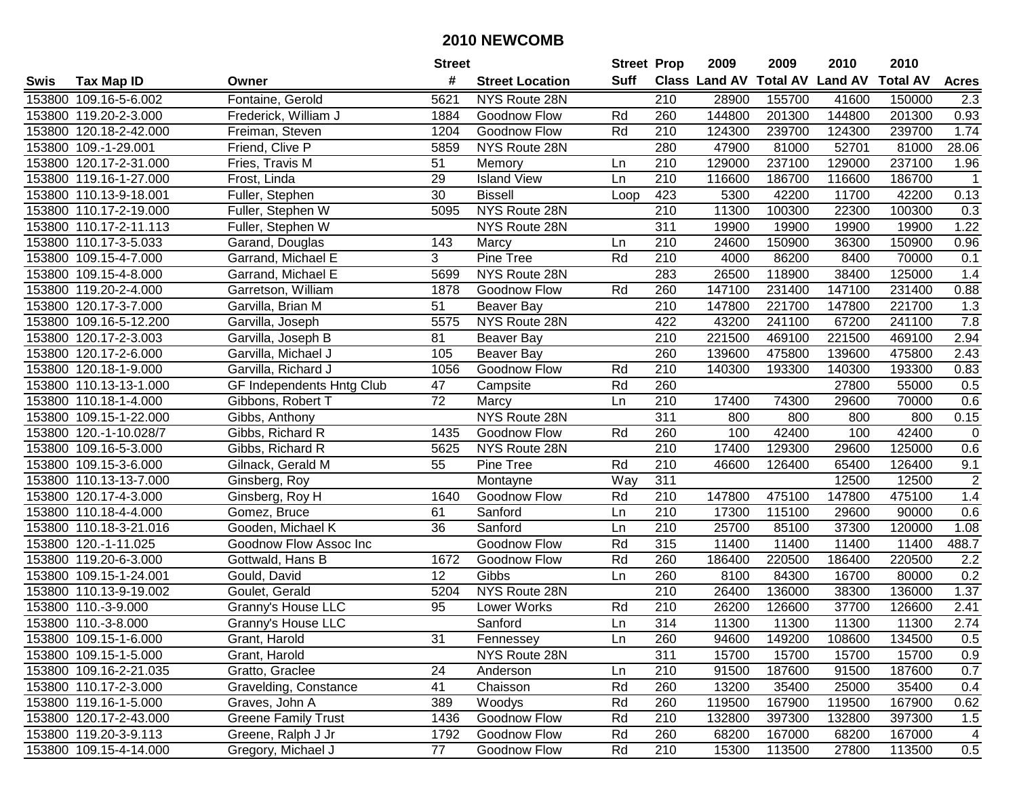|        |                        |                            | <b>Street</b>   |                        | <b>Street Prop</b> |                  | 2009   | 2009   | 2010                           | 2010            |              |
|--------|------------------------|----------------------------|-----------------|------------------------|--------------------|------------------|--------|--------|--------------------------------|-----------------|--------------|
| Swis   | <b>Tax Map ID</b>      | Owner                      | #               | <b>Street Location</b> | <b>Suff</b>        |                  |        |        | Class Land AV Total AV Land AV | <b>Total AV</b> | <b>Acres</b> |
|        | 153800 109.16-5-6.002  | Fontaine, Gerold           | 5621            | NYS Route 28N          |                    | 210              | 28900  | 155700 | 41600                          | 150000          | 2.3          |
|        | 153800 119.20-2-3.000  | Frederick, William J       | 1884            | Goodnow Flow           | Rd                 | 260              | 144800 | 201300 | 144800                         | 201300          | 0.93         |
|        | 153800 120.18-2-42.000 | Freiman, Steven            | 1204            | Goodnow Flow           | Rd                 | 210              | 124300 | 239700 | 124300                         | 239700          | 1.74         |
|        | 153800 109.-1-29.001   | Friend, Clive P            | 5859            | NYS Route 28N          |                    | 280              | 47900  | 81000  | 52701                          | 81000           | 28.06        |
|        | 153800 120.17-2-31.000 | Fries, Travis M            | 51              | Memory                 | Ln                 | $\overline{210}$ | 129000 | 237100 | 129000                         | 237100          | 1.96         |
|        | 153800 119.16-1-27.000 | Frost, Linda               | 29              | <b>Island View</b>     | Ln                 | $\overline{210}$ | 116600 | 186700 | 116600                         | 186700          | -1           |
|        | 153800 110.13-9-18.001 | Fuller, Stephen            | 30              | <b>Bissell</b>         | Loop               | 423              | 5300   | 42200  | 11700                          | 42200           | 0.13         |
|        | 153800 110.17-2-19.000 | Fuller, Stephen W          | 5095            | NYS Route 28N          |                    | $\overline{210}$ | 11300  | 100300 | 22300                          | 100300          | 0.3          |
|        | 153800 110.17-2-11.113 | Fuller, Stephen W          |                 | NYS Route 28N          |                    | 311              | 19900  | 19900  | 19900                          | 19900           | 1.22         |
|        | 153800 110.17-3-5.033  | Garand, Douglas            | 143             | Marcy                  | Ln                 | 210              | 24600  | 150900 | 36300                          | 150900          | 0.96         |
|        | 153800 109.15-4-7.000  | Garrand, Michael E         | 3               | Pine Tree              | Rd                 | 210              | 4000   | 86200  | 8400                           | 70000           | 0.1          |
|        | 153800 109.15-4-8.000  | Garrand, Michael E         | 5699            | NYS Route 28N          |                    | 283              | 26500  | 118900 | 38400                          | 125000          | 1.4          |
|        | 153800 119.20-2-4.000  | Garretson, William         | 1878            | Goodnow Flow           | Rd                 | 260              | 147100 | 231400 | 147100                         | 231400          | 0.88         |
|        | 153800 120.17-3-7.000  | Garvilla, Brian M          | 51              | Beaver Bay             |                    | 210              | 147800 | 221700 | 147800                         | 221700          | 1.3          |
| 153800 | 109.16-5-12.200        | Garvilla, Joseph           | 5575            | NYS Route 28N          |                    | 422              | 43200  | 241100 | 67200                          | 241100          | 7.8          |
|        | 153800 120.17-2-3.003  | Garvilla, Joseph B         | 81              | <b>Beaver Bay</b>      |                    | 210              | 221500 | 469100 | 221500                         | 469100          | 2.94         |
|        | 153800 120.17-2-6.000  | Garvilla, Michael J        | 105             | Beaver Bay             |                    | 260              | 139600 | 475800 | 139600                         | 475800          | 2.43         |
|        | 153800 120.18-1-9.000  | Garvilla, Richard J        | 1056            | Goodnow Flow           | Rd                 | 210              | 140300 | 193300 | 140300                         | 193300          | 0.83         |
|        | 153800 110.13-13-1.000 | GF Independents Hntg Club  | 47              | Campsite               | Rd                 | 260              |        |        | 27800                          | 55000           | 0.5          |
|        | 153800 110.18-1-4.000  | Gibbons, Robert T          | $\overline{72}$ | Marcy                  | Ln                 | 210              | 17400  | 74300  | 29600                          | 70000           | 0.6          |
|        | 153800 109.15-1-22.000 | Gibbs, Anthony             |                 | NYS Route 28N          |                    | 311              | 800    | 800    | 800                            | 800             | 0.15         |
|        | 153800 120.-1-10.028/7 | Gibbs, Richard R           | 1435            | Goodnow Flow           | Rd                 | 260              | 100    | 42400  | 100                            | 42400           | $\mathbf 0$  |
|        | 153800 109.16-5-3.000  | Gibbs, Richard R           | 5625            | NYS Route 28N          |                    | 210              | 17400  | 129300 | 29600                          | 125000          | 0.6          |
|        | 153800 109.15-3-6.000  | Gilnack, Gerald M          | 55              | Pine Tree              | Rd                 | 210              | 46600  | 126400 | 65400                          | 126400          | 9.1          |
|        | 153800 110.13-13-7.000 | Ginsberg, Roy              |                 | Montayne               | Way                | 311              |        |        | 12500                          | 12500           | $\sqrt{2}$   |
|        | 153800 120.17-4-3.000  | Ginsberg, Roy H            | 1640            | Goodnow Flow           | Rd                 | 210              | 147800 | 475100 | 147800                         | 475100          | 1.4          |
|        | 153800 110.18-4-4.000  | Gomez, Bruce               | 61              | Sanford                | Ln                 | 210              | 17300  | 115100 | 29600                          | 90000           | 0.6          |
|        | 153800 110.18-3-21.016 | Gooden, Michael K          | 36              | Sanford                | Ln                 | 210              | 25700  | 85100  | 37300                          | 120000          | 1.08         |
|        | 153800 120.-1-11.025   | Goodnow Flow Assoc Inc     |                 | Goodnow Flow           | Rd                 | 315              | 11400  | 11400  | 11400                          | 11400           | 488.7        |
|        | 153800 119.20-6-3.000  | Gottwald, Hans B           | 1672            | Goodnow Flow           | Rd                 | 260              | 186400 | 220500 | 186400                         | 220500          | 2.2          |
|        | 153800 109.15-1-24.001 | Gould, David               | 12              | Gibbs                  | Ln                 | 260              | 8100   | 84300  | 16700                          | 80000           | 0.2          |
|        | 153800 110.13-9-19.002 | Goulet, Gerald             | 5204            | NYS Route 28N          |                    | 210              | 26400  | 136000 | 38300                          | 136000          | 1.37         |
|        | 153800 110.-3-9.000    | Granny's House LLC         | 95              | Lower Works            | Rd                 | 210              | 26200  | 126600 | 37700                          | 126600          | 2.41         |
|        | 153800 110.-3-8.000    | <b>Granny's House LLC</b>  |                 | Sanford                | Ln                 | 314              | 11300  | 11300  | 11300                          | 11300           | 2.74         |
|        | 153800 109.15-1-6.000  | Grant, Harold              | 31              | Fennessey              | Ln                 | 260              | 94600  | 149200 | 108600                         | 134500          | 0.5          |
|        | 153800 109.15-1-5.000  | Grant, Harold              |                 | NYS Route 28N          |                    | 311              | 15700  | 15700  | 15700                          | 15700           | 0.9          |
|        | 153800 109.16-2-21.035 | Gratto, Graclee            | 24              | Anderson               | Ln                 | 210              | 91500  | 187600 | 91500                          | 187600          | 0.7          |
|        | 153800 110.17-2-3.000  | Gravelding, Constance      | 41              | Chaisson               | Rd                 | 260              | 13200  | 35400  | 25000                          | 35400           | 0.4          |
|        | 153800 119.16-1-5.000  | Graves, John A             | 389             | Woodys                 | Rd                 | 260              | 119500 | 167900 | 119500                         | 167900          | 0.62         |
|        | 153800 120.17-2-43.000 | <b>Greene Family Trust</b> | 1436            | Goodnow Flow           | Rd                 | 210              | 132800 | 397300 | 132800                         | 397300          | 1.5          |
|        | 153800 119.20-3-9.113  | Greene, Ralph J Jr         | 1792            | Goodnow Flow           | Rd                 | 260              | 68200  | 167000 | 68200                          | 167000          | 4            |
|        | 153800 109.15-4-14.000 | Gregory, Michael J         | 77              | Goodnow Flow           | Rd                 | 210              | 15300  | 113500 | 27800                          | 113500          | 0.5          |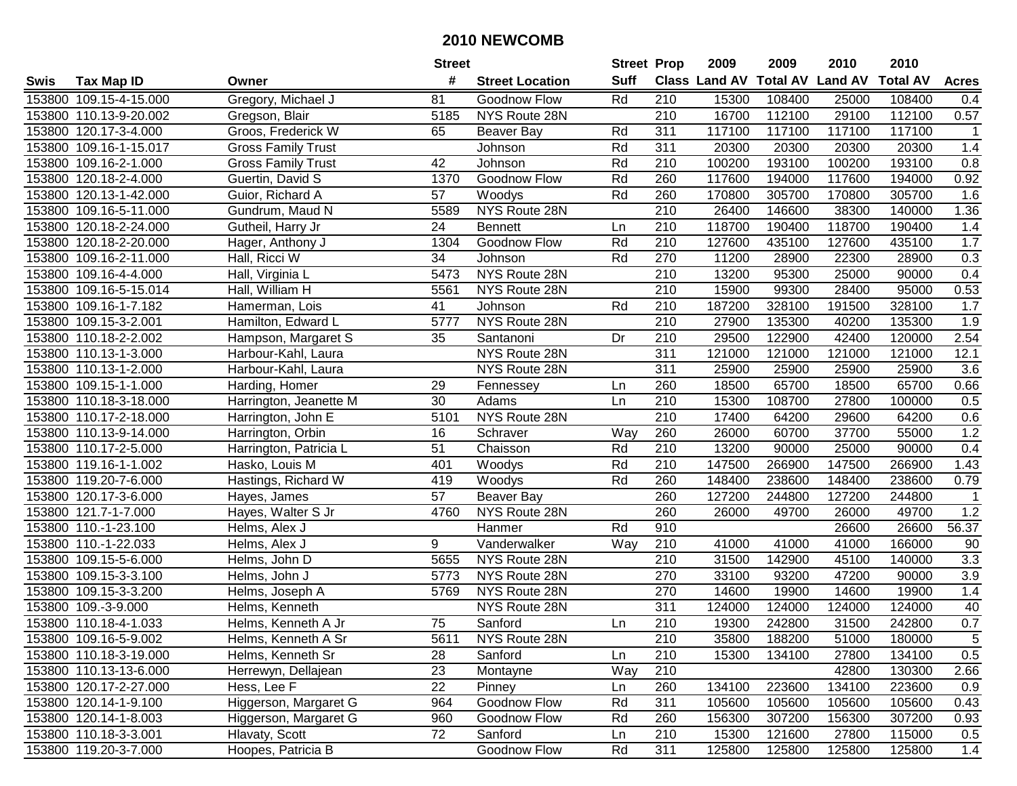|      |                        |                           | <b>Street</b>   |                        | <b>Street Prop</b> |                  | 2009   | 2009   | 2010                           | 2010            |                  |
|------|------------------------|---------------------------|-----------------|------------------------|--------------------|------------------|--------|--------|--------------------------------|-----------------|------------------|
| Swis | <b>Tax Map ID</b>      | Owner                     | #               | <b>Street Location</b> | <b>Suff</b>        |                  |        |        | Class Land AV Total AV Land AV | <b>Total AV</b> | <b>Acres</b>     |
|      | 153800 109.15-4-15.000 | Gregory, Michael J        | 81              | Goodnow Flow           | Rd                 | 210              | 15300  | 108400 | 25000                          | 108400          | 0.4              |
|      | 153800 110.13-9-20.002 | Gregson, Blair            | 5185            | NYS Route 28N          |                    | 210              | 16700  | 112100 | 29100                          | 112100          | 0.57             |
|      | 153800 120.17-3-4.000  | Groos, Frederick W        | 65              | Beaver Bay             | Rd                 | 311              | 117100 | 117100 | 117100                         | 117100          |                  |
|      | 153800 109.16-1-15.017 | <b>Gross Family Trust</b> |                 | Johnson                | Rd                 | 311              | 20300  | 20300  | 20300                          | 20300           | 1.4              |
|      | 153800 109.16-2-1.000  | <b>Gross Family Trust</b> | 42              | Johnson                | Rd                 | $\overline{210}$ | 100200 | 193100 | 100200                         | 193100          | 0.8              |
|      | 153800 120.18-2-4.000  | Guertin, David S          | 1370            | Goodnow Flow           | Rd                 | 260              | 117600 | 194000 | 117600                         | 194000          | 0.92             |
|      | 153800 120.13-1-42.000 | Guior, Richard A          | $\overline{57}$ | Woodys                 | Rd                 | 260              | 170800 | 305700 | 170800                         | 305700          | 1.6              |
|      | 153800 109.16-5-11.000 | Gundrum, Maud N           | 5589            | NYS Route 28N          |                    | $\overline{210}$ | 26400  | 146600 | 38300                          | 140000          | 1.36             |
|      | 153800 120.18-2-24.000 | Gutheil, Harry Jr         | 24              | <b>Bennett</b>         | Ln                 | $\overline{210}$ | 118700 | 190400 | 118700                         | 190400          | 1.4              |
|      | 153800 120.18-2-20.000 | Hager, Anthony J          | 1304            | Goodnow Flow           | Rd                 | 210              | 127600 | 435100 | 127600                         | 435100          | 1.7              |
|      | 153800 109.16-2-11.000 | Hall, Ricci W             | 34              | Johnson                | Rd                 | 270              | 11200  | 28900  | 22300                          | 28900           | 0.3              |
|      | 153800 109.16-4-4.000  | Hall, Virginia L          | 5473            | NYS Route 28N          |                    | 210              | 13200  | 95300  | 25000                          | 90000           | 0.4              |
|      | 153800 109.16-5-15.014 | Hall, William H           | 5561            | NYS Route 28N          |                    | 210              | 15900  | 99300  | 28400                          | 95000           | 0.53             |
|      | 153800 109.16-1-7.182  | Hamerman, Lois            | 41              | Johnson                | Rd                 | 210              | 187200 | 328100 | 191500                         | 328100          | 1.7              |
|      | 153800 109.15-3-2.001  | Hamilton, Edward L        | 5777            | NYS Route 28N          |                    | 210              | 27900  | 135300 | 40200                          | 135300          | 1.9              |
|      | 153800 110.18-2-2.002  | Hampson, Margaret S       | 35              | Santanoni              | Dr                 | 210              | 29500  | 122900 | 42400                          | 120000          | 2.54             |
|      | 153800 110.13-1-3.000  | Harbour-Kahl, Laura       |                 | NYS Route 28N          |                    | 311              | 121000 | 121000 | 121000                         | 121000          | 12.1             |
|      | 153800 110.13-1-2.000  | Harbour-Kahl, Laura       |                 | NYS Route 28N          |                    | 311              | 25900  | 25900  | 25900                          | 25900           | 3.6              |
|      | 153800 109.15-1-1.000  | Harding, Homer            | 29              | Fennessey              | Ln                 | 260              | 18500  | 65700  | 18500                          | 65700           | 0.66             |
|      | 153800 110.18-3-18.000 | Harrington, Jeanette M    | 30              | Adams                  | Ln                 | 210              | 15300  | 108700 | 27800                          | 100000          | 0.5              |
|      | 153800 110.17-2-18.000 | Harrington, John E        | 5101            | NYS Route 28N          |                    | 210              | 17400  | 64200  | 29600                          | 64200           | 0.6              |
|      | 153800 110.13-9-14.000 | Harrington, Orbin         | 16              | Schraver               | Way                | 260              | 26000  | 60700  | 37700                          | 55000           | 1.2              |
|      | 153800 110.17-2-5.000  | Harrington, Patricia L    | 51              | Chaisson               | Rd                 | 210              | 13200  | 90000  | 25000                          | 90000           | 0.4              |
|      | 153800 119.16-1-1.002  | Hasko, Louis M            | 401             | Woodys                 | Rd                 | $\overline{210}$ | 147500 | 266900 | 147500                         | 266900          | 1.43             |
|      | 153800 119.20-7-6.000  | Hastings, Richard W       | 419             | Woodys                 | Rd                 | 260              | 148400 | 238600 | 148400                         | 238600          | 0.79             |
|      | 153800 120.17-3-6.000  | Hayes, James              | 57              | Beaver Bay             |                    | 260              | 127200 | 244800 | 127200                         | 244800          | $\mathbf{1}$     |
|      | 153800 121.7-1-7.000   | Hayes, Walter S Jr        | 4760            | NYS Route 28N          |                    | 260              | 26000  | 49700  | 26000                          | 49700           | 1.2              |
|      | 153800 110.-1-23.100   | Helms, Alex J             |                 | Hanmer                 | Rd                 | 910              |        |        | 26600                          | 26600           | 56.37            |
|      | 153800 110.-1-22.033   | Helms, Alex J             | 9               | Vanderwalker           | Way                | 210              | 41000  | 41000  | 41000                          | 166000          | 90               |
|      | 153800 109.15-5-6.000  | Helms, John D             | 5655            | NYS Route 28N          |                    | $\overline{210}$ | 31500  | 142900 | 45100                          | 140000          | $\overline{3.3}$ |
|      | 153800 109.15-3-3.100  | Helms, John J             | 5773            | NYS Route 28N          |                    | 270              | 33100  | 93200  | 47200                          | 90000           | 3.9              |
|      | 153800 109.15-3-3.200  | Helms, Joseph A           | 5769            | NYS Route 28N          |                    | 270              | 14600  | 19900  | 14600                          | 19900           | 1.4              |
|      | 153800 109.-3-9.000    | Helms, Kenneth            |                 | NYS Route 28N          |                    | 311              | 124000 | 124000 | 124000                         | 124000          | 40               |
|      | 153800 110.18-4-1.033  | Helms, Kenneth A Jr       | 75              | Sanford                | Ln                 | $\overline{210}$ | 19300  | 242800 | 31500                          | 242800          | 0.7              |
|      | 153800 109.16-5-9.002  | Helms, Kenneth A Sr       | 5611            | NYS Route 28N          |                    | 210              | 35800  | 188200 | 51000                          | 180000          | $\sqrt{5}$       |
|      | 153800 110.18-3-19.000 | Helms, Kenneth Sr         | 28              | Sanford                | Ln                 | 210              | 15300  | 134100 | 27800                          | 134100          | 0.5              |
|      | 153800 110.13-13-6.000 | Herrewyn, Dellajean       | 23              | Montayne               | Way                | 210              |        |        | 42800                          | 130300          | 2.66             |
|      | 153800 120.17-2-27.000 | Hess, Lee F               | 22              | Pinney                 | Ln                 | 260              | 134100 | 223600 | 134100                         | 223600          | 0.9              |
|      | 153800 120.14-1-9.100  | Higgerson, Margaret G     | 964             | Goodnow Flow           | Rd                 | 311              | 105600 | 105600 | 105600                         | 105600          | 0.43             |
|      | 153800 120.14-1-8.003  | Higgerson, Margaret G     | 960             | Goodnow Flow           | Rd                 | 260              | 156300 | 307200 | 156300                         | 307200          | 0.93             |
|      | 153800 110.18-3-3.001  | Hlavaty, Scott            | 72              | Sanford                | Ln                 | 210              | 15300  | 121600 | 27800                          | 115000          | 0.5              |
|      | 153800 119.20-3-7.000  | Hoopes, Patricia B        |                 | <b>Goodnow Flow</b>    | Rd                 | 311              | 125800 | 125800 | 125800                         | 125800          | 1.4              |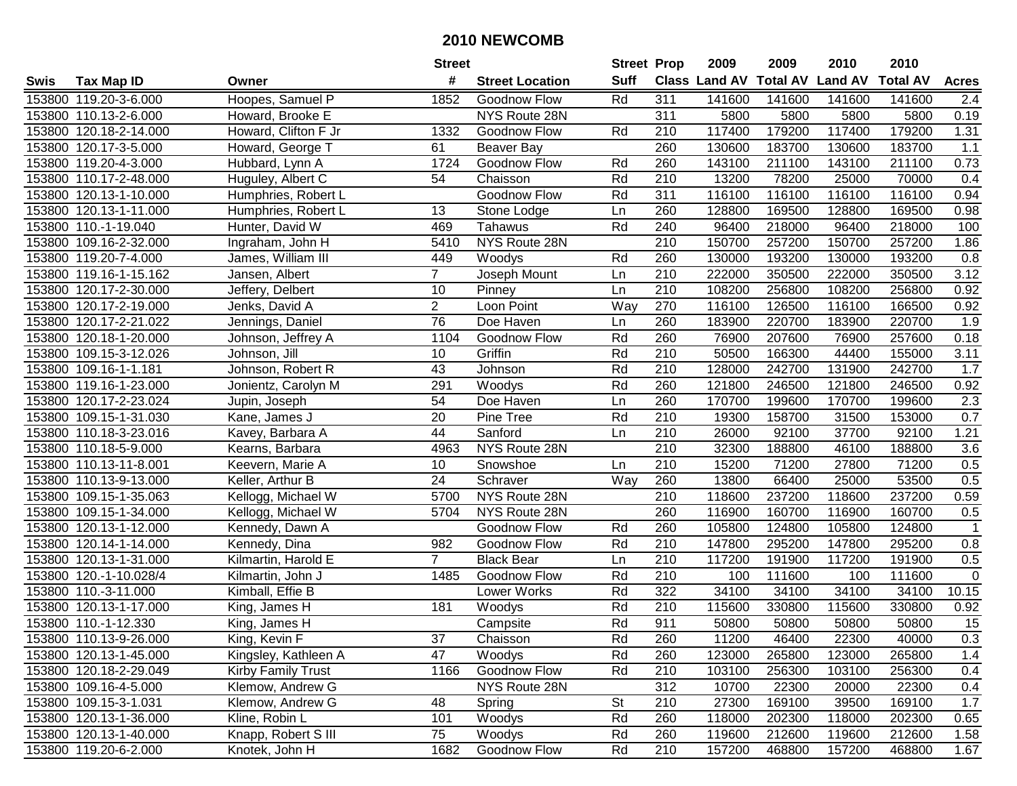|      |                        |                      | <b>Street</b>  |                        | <b>Street Prop</b> |                  | 2009                          | 2009   | 2010           | 2010            |              |
|------|------------------------|----------------------|----------------|------------------------|--------------------|------------------|-------------------------------|--------|----------------|-----------------|--------------|
| Swis | <b>Tax Map ID</b>      | Owner                | #              | <b>Street Location</b> | <b>Suff</b>        |                  | <b>Class Land AV Total AV</b> |        | <b>Land AV</b> | <b>Total AV</b> | <b>Acres</b> |
|      | 153800 119.20-3-6.000  | Hoopes, Samuel P     | 1852           | Goodnow Flow           | Rd                 | 311              | 141600                        | 141600 | 141600         | 141600          | 2.4          |
|      | 153800 110.13-2-6.000  | Howard, Brooke E     |                | NYS Route 28N          |                    | 311              | 5800                          | 5800   | 5800           | 5800            | 0.19         |
|      | 153800 120.18-2-14.000 | Howard, Clifton F Jr | 1332           | Goodnow Flow           | Rd                 | 210              | 117400                        | 179200 | 117400         | 179200          | 1.31         |
|      | 153800 120.17-3-5.000  | Howard, George T     | 61             | Beaver Bay             |                    | 260              | 130600                        | 183700 | 130600         | 183700          | 1.1          |
|      | 153800 119.20-4-3.000  | Hubbard, Lynn A      | 1724           | Goodnow Flow           | Rd                 | 260              | 143100                        | 211100 | 143100         | 211100          | 0.73         |
|      | 153800 110.17-2-48.000 | Huguley, Albert C    | 54             | Chaisson               | Rd                 | 210              | 13200                         | 78200  | 25000          | 70000           | 0.4          |
|      | 153800 120.13-1-10.000 | Humphries, Robert L  |                | Goodnow Flow           | Rd                 | 311              | 116100                        | 116100 | 116100         | 116100          | 0.94         |
|      | 153800 120.13-1-11.000 | Humphries, Robert L  | 13             | Stone Lodge            | Ln                 | 260              | 128800                        | 169500 | 128800         | 169500          | 0.98         |
|      | 153800 110.-1-19.040   | Hunter, David W      | 469            | Tahawus                | Rd                 | 240              | 96400                         | 218000 | 96400          | 218000          | 100          |
|      | 153800 109.16-2-32.000 | Ingraham, John H     | 5410           | NYS Route 28N          |                    | 210              | 150700                        | 257200 | 150700         | 257200          | 1.86         |
|      | 153800 119.20-7-4.000  | James, William III   | 449            | Woodys                 | Rd                 | 260              | 130000                        | 193200 | 130000         | 193200          | 0.8          |
|      | 153800 119.16-1-15.162 | Jansen, Albert       | $\overline{7}$ | Joseph Mount           | Ln                 | 210              | 222000                        | 350500 | 222000         | 350500          | 3.12         |
|      | 153800 120.17-2-30.000 | Jeffery, Delbert     | 10             | Pinney                 | Ln                 | 210              | 108200                        | 256800 | 108200         | 256800          | 0.92         |
|      | 153800 120.17-2-19.000 | Jenks, David A       | $\overline{c}$ | Loon Point             | Way                | 270              | 116100                        | 126500 | 116100         | 166500          | 0.92         |
|      | 153800 120.17-2-21.022 | Jennings, Daniel     | 76             | Doe Haven              | Ln                 | 260              | 183900                        | 220700 | 183900         | 220700          | 1.9          |
|      | 153800 120.18-1-20.000 | Johnson, Jeffrey A   | 1104           | Goodnow Flow           | Rd                 | 260              | 76900                         | 207600 | 76900          | 257600          | 0.18         |
|      | 153800 109.15-3-12.026 | Johnson, Jill        | 10             | Griffin                | Rd                 | 210              | 50500                         | 166300 | 44400          | 155000          | 3.11         |
|      | 153800 109.16-1-1.181  | Johnson, Robert R    | 43             | Johnson                | Rd                 | 210              | 128000                        | 242700 | 131900         | 242700          | 1.7          |
|      | 153800 119.16-1-23.000 | Jonientz, Carolyn M  | 291            | Woodys                 | Rd                 | 260              | 121800                        | 246500 | 121800         | 246500          | 0.92         |
|      | 153800 120.17-2-23.024 | Jupin, Joseph        | 54             | Doe Haven              | Ln                 | 260              | 170700                        | 199600 | 170700         | 199600          | 2.3          |
|      | 153800 109.15-1-31.030 | Kane, James J        | 20             | Pine Tree              | Rd                 | 210              | 19300                         | 158700 | 31500          | 153000          | 0.7          |
|      | 153800 110.18-3-23.016 | Kavey, Barbara A     | 44             | Sanford                | Ln                 | 210              | 26000                         | 92100  | 37700          | 92100           | 1.21         |
|      | 153800 110.18-5-9.000  | Kearns, Barbara      | 4963           | NYS Route 28N          |                    | 210              | 32300                         | 188800 | 46100          | 188800          | 3.6          |
|      | 153800 110.13-11-8.001 | Keevern, Marie A     | 10             | Snowshoe               | Ln                 | 210              | 15200                         | 71200  | 27800          | 71200           | 0.5          |
|      | 153800 110.13-9-13.000 | Keller, Arthur B     | 24             | Schraver               | Way                | 260              | 13800                         | 66400  | 25000          | 53500           | 0.5          |
|      | 153800 109.15-1-35.063 | Kellogg, Michael W   | 5700           | NYS Route 28N          |                    | 210              | 118600                        | 237200 | 118600         | 237200          | 0.59         |
|      | 153800 109.15-1-34.000 | Kellogg, Michael W   | 5704           | NYS Route 28N          |                    | 260              | 116900                        | 160700 | 116900         | 160700          | 0.5          |
|      | 153800 120.13-1-12.000 | Kennedy, Dawn A      |                | Goodnow Flow           | Rd                 | 260              | 105800                        | 124800 | 105800         | 124800          |              |
|      | 153800 120.14-1-14.000 | Kennedy, Dina        | 982            | Goodnow Flow           | Rd                 | 210              | 147800                        | 295200 | 147800         | 295200          | 0.8          |
|      | 153800 120.13-1-31.000 | Kilmartin, Harold E  | $\overline{7}$ | <b>Black Bear</b>      | Ln                 | $\overline{210}$ | 117200                        | 191900 | 117200         | 191900          | 0.5          |
|      | 153800 120.-1-10.028/4 | Kilmartin, John J    | 1485           | Goodnow Flow           | Rd                 | 210              | 100                           | 111600 | 100            | 111600          | $\mathbf 0$  |
|      | 153800 110.-3-11.000   | Kimball, Effie B     |                | Lower Works            | Rd                 | 322              | 34100                         | 34100  | 34100          | 34100           | 10.15        |
|      | 153800 120.13-1-17.000 | King, James H        | 181            | Woodys                 | Rd                 | $\overline{210}$ | 115600                        | 330800 | 115600         | 330800          | 0.92         |
|      | 153800 110.-1-12.330   | King, James H        |                | Campsite               | Rd                 | 911              | 50800                         | 50800  | 50800          | 50800           | 15           |
|      | 153800 110.13-9-26.000 | King, Kevin F        | 37             | Chaisson               | Rd                 | 260              | 11200                         | 46400  | 22300          | 40000           | 0.3          |
|      | 153800 120.13-1-45.000 | Kingsley, Kathleen A | 47             | Woodys                 | Rd                 | 260              | 123000                        | 265800 | 123000         | 265800          | 1.4          |
|      | 153800 120.18-2-29.049 | Kirby Family Trust   | 1166           | Goodnow Flow           | Rd                 | 210              | 103100                        | 256300 | 103100         | 256300          | 0.4          |
|      | 153800 109.16-4-5.000  | Klemow, Andrew G     |                | NYS Route 28N          |                    | 312              | 10700                         | 22300  | 20000          | 22300           | 0.4          |
|      | 153800 109.15-3-1.031  | Klemow, Andrew G     | 48             | Spring                 | St                 | 210              | 27300                         | 169100 | 39500          | 169100          | 1.7          |
|      | 153800 120.13-1-36.000 | Kline, Robin L       | 101            | Woodys                 | Rd                 | 260              | 118000                        | 202300 | 118000         | 202300          | 0.65         |
|      | 153800 120.13-1-40.000 | Knapp, Robert S III  | 75             | Woodys                 | Rd                 | 260              | 119600                        | 212600 | 119600         | 212600          | 1.58         |
|      | 153800 119.20-6-2.000  | Knotek, John H       | 1682           | Goodnow Flow           | Rd                 | 210              | 157200                        | 468800 | 157200         | 468800          | 1.67         |
|      |                        |                      |                |                        |                    |                  |                               |        |                |                 |              |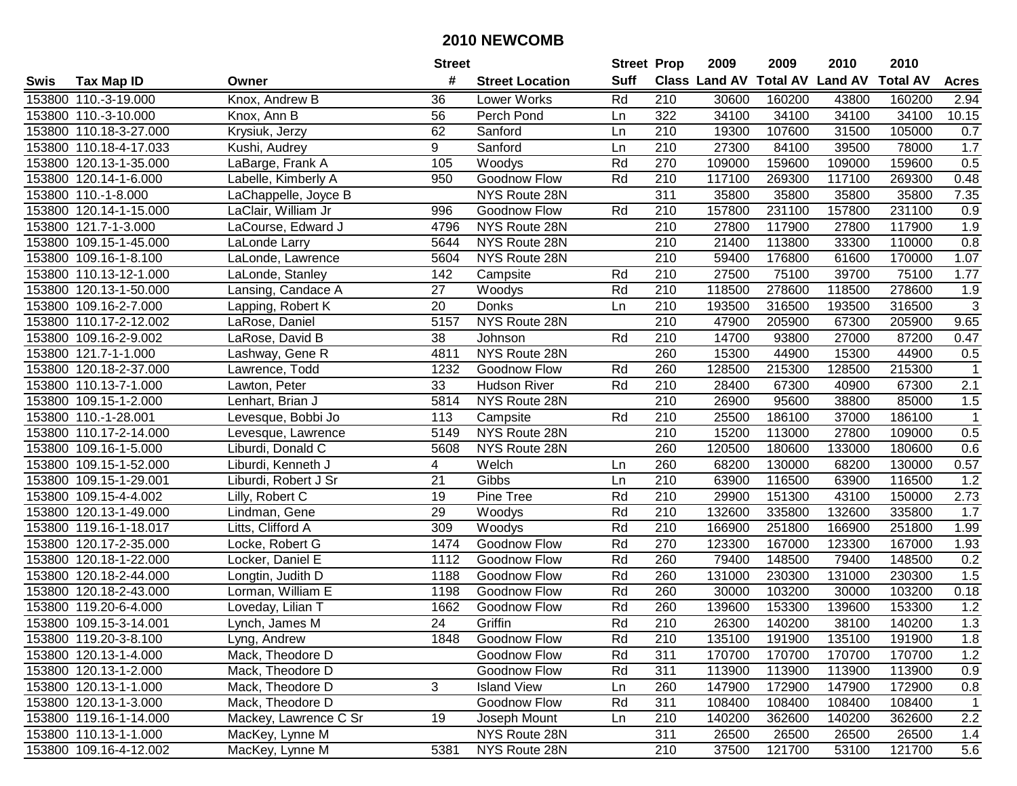|      |                        |                       | <b>Street</b> |                        | <b>Street Prop</b> |                  | 2009   | 2009   | 2010                                    | 2010   |                |
|------|------------------------|-----------------------|---------------|------------------------|--------------------|------------------|--------|--------|-----------------------------------------|--------|----------------|
| Swis | <b>Tax Map ID</b>      | Owner                 | #             | <b>Street Location</b> | <b>Suff</b>        |                  |        |        | Class Land AV Total AV Land AV Total AV |        | <b>Acres</b>   |
|      | 153800 110.-3-19.000   | Knox, Andrew B        | 36            | Lower Works            | Rd                 | 210              | 30600  | 160200 | 43800                                   | 160200 | 2.94           |
|      | 153800 110.-3-10.000   | Knox, Ann B           | 56            | Perch Pond             | Ln                 | 322              | 34100  | 34100  | 34100                                   | 34100  | 10.15          |
|      | 153800 110.18-3-27.000 | Krysiuk, Jerzy        | 62            | Sanford                | Ln                 | 210              | 19300  | 107600 | 31500                                   | 105000 | 0.7            |
|      | 153800 110.18-4-17.033 | Kushi, Audrey         | 9             | Sanford                | Ln                 | 210              | 27300  | 84100  | 39500                                   | 78000  | 1.7            |
|      | 153800 120.13-1-35.000 | LaBarge, Frank A      | 105           | Woodys                 | Rd                 | 270              | 109000 | 159600 | 109000                                  | 159600 | 0.5            |
|      | 153800 120.14-1-6.000  | Labelle, Kimberly A   | 950           | Goodnow Flow           | Rd                 | 210              | 117100 | 269300 | 117100                                  | 269300 | 0.48           |
|      | 153800 110.-1-8.000    | LaChappelle, Joyce B  |               | NYS Route 28N          |                    | 311              | 35800  | 35800  | 35800                                   | 35800  | 7.35           |
|      | 153800 120.14-1-15.000 | LaClair, William Jr   | 996           | Goodnow Flow           | Rd                 | 210              | 157800 | 231100 | 157800                                  | 231100 | 0.9            |
|      | 153800 121.7-1-3.000   | LaCourse, Edward J    | 4796          | NYS Route 28N          |                    | 210              | 27800  | 117900 | 27800                                   | 117900 | 1.9            |
|      | 153800 109.15-1-45.000 | LaLonde Larry         | 5644          | NYS Route 28N          |                    | 210              | 21400  | 113800 | 33300                                   | 110000 | 0.8            |
|      | 153800 109.16-1-8.100  | LaLonde, Lawrence     | 5604          | NYS Route 28N          |                    | 210              | 59400  | 176800 | 61600                                   | 170000 | 1.07           |
|      | 153800 110.13-12-1.000 | LaLonde, Stanley      | 142           | Campsite               | Rd                 | 210              | 27500  | 75100  | 39700                                   | 75100  | 1.77           |
|      | 153800 120.13-1-50.000 | Lansing, Candace A    | 27            | Woodys                 | Rd                 | 210              | 118500 | 278600 | 118500                                  | 278600 | 1.9            |
|      | 153800 109.16-2-7.000  | Lapping, Robert K     | 20            | Donks                  | Ln                 | 210              | 193500 | 316500 | 193500                                  | 316500 | $\sqrt{3}$     |
|      | 153800 110.17-2-12.002 | LaRose, Daniel        | 5157          | NYS Route 28N          |                    | 210              | 47900  | 205900 | 67300                                   | 205900 | 9.65           |
|      | 153800 109.16-2-9.002  | LaRose, David B       | 38            | Johnson                | Rd                 | 210              | 14700  | 93800  | 27000                                   | 87200  | 0.47           |
|      | 153800 121.7-1-1.000   | Lashway, Gene R       | 4811          | NYS Route 28N          |                    | 260              | 15300  | 44900  | 15300                                   | 44900  | 0.5            |
|      | 153800 120.18-2-37.000 | Lawrence, Todd        | 1232          | Goodnow Flow           | Rd                 | 260              | 128500 | 215300 | 128500                                  | 215300 | $\mathbf 1$    |
|      | 153800 110.13-7-1.000  | Lawton, Peter         | 33            | <b>Hudson River</b>    | Rd                 | 210              | 28400  | 67300  | 40900                                   | 67300  | 2.1            |
|      | 153800 109.15-1-2.000  | Lenhart, Brian J      | 5814          | NYS Route 28N          |                    | 210              | 26900  | 95600  | 38800                                   | 85000  | 1.5            |
|      | 153800 110.-1-28.001   | Levesque, Bobbi Jo    | 113           | Campsite               | Rd                 | 210              | 25500  | 186100 | 37000                                   | 186100 | $\overline{1}$ |
|      | 153800 110.17-2-14.000 | Levesque, Lawrence    | 5149          | NYS Route 28N          |                    | 210              | 15200  | 113000 | 27800                                   | 109000 | 0.5            |
|      | 153800 109.16-1-5.000  | Liburdi, Donald C     | 5608          | NYS Route 28N          |                    | 260              | 120500 | 180600 | 133000                                  | 180600 | 0.6            |
|      | 153800 109.15-1-52.000 | Liburdi, Kenneth J    | 4             | Welch                  | Ln                 | 260              | 68200  | 130000 | 68200                                   | 130000 | 0.57           |
|      | 153800 109.15-1-29.001 | Liburdi, Robert J Sr  | 21            | Gibbs                  | Ln                 | 210              | 63900  | 116500 | 63900                                   | 116500 | 1.2            |
|      | 153800 109.15-4-4.002  | Lilly, Robert C       | 19            | Pine Tree              | Rd                 | 210              | 29900  | 151300 | 43100                                   | 150000 | 2.73           |
|      | 153800 120.13-1-49.000 | Lindman, Gene         | 29            | Woodys                 | Rd                 | 210              | 132600 | 335800 | 132600                                  | 335800 | 1.7            |
|      | 153800 119.16-1-18.017 | Litts, Clifford A     | 309           | Woodys                 | Rd                 | 210              | 166900 | 251800 | 166900                                  | 251800 | 1.99           |
|      | 153800 120.17-2-35.000 | Locke, Robert G       | 1474          | Goodnow Flow           | Rd                 | 270              | 123300 | 167000 | 123300                                  | 167000 | 1.93           |
|      | 153800 120.18-1-22.000 | Locker, Daniel E      | 1112          | Goodnow Flow           | Rd                 | 260              | 79400  | 148500 | 79400                                   | 148500 | 0.2            |
|      | 153800 120.18-2-44.000 | Longtin, Judith D     | 1188          | Goodnow Flow           | Rd                 | 260              | 131000 | 230300 | 131000                                  | 230300 | 1.5            |
|      | 153800 120.18-2-43.000 | Lorman, William E     | 1198          | Goodnow Flow           | Rd                 | 260              | 30000  | 103200 | 30000                                   | 103200 | 0.18           |
|      | 153800 119.20-6-4.000  | Loveday, Lilian T     | 1662          | Goodnow Flow           | Rd                 | 260              | 139600 | 153300 | 139600                                  | 153300 | 1.2            |
|      | 153800 109.15-3-14.001 | Lynch, James M        | 24            | Griffin                | Rd                 | $\overline{210}$ | 26300  | 140200 | 38100                                   | 140200 | 1.3            |
|      | 153800 119.20-3-8.100  | Lyng, Andrew          | 1848          | Goodnow Flow           | Rd                 | 210              | 135100 | 191900 | 135100                                  | 191900 | 1.8            |
|      | 153800 120.13-1-4.000  | Mack, Theodore D      |               | Goodnow Flow           | Rd                 | 311              | 170700 | 170700 | 170700                                  | 170700 | 1.2            |
|      | 153800 120.13-1-2.000  | Mack, Theodore D      |               | Goodnow Flow           | Rd                 | 311              | 113900 | 113900 | 113900                                  | 113900 | 0.9            |
|      | 153800 120.13-1-1.000  | Mack, Theodore D      | 3             | <b>Island View</b>     | Ln                 | 260              | 147900 | 172900 | 147900                                  | 172900 | 0.8            |
|      | 153800 120.13-1-3.000  | Mack, Theodore D      |               | Goodnow Flow           | Rd                 | 311              | 108400 | 108400 | 108400                                  | 108400 | $\mathbf 1$    |
|      | 153800 119.16-1-14.000 | Mackey, Lawrence C Sr | 19            | Joseph Mount           | Ln                 | 210              | 140200 | 362600 | 140200                                  | 362600 | 2.2            |
|      | 153800 110.13-1-1.000  | MacKey, Lynne M       |               | NYS Route 28N          |                    | 311              | 26500  | 26500  | 26500                                   | 26500  | 1.4            |
|      | 153800 109.16-4-12.002 | MacKey, Lynne M       | 5381          | NYS Route 28N          |                    | 210              | 37500  | 121700 | 53100                                   | 121700 | 5.6            |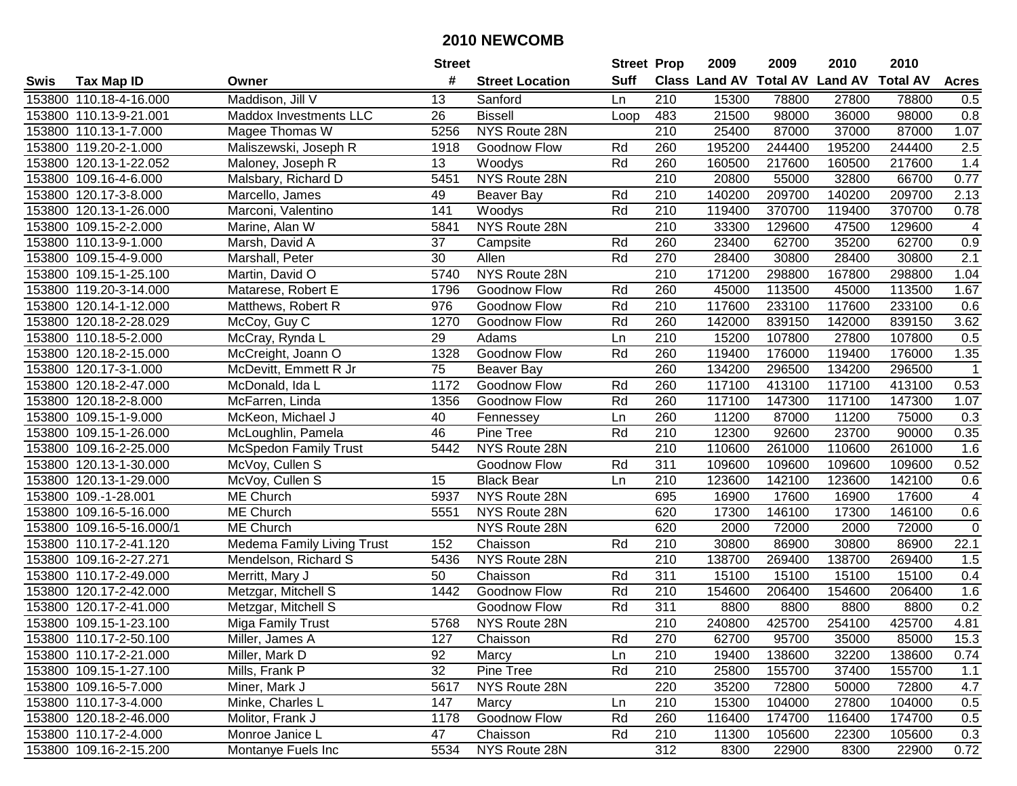|        |                          |                              | <b>Street</b> |                        | <b>Street Prop</b> |                  | 2009                          | 2009   | 2010           | 2010            |                |
|--------|--------------------------|------------------------------|---------------|------------------------|--------------------|------------------|-------------------------------|--------|----------------|-----------------|----------------|
| Swis   | <b>Tax Map ID</b>        | Owner                        | #             | <b>Street Location</b> | <b>Suff</b>        |                  | <b>Class Land AV Total AV</b> |        | <b>Land AV</b> | <b>Total AV</b> | <b>Acres</b>   |
|        | 153800 110.18-4-16.000   | Maddison, Jill V             | 13            | Sanford                | Ln                 | 210              | 15300                         | 78800  | 27800          | 78800           | 0.5            |
|        | 153800 110.13-9-21.001   | Maddox Investments LLC       | 26            | <b>Bissell</b>         | Loop               | 483              | 21500                         | 98000  | 36000          | 98000           | 0.8            |
|        | 153800 110.13-1-7.000    | Magee Thomas W               | 5256          | NYS Route 28N          |                    | 210              | 25400                         | 87000  | 37000          | 87000           | 1.07           |
|        | 153800 119.20-2-1.000    | Maliszewski, Joseph R        | 1918          | Goodnow Flow           | Rd                 | 260              | 195200                        | 244400 | 195200         | 244400          | 2.5            |
|        | 153800 120.13-1-22.052   | Maloney, Joseph R            | 13            | Woodys                 | Rd                 | 260              | 160500                        | 217600 | 160500         | 217600          | 1.4            |
|        | 153800 109.16-4-6.000    | Malsbary, Richard D          | 5451          | NYS Route 28N          |                    | $\overline{210}$ | 20800                         | 55000  | 32800          | 66700           | 0.77           |
|        | 153800 120.17-3-8.000    | Marcello, James              | 49            | <b>Beaver Bay</b>      | Rd                 | 210              | 140200                        | 209700 | 140200         | 209700          | 2.13           |
|        | 153800 120.13-1-26.000   | Marconi, Valentino           | 141           | Woodys                 | Rd                 | $\overline{210}$ | 119400                        | 370700 | 119400         | 370700          | 0.78           |
|        | 153800 109.15-2-2.000    | Marine, Alan W               | 5841          | NYS Route 28N          |                    | $\overline{210}$ | 33300                         | 129600 | 47500          | 129600          | 4              |
|        | 153800 110.13-9-1.000    | Marsh, David A               | 37            | Campsite               | Rd                 | 260              | 23400                         | 62700  | 35200          | 62700           | 0.9            |
|        | 153800 109.15-4-9.000    | Marshall, Peter              | 30            | Allen                  | Rd                 | 270              | 28400                         | 30800  | 28400          | 30800           | 2.1            |
|        | 153800 109.15-1-25.100   | Martin, David O              | 5740          | NYS Route 28N          |                    | 210              | 171200                        | 298800 | 167800         | 298800          | 1.04           |
|        | 153800 119.20-3-14.000   | Matarese, Robert E           | 1796          | Goodnow Flow           | Rd                 | 260              | 45000                         | 113500 | 45000          | 113500          | 1.67           |
|        | 153800 120.14-1-12.000   | Matthews, Robert R           | 976           | Goodnow Flow           | Rd                 | 210              | 117600                        | 233100 | 117600         | 233100          | 0.6            |
|        | 153800 120.18-2-28.029   | McCoy, Guy C                 | 1270          | Goodnow Flow           | Rd                 | 260              | 142000                        | 839150 | 142000         | 839150          | 3.62           |
|        | 153800 110.18-5-2.000    | McCray, Rynda L              | 29            | Adams                  | Ln                 | 210              | 15200                         | 107800 | 27800          | 107800          | 0.5            |
|        | 153800 120.18-2-15.000   | McCreight, Joann O           | 1328          | Goodnow Flow           | Rd                 | 260              | 119400                        | 176000 | 119400         | 176000          | 1.35           |
|        | 153800 120.17-3-1.000    | McDevitt, Emmett R Jr        | 75            | <b>Beaver Bay</b>      |                    | 260              | 134200                        | 296500 | 134200         | 296500          | $\overline{1}$ |
|        | 153800 120.18-2-47.000   | McDonald, Ida L              | 1172          | Goodnow Flow           | Rd                 | 260              | 117100                        | 413100 | 117100         | 413100          | 0.53           |
|        | 153800 120.18-2-8.000    | McFarren, Linda              | 1356          | Goodnow Flow           | Rd                 | 260              | 117100                        | 147300 | 117100         | 147300          | 1.07           |
|        | 153800 109.15-1-9.000    | McKeon, Michael J            | 40            | Fennessey              | Ln                 | 260              | 11200                         | 87000  | 11200          | 75000           | 0.3            |
| 153800 | 109.15-1-26.000          | McLoughlin, Pamela           | 46            | Pine Tree              | Rd                 | 210              | 12300                         | 92600  | 23700          | 90000           | 0.35           |
| 153800 | 109.16-2-25.000          | <b>McSpedon Family Trust</b> | 5442          | NYS Route 28N          |                    | 210              | 110600                        | 261000 | 110600         | 261000          | 1.6            |
|        | 153800 120.13-1-30.000   | McVoy, Cullen S              |               | Goodnow Flow           | Rd                 | 311              | 109600                        | 109600 | 109600         | 109600          | 0.52           |
|        | 153800 120.13-1-29.000   | McVoy, Cullen S              | 15            | <b>Black Bear</b>      | Ln                 | $\overline{210}$ | 123600                        | 142100 | 123600         | 142100          | 0.6            |
|        | 153800 109.-1-28.001     | ME Church                    | 5937          | NYS Route 28N          |                    | 695              | 16900                         | 17600  | 16900          | 17600           | $\overline{4}$ |
|        | 153800 109.16-5-16.000   | ME Church                    | 5551          | NYS Route 28N          |                    | 620              | 17300                         | 146100 | 17300          | 146100          | 0.6            |
|        | 153800 109.16-5-16.000/1 | <b>ME Church</b>             |               | NYS Route 28N          |                    | 620              | 2000                          | 72000  | 2000           | 72000           | $\mathbf 0$    |
|        | 153800 110.17-2-41.120   | Medema Family Living Trust   | 152           | Chaisson               | Rd                 | 210              | 30800                         | 86900  | 30800          | 86900           | 22.1           |
|        | 153800 109.16-2-27.271   | Mendelson, Richard S         | 5436          | NYS Route 28N          |                    | $\overline{210}$ | 138700                        | 269400 | 138700         | 269400          | 1.5            |
|        | 153800 110.17-2-49.000   | Merritt, Mary J              | 50            | Chaisson               | Rd                 | 311              | 15100                         | 15100  | 15100          | 15100           | 0.4            |
|        | 153800 120.17-2-42.000   | Metzgar, Mitchell S          | 1442          | Goodnow Flow           | Rd                 | 210              | 154600                        | 206400 | 154600         | 206400          | 1.6            |
|        | 153800 120.17-2-41.000   | Metzgar, Mitchell S          |               | Goodnow Flow           | Rd                 | 311              | 8800                          | 8800   | 8800           | 8800            | 0.2            |
|        | 153800 109.15-1-23.100   | Miga Family Trust            | 5768          | NYS Route 28N          |                    | $\overline{210}$ | 240800                        | 425700 | 254100         | 425700          | 4.81           |
|        | 153800 110.17-2-50.100   | Miller, James A              | 127           | Chaisson               | Rd                 | 270              | 62700                         | 95700  | 35000          | 85000           | 15.3           |
|        | 153800 110.17-2-21.000   | Miller, Mark D               | 92            | Marcy                  | Ln                 | 210              | 19400                         | 138600 | 32200          | 138600          | 0.74           |
|        | 153800 109.15-1-27.100   | Mills, Frank P               | 32            | Pine Tree              | Rd                 | 210              | 25800                         | 155700 | 37400          | 155700          | 1.1            |
|        | 153800 109.16-5-7.000    | Miner, Mark J                | 5617          | NYS Route 28N          |                    | 220              | 35200                         | 72800  | 50000          | 72800           | 4.7            |
|        | 153800 110.17-3-4.000    | Minke, Charles L             | 147           | Marcy                  | Ln                 | 210              | 15300                         | 104000 | 27800          | 104000          | 0.5            |
|        | 153800 120.18-2-46.000   | Molitor, Frank J             | 1178          | Goodnow Flow           | Rd                 | 260              | 116400                        | 174700 | 116400         | 174700          | 0.5            |
|        | 153800 110.17-2-4.000    | Monroe Janice L              | 47            | Chaisson               | Rd                 | 210              | 11300                         | 105600 | 22300          | 105600          | 0.3            |
|        | 153800 109.16-2-15.200   | Montanye Fuels Inc           | 5534          | NYS Route 28N          |                    | 312              | 8300                          | 22900  | 8300           | 22900           | 0.72           |
|        |                          |                              |               |                        |                    |                  |                               |        |                |                 |                |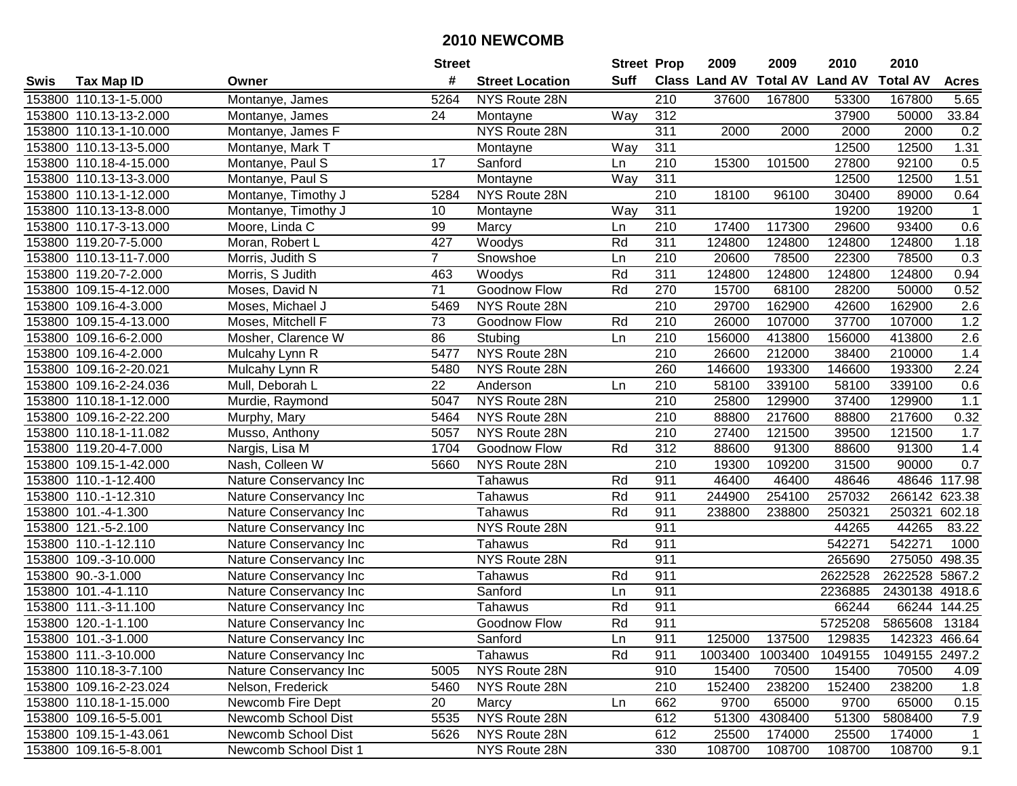|             |                        |                        | <b>Street</b>  |                        | <b>Street Prop</b> |                  | 2009                          | 2009    | 2010           | 2010            |                |
|-------------|------------------------|------------------------|----------------|------------------------|--------------------|------------------|-------------------------------|---------|----------------|-----------------|----------------|
| <b>Swis</b> | Tax Map ID             | Owner                  | #              | <b>Street Location</b> | <b>Suff</b>        |                  | <b>Class Land AV Total AV</b> |         | <b>Land AV</b> | <b>Total AV</b> | <b>Acres</b>   |
|             | 153800 110.13-1-5.000  | Montanye, James        | 5264           | NYS Route 28N          |                    | 210              | 37600                         | 167800  | 53300          | 167800          | 5.65           |
|             | 153800 110.13-13-2.000 | Montanye, James        | 24             | Montayne               | Way                | 312              |                               |         | 37900          | 50000           | 33.84          |
|             | 153800 110.13-1-10.000 | Montanye, James F      |                | NYS Route 28N          |                    | 311              | 2000                          | 2000    | 2000           | 2000            | 0.2            |
|             | 153800 110.13-13-5.000 | Montanye, Mark T       |                | Montayne               | Way                | 311              |                               |         | 12500          | 12500           | 1.31           |
|             | 153800 110.18-4-15.000 | Montanye, Paul S       | 17             | Sanford                | Ln                 | $\overline{210}$ | 15300                         | 101500  | 27800          | 92100           | 0.5            |
|             | 153800 110.13-13-3.000 | Montanye, Paul S       |                | Montayne               | Way                | 311              |                               |         | 12500          | 12500           | 1.51           |
|             | 153800 110.13-1-12.000 | Montanye, Timothy J    | 5284           | NYS Route 28N          |                    | $\overline{210}$ | 18100                         | 96100   | 30400          | 89000           | 0.64           |
|             | 153800 110.13-13-8.000 | Montanye, Timothy J    | 10             | Montayne               | Way                | 311              |                               |         | 19200          | 19200           | $\overline{1}$ |
|             | 153800 110.17-3-13.000 | Moore, Linda C         | 99             | Marcy                  | Ln                 | 210              | 17400                         | 117300  | 29600          | 93400           | 0.6            |
|             | 153800 119.20-7-5.000  | Moran, Robert L        | 427            | Woodys                 | Rd                 | 311              | 124800                        | 124800  | 124800         | 124800          | 1.18           |
|             | 153800 110.13-11-7.000 | Morris, Judith S       | $\overline{7}$ | Snowshoe               | Ln                 | 210              | 20600                         | 78500   | 22300          | 78500           | 0.3            |
|             | 153800 119.20-7-2.000  | Morris, S Judith       | 463            | Woodys                 | Rd                 | 311              | 124800                        | 124800  | 124800         | 124800          | 0.94           |
|             | 153800 109.15-4-12.000 | Moses, David N         | 71             | <b>Goodnow Flow</b>    | Rd                 | 270              | 15700                         | 68100   | 28200          | 50000           | 0.52           |
|             | 153800 109.16-4-3.000  | Moses, Michael J       | 5469           | NYS Route 28N          |                    | 210              | 29700                         | 162900  | 42600          | 162900          | 2.6            |
|             | 153800 109.15-4-13.000 | Moses, Mitchell F      | 73             | Goodnow Flow           | Rd                 | 210              | 26000                         | 107000  | 37700          | 107000          | 1.2            |
|             | 153800 109.16-6-2.000  | Mosher, Clarence W     | 86             | Stubing                | Ln                 | 210              | 156000                        | 413800  | 156000         | 413800          | 2.6            |
|             | 153800 109.16-4-2.000  | Mulcahy Lynn R         | 5477           | NYS Route 28N          |                    | $\overline{210}$ | 26600                         | 212000  | 38400          | 210000          | 1.4            |
|             | 153800 109.16-2-20.021 | Mulcahy Lynn R         | 5480           | NYS Route 28N          |                    | 260              | 146600                        | 193300  | 146600         | 193300          | 2.24           |
|             | 153800 109.16-2-24.036 | Mull, Deborah L        | 22             | Anderson               | Ln                 | 210              | 58100                         | 339100  | 58100          | 339100          | 0.6            |
|             | 153800 110.18-1-12.000 | Murdie, Raymond        | 5047           | NYS Route 28N          |                    | 210              | 25800                         | 129900  | 37400          | 129900          | $1.1$          |
|             | 153800 109.16-2-22.200 | Murphy, Mary           | 5464           | NYS Route 28N          |                    | 210              | 88800                         | 217600  | 88800          | 217600          | 0.32           |
|             | 153800 110.18-1-11.082 | Musso, Anthony         | 5057           | NYS Route 28N          |                    | 210              | 27400                         | 121500  | 39500          | 121500          | 1.7            |
|             | 153800 119.20-4-7.000  | Nargis, Lisa M         | 1704           | Goodnow Flow           | Rd                 | 312              | 88600                         | 91300   | 88600          | 91300           | 1.4            |
|             | 153800 109.15-1-42.000 | Nash, Colleen W        | 5660           | NYS Route 28N          |                    | 210              | 19300                         | 109200  | 31500          | 90000           | 0.7            |
|             | 153800 110.-1-12.400   | Nature Conservancy Inc |                | Tahawus                | Rd                 | 911              | 46400                         | 46400   | 48646          | 48646           | 117.98         |
|             | 153800 110.-1-12.310   | Nature Conservancy Inc |                | Tahawus                | Rd                 | 911              | 244900                        | 254100  | 257032         | 266142          | 623.38         |
|             | 153800 101.-4-1.300    | Nature Conservancy Inc |                | Tahawus                | Rd                 | 911              | 238800                        | 238800  | 250321         | 250321          | 602.18         |
|             | 153800 121.-5-2.100    | Nature Conservancy Inc |                | NYS Route 28N          |                    | 911              |                               |         | 44265          | 44265           | 83.22          |
|             | 153800 110.-1-12.110   | Nature Conservancy Inc |                | Tahawus                | Rd                 | 911              |                               |         | 542271         | 542271          | 1000           |
|             | 153800 109.-3-10.000   | Nature Conservancy Inc |                | NYS Route 28N          |                    | 911              |                               |         | 265690         | 275050          | 498.35         |
|             | 153800 90.-3-1.000     | Nature Conservancy Inc |                | Tahawus                | Rd                 | 911              |                               |         | 2622528        | 2622528         | 5867.2         |
|             | 153800 101.-4-1.110    | Nature Conservancy Inc |                | Sanford                | Ln                 | 911              |                               |         | 2236885        | 2430138 4918.6  |                |
|             | 153800 111.-3-11.100   | Nature Conservancy Inc |                | Tahawus                | Rd                 | 911              |                               |         | 66244          | 66244           | 144.25         |
|             | 153800 120.-1-1.100    | Nature Conservancy Inc |                | Goodnow Flow           | Rd                 | 911              |                               |         | 5725208        | 5865608         | 13184          |
|             | 153800 101.-3-1.000    | Nature Conservancy Inc |                | Sanford                | Ln                 | 911              | 125000                        | 137500  | 129835         |                 | 142323 466.64  |
|             | 153800 111.-3-10.000   | Nature Conservancy Inc |                | Tahawus                | Rd                 | 911              | 1003400                       | 1003400 | 1049155        | 1049155 2497.2  |                |
|             | 153800 110.18-3-7.100  | Nature Conservancy Inc | 5005           | NYS Route 28N          |                    | 910              | 15400                         | 70500   | 15400          | 70500           | 4.09           |
|             | 153800 109.16-2-23.024 | Nelson, Frederick      | 5460           | NYS Route 28N          |                    | 210              | 152400                        | 238200  | 152400         | 238200          | 1.8            |
|             | 153800 110.18-1-15.000 | Newcomb Fire Dept      | 20             | Marcy                  | Ln                 | 662              | 9700                          | 65000   | 9700           | 65000           | 0.15           |
|             | 153800 109.16-5-5.001  | Newcomb School Dist    | 5535           | NYS Route 28N          |                    | 612              | 51300                         | 4308400 | 51300          | 5808400         | 7.9            |
|             | 153800 109.15-1-43.061 | Newcomb School Dist    | 5626           | NYS Route 28N          |                    | 612              | 25500                         | 174000  | 25500          | 174000          | 1              |
|             | 153800 109.16-5-8.001  | Newcomb School Dist 1  |                | NYS Route 28N          |                    | 330              | 108700                        | 108700  | 108700         | 108700          | 9.1            |
|             |                        |                        |                |                        |                    |                  |                               |         |                |                 |                |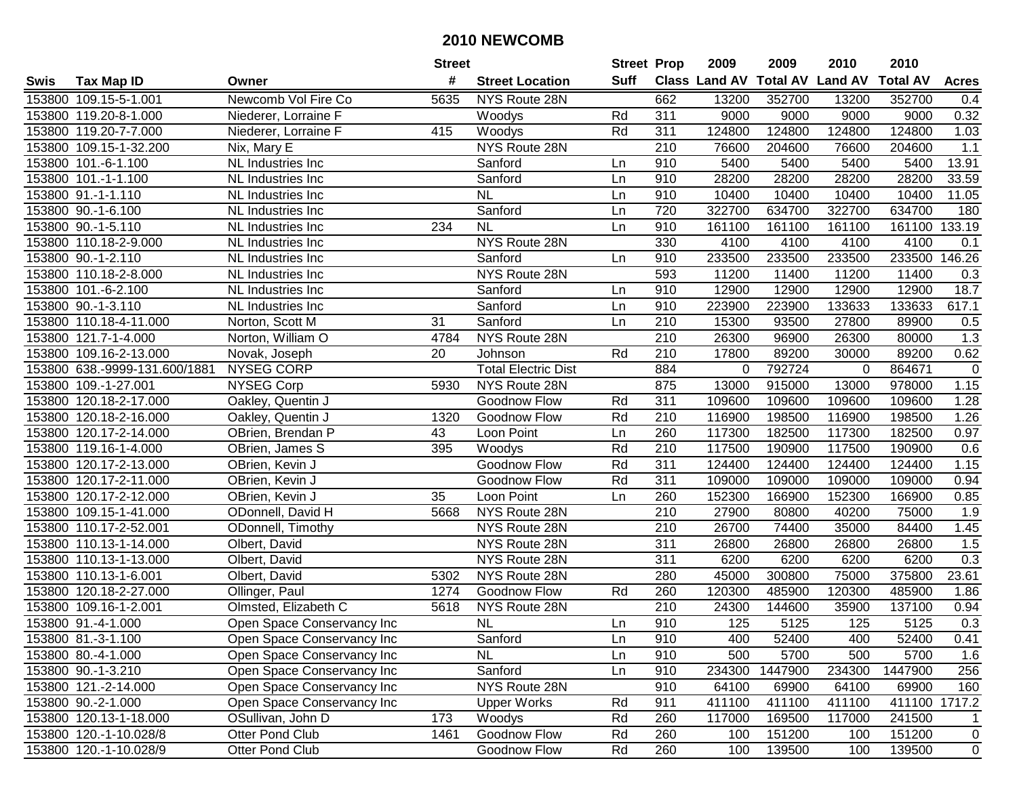| #<br><b>Suff</b><br><b>Class Land AV Total AV</b><br><b>Land AV</b><br><b>Total AV</b><br><b>Tax Map ID</b><br><b>Street Location</b><br><b>Acres</b><br>Swis<br>Owner<br>153800 109.15-5-1.001<br>Newcomb Vol Fire Co<br>5635<br>NYS Route 28N<br>662<br>13200<br>352700<br>13200<br>352700<br>0.4<br>311<br>9000<br>153800 119.20-8-1.000<br>9000<br>9000<br>9000<br>0.32<br>Niederer, Lorraine F<br>Woodys<br>Rd<br>153800 119.20-7-7.000<br>Niederer, Lorraine F<br>415<br>Rd<br>311<br>124800<br>124800<br>124800<br>124800<br>1.03<br>Woodys<br>NYS Route 28N<br>210<br>76600<br>204600<br>76600<br>204600<br>1.1<br>153800 109.15-1-32.200<br>Nix, Mary E<br>153800 101.-6-1.100<br>910<br>5400<br>5400<br>5400<br>5400<br>13.91<br>NL Industries Inc<br>Sanford<br>Ln<br>28200<br>33.59<br>153800 101.-1-1.100<br>Sanford<br>910<br>28200<br>28200<br>28200<br>NL Industries Inc<br>Ln<br>153800 91.-1-1.110<br><b>NL</b><br>910<br>10400<br>10400<br>10400<br>10400<br>11.05<br>Ln<br>NL Industries Inc<br>720<br>153800 90.-1-6.100<br>Sanford<br>322700<br>634700<br>322700<br>634700<br>180<br>Ln<br>NL Industries Inc<br>$\overline{NL}$<br>161100<br>133.19<br>153800 90.-1-5.110<br>234<br>910<br>161100<br>161100<br>161100<br>NL Industries Inc<br>Ln<br>NYS Route 28N<br>330<br>4100<br>153800 110.18-2-9.000<br>4100<br>4100<br>4100<br>NL Industries Inc<br>0.1<br>233500<br>233500<br>233500<br>233500<br>146.26<br>153800 90.-1-2.110<br>Sanford<br>910<br>NL Industries Inc<br>Ln<br>153800 110.18-2-8.000<br>NYS Route 28N<br>593<br>11200<br>11400<br>11200<br>11400<br>NL Industries Inc<br>0.3<br>18.7<br>910<br>12900<br>12900<br>12900<br>12900<br>153800 101.-6-2.100<br>Sanford<br>NL Industries Inc<br>Ln<br>910<br>617.1<br>153800 90.-1-3.110<br>Sanford<br>223900<br>223900<br>133633<br>133633<br>NL Industries Inc<br>Ln<br>210<br>15300<br>153800 110.18-4-11.000<br>Norton, Scott M<br>31<br>Sanford<br>93500<br>27800<br>89900<br>Ln<br>0.5<br>210<br>153800 121.7-1-4.000<br>Norton, William O<br>NYS Route 28N<br>26300<br>96900<br>26300<br>80000<br>1.3<br>4784<br>20<br>210<br>89200<br>0.62<br>153800 109.16-2-13.000<br>Rd<br>17800<br>89200<br>30000<br>Novak, Joseph<br>Johnson<br><b>Total Electric Dist</b><br>884<br>$\pmb{0}$<br>153800 638.-9999-131.600/1881<br>NYSEG CORP<br>792724<br>864671<br>0<br>$\mathbf 0$<br>1.15<br>153800 109.-1-27.001<br><b>NYSEG Corp</b><br>NYS Route 28N<br>875<br>13000<br>915000<br>13000<br>978000<br>5930<br>153800 120.18-2-17.000<br>Oakley, Quentin J<br>Goodnow Flow<br>311<br>109600<br>109600<br>109600<br>109600<br>1.28<br>Rd<br>Rd<br>210<br>198500<br>116900<br>1.26<br>153800 120.18-2-16.000<br>Oakley, Quentin J<br>1320<br>Goodnow Flow<br>116900<br>198500<br>153800 120.17-2-14.000<br>Loon Point<br>260<br>117300<br>182500<br>117300<br>182500<br>0.97<br>OBrien, Brendan P<br>43<br>Ln<br>Rd<br>210<br>153800<br>119.16-1-4.000<br>117500<br>190900<br>117500<br>190900<br>0.6<br>OBrien, James S<br>395<br>Woodys<br>311<br>124400<br>153800<br>120.17-2-13.000<br>Goodnow Flow<br>Rd<br>124400<br>124400<br>124400<br>1.15<br>OBrien, Kevin J<br>$\overline{311}$<br>153800 120.17-2-11.000<br>Rd<br>109000<br>109000<br>109000<br>OBrien, Kevin J<br>109000<br>0.94<br>Goodnow Flow<br>35<br>152300<br>153800 120.17-2-12.000<br>OBrien, Kevin J<br>Loon Point<br>Ln<br>260<br>152300<br>166900<br>166900<br>0.85<br>NYS Route 28N<br>210<br>1.9<br>153800 109.15-1-41.000<br>ODonnell, David H<br>27900<br>80800<br>40200<br>75000<br>5668<br>26700<br>35000<br>153800 110.17-2-52.001<br>ODonnell, Timothy<br>NYS Route 28N<br>210<br>74400<br>84400<br>1.45<br>$\overline{311}$<br>153800 110.13-1-14.000<br>26800<br>26800<br>26800<br>1.5<br>Olbert, David<br>NYS Route 28N<br>26800<br>$\overline{311}$<br>6200<br>6200<br>153800 110.13-1-13.000<br>NYS Route 28N<br>6200<br>6200<br>0.3<br>Olbert, David<br>153800 110.13-1-6.001<br>NYS Route 28N<br>280<br>45000<br>300800<br>75000<br>375800<br>23.61<br>Olbert, David<br>5302<br>153800 120.18-2-27.000<br>Goodnow Flow<br>260<br>120300<br>485900<br>120300<br>485900<br>Ollinger, Paul<br>1274<br>Rd<br>1.86<br>$\overline{210}$<br>35900<br>137100<br>153800 109.16-1-2.001<br>Olmsted, Elizabeth C<br>5618<br>NYS Route 28N<br>24300<br>144600<br>0.94<br>N <sub>L</sub><br>125<br>5125<br>5125<br>910<br>125<br>0.3<br>153800 91.-4-1.000<br>Open Space Conservancy Inc<br>Ln<br>153800 81.-3-1.100<br>Open Space Conservancy Inc<br>Sanford<br>Ln<br>910<br>400<br>52400<br>400<br>52400<br>0.41<br>910<br>500<br>5700<br>153800 80.-4-1.000<br>Open Space Conservancy Inc<br><b>NL</b><br>Ln<br>500<br>5700<br>1.6<br>Sanford<br>234300<br>1447900<br>1447900<br>256<br>153800 90.-1-3.210<br>Open Space Conservancy Inc<br>Ln<br>910<br>234300<br>NYS Route 28N<br>910<br>153800 121.-2-14.000<br>64100<br>69900<br>64100<br>69900<br>160<br>Open Space Conservancy Inc<br>153800 90.-2-1.000<br>Open Space Conservancy Inc<br><b>Upper Works</b><br>Rd<br>411100<br>411100<br>411100<br>411100<br>1717.2<br>911<br>173<br>Rd<br>260<br>153800 120.13-1-18.000<br>OSullivan, John D<br>Woodys<br>117000<br>169500<br>117000<br>241500<br>$\mathbf{1}$<br>Goodnow Flow<br>260<br>151200<br>151200<br>153800 120.-1-10.028/8<br>Otter Pond Club<br>1461<br>Rd<br>100<br>100<br>0<br>153800 120.-1-10.028/9<br>Rd<br>260<br>100<br>100<br>139500<br>$\overline{0}$ |  |                 | <b>Street</b> |              | <b>Street Prop</b> | 2009 | 2009   | 2010 | 2010 |  |
|------------------------------------------------------------------------------------------------------------------------------------------------------------------------------------------------------------------------------------------------------------------------------------------------------------------------------------------------------------------------------------------------------------------------------------------------------------------------------------------------------------------------------------------------------------------------------------------------------------------------------------------------------------------------------------------------------------------------------------------------------------------------------------------------------------------------------------------------------------------------------------------------------------------------------------------------------------------------------------------------------------------------------------------------------------------------------------------------------------------------------------------------------------------------------------------------------------------------------------------------------------------------------------------------------------------------------------------------------------------------------------------------------------------------------------------------------------------------------------------------------------------------------------------------------------------------------------------------------------------------------------------------------------------------------------------------------------------------------------------------------------------------------------------------------------------------------------------------------------------------------------------------------------------------------------------------------------------------------------------------------------------------------------------------------------------------------------------------------------------------------------------------------------------------------------------------------------------------------------------------------------------------------------------------------------------------------------------------------------------------------------------------------------------------------------------------------------------------------------------------------------------------------------------------------------------------------------------------------------------------------------------------------------------------------------------------------------------------------------------------------------------------------------------------------------------------------------------------------------------------------------------------------------------------------------------------------------------------------------------------------------------------------------------------------------------------------------------------------------------------------------------------------------------------------------------------------------------------------------------------------------------------------------------------------------------------------------------------------------------------------------------------------------------------------------------------------------------------------------------------------------------------------------------------------------------------------------------------------------------------------------------------------------------------------------------------------------------------------------------------------------------------------------------------------------------------------------------------------------------------------------------------------------------------------------------------------------------------------------------------------------------------------------------------------------------------------------------------------------------------------------------------------------------------------------------------------------------------------------------------------------------------------------------------------------------------------------------------------------------------------------------------------------------------------------------------------------------------------------------------------------------------------------------------------------------------------------------------------------------------------------------------------------------------------------------------------------------------------------------------------------------------------------------------------------------------------------------------------------------------------------------------------------------------------------------------------------------------------------------------------------------------------------------------------------------------------------------------------------------------------------------------------------------------------------------------------------------------------------------------------------------------------------------------------------------------------------------------------------------------------------------------------------------------------------------------------|--|-----------------|---------------|--------------|--------------------|------|--------|------|------|--|
|                                                                                                                                                                                                                                                                                                                                                                                                                                                                                                                                                                                                                                                                                                                                                                                                                                                                                                                                                                                                                                                                                                                                                                                                                                                                                                                                                                                                                                                                                                                                                                                                                                                                                                                                                                                                                                                                                                                                                                                                                                                                                                                                                                                                                                                                                                                                                                                                                                                                                                                                                                                                                                                                                                                                                                                                                                                                                                                                                                                                                                                                                                                                                                                                                                                                                                                                                                                                                                                                                                                                                                                                                                                                                                                                                                                                                                                                                                                                                                                                                                                                                                                                                                                                                                                                                                                                                                                                                                                                                                                                                                                                                                                                                                                                                                                                                                                                                                                                                                                                                                                                                                                                                                                                                                                                                                                                                                                                                                                      |  |                 |               |              |                    |      |        |      |      |  |
|                                                                                                                                                                                                                                                                                                                                                                                                                                                                                                                                                                                                                                                                                                                                                                                                                                                                                                                                                                                                                                                                                                                                                                                                                                                                                                                                                                                                                                                                                                                                                                                                                                                                                                                                                                                                                                                                                                                                                                                                                                                                                                                                                                                                                                                                                                                                                                                                                                                                                                                                                                                                                                                                                                                                                                                                                                                                                                                                                                                                                                                                                                                                                                                                                                                                                                                                                                                                                                                                                                                                                                                                                                                                                                                                                                                                                                                                                                                                                                                                                                                                                                                                                                                                                                                                                                                                                                                                                                                                                                                                                                                                                                                                                                                                                                                                                                                                                                                                                                                                                                                                                                                                                                                                                                                                                                                                                                                                                                                      |  |                 |               |              |                    |      |        |      |      |  |
|                                                                                                                                                                                                                                                                                                                                                                                                                                                                                                                                                                                                                                                                                                                                                                                                                                                                                                                                                                                                                                                                                                                                                                                                                                                                                                                                                                                                                                                                                                                                                                                                                                                                                                                                                                                                                                                                                                                                                                                                                                                                                                                                                                                                                                                                                                                                                                                                                                                                                                                                                                                                                                                                                                                                                                                                                                                                                                                                                                                                                                                                                                                                                                                                                                                                                                                                                                                                                                                                                                                                                                                                                                                                                                                                                                                                                                                                                                                                                                                                                                                                                                                                                                                                                                                                                                                                                                                                                                                                                                                                                                                                                                                                                                                                                                                                                                                                                                                                                                                                                                                                                                                                                                                                                                                                                                                                                                                                                                                      |  |                 |               |              |                    |      |        |      |      |  |
|                                                                                                                                                                                                                                                                                                                                                                                                                                                                                                                                                                                                                                                                                                                                                                                                                                                                                                                                                                                                                                                                                                                                                                                                                                                                                                                                                                                                                                                                                                                                                                                                                                                                                                                                                                                                                                                                                                                                                                                                                                                                                                                                                                                                                                                                                                                                                                                                                                                                                                                                                                                                                                                                                                                                                                                                                                                                                                                                                                                                                                                                                                                                                                                                                                                                                                                                                                                                                                                                                                                                                                                                                                                                                                                                                                                                                                                                                                                                                                                                                                                                                                                                                                                                                                                                                                                                                                                                                                                                                                                                                                                                                                                                                                                                                                                                                                                                                                                                                                                                                                                                                                                                                                                                                                                                                                                                                                                                                                                      |  |                 |               |              |                    |      |        |      |      |  |
|                                                                                                                                                                                                                                                                                                                                                                                                                                                                                                                                                                                                                                                                                                                                                                                                                                                                                                                                                                                                                                                                                                                                                                                                                                                                                                                                                                                                                                                                                                                                                                                                                                                                                                                                                                                                                                                                                                                                                                                                                                                                                                                                                                                                                                                                                                                                                                                                                                                                                                                                                                                                                                                                                                                                                                                                                                                                                                                                                                                                                                                                                                                                                                                                                                                                                                                                                                                                                                                                                                                                                                                                                                                                                                                                                                                                                                                                                                                                                                                                                                                                                                                                                                                                                                                                                                                                                                                                                                                                                                                                                                                                                                                                                                                                                                                                                                                                                                                                                                                                                                                                                                                                                                                                                                                                                                                                                                                                                                                      |  |                 |               |              |                    |      |        |      |      |  |
|                                                                                                                                                                                                                                                                                                                                                                                                                                                                                                                                                                                                                                                                                                                                                                                                                                                                                                                                                                                                                                                                                                                                                                                                                                                                                                                                                                                                                                                                                                                                                                                                                                                                                                                                                                                                                                                                                                                                                                                                                                                                                                                                                                                                                                                                                                                                                                                                                                                                                                                                                                                                                                                                                                                                                                                                                                                                                                                                                                                                                                                                                                                                                                                                                                                                                                                                                                                                                                                                                                                                                                                                                                                                                                                                                                                                                                                                                                                                                                                                                                                                                                                                                                                                                                                                                                                                                                                                                                                                                                                                                                                                                                                                                                                                                                                                                                                                                                                                                                                                                                                                                                                                                                                                                                                                                                                                                                                                                                                      |  |                 |               |              |                    |      |        |      |      |  |
|                                                                                                                                                                                                                                                                                                                                                                                                                                                                                                                                                                                                                                                                                                                                                                                                                                                                                                                                                                                                                                                                                                                                                                                                                                                                                                                                                                                                                                                                                                                                                                                                                                                                                                                                                                                                                                                                                                                                                                                                                                                                                                                                                                                                                                                                                                                                                                                                                                                                                                                                                                                                                                                                                                                                                                                                                                                                                                                                                                                                                                                                                                                                                                                                                                                                                                                                                                                                                                                                                                                                                                                                                                                                                                                                                                                                                                                                                                                                                                                                                                                                                                                                                                                                                                                                                                                                                                                                                                                                                                                                                                                                                                                                                                                                                                                                                                                                                                                                                                                                                                                                                                                                                                                                                                                                                                                                                                                                                                                      |  |                 |               |              |                    |      |        |      |      |  |
|                                                                                                                                                                                                                                                                                                                                                                                                                                                                                                                                                                                                                                                                                                                                                                                                                                                                                                                                                                                                                                                                                                                                                                                                                                                                                                                                                                                                                                                                                                                                                                                                                                                                                                                                                                                                                                                                                                                                                                                                                                                                                                                                                                                                                                                                                                                                                                                                                                                                                                                                                                                                                                                                                                                                                                                                                                                                                                                                                                                                                                                                                                                                                                                                                                                                                                                                                                                                                                                                                                                                                                                                                                                                                                                                                                                                                                                                                                                                                                                                                                                                                                                                                                                                                                                                                                                                                                                                                                                                                                                                                                                                                                                                                                                                                                                                                                                                                                                                                                                                                                                                                                                                                                                                                                                                                                                                                                                                                                                      |  |                 |               |              |                    |      |        |      |      |  |
|                                                                                                                                                                                                                                                                                                                                                                                                                                                                                                                                                                                                                                                                                                                                                                                                                                                                                                                                                                                                                                                                                                                                                                                                                                                                                                                                                                                                                                                                                                                                                                                                                                                                                                                                                                                                                                                                                                                                                                                                                                                                                                                                                                                                                                                                                                                                                                                                                                                                                                                                                                                                                                                                                                                                                                                                                                                                                                                                                                                                                                                                                                                                                                                                                                                                                                                                                                                                                                                                                                                                                                                                                                                                                                                                                                                                                                                                                                                                                                                                                                                                                                                                                                                                                                                                                                                                                                                                                                                                                                                                                                                                                                                                                                                                                                                                                                                                                                                                                                                                                                                                                                                                                                                                                                                                                                                                                                                                                                                      |  |                 |               |              |                    |      |        |      |      |  |
|                                                                                                                                                                                                                                                                                                                                                                                                                                                                                                                                                                                                                                                                                                                                                                                                                                                                                                                                                                                                                                                                                                                                                                                                                                                                                                                                                                                                                                                                                                                                                                                                                                                                                                                                                                                                                                                                                                                                                                                                                                                                                                                                                                                                                                                                                                                                                                                                                                                                                                                                                                                                                                                                                                                                                                                                                                                                                                                                                                                                                                                                                                                                                                                                                                                                                                                                                                                                                                                                                                                                                                                                                                                                                                                                                                                                                                                                                                                                                                                                                                                                                                                                                                                                                                                                                                                                                                                                                                                                                                                                                                                                                                                                                                                                                                                                                                                                                                                                                                                                                                                                                                                                                                                                                                                                                                                                                                                                                                                      |  |                 |               |              |                    |      |        |      |      |  |
|                                                                                                                                                                                                                                                                                                                                                                                                                                                                                                                                                                                                                                                                                                                                                                                                                                                                                                                                                                                                                                                                                                                                                                                                                                                                                                                                                                                                                                                                                                                                                                                                                                                                                                                                                                                                                                                                                                                                                                                                                                                                                                                                                                                                                                                                                                                                                                                                                                                                                                                                                                                                                                                                                                                                                                                                                                                                                                                                                                                                                                                                                                                                                                                                                                                                                                                                                                                                                                                                                                                                                                                                                                                                                                                                                                                                                                                                                                                                                                                                                                                                                                                                                                                                                                                                                                                                                                                                                                                                                                                                                                                                                                                                                                                                                                                                                                                                                                                                                                                                                                                                                                                                                                                                                                                                                                                                                                                                                                                      |  |                 |               |              |                    |      |        |      |      |  |
|                                                                                                                                                                                                                                                                                                                                                                                                                                                                                                                                                                                                                                                                                                                                                                                                                                                                                                                                                                                                                                                                                                                                                                                                                                                                                                                                                                                                                                                                                                                                                                                                                                                                                                                                                                                                                                                                                                                                                                                                                                                                                                                                                                                                                                                                                                                                                                                                                                                                                                                                                                                                                                                                                                                                                                                                                                                                                                                                                                                                                                                                                                                                                                                                                                                                                                                                                                                                                                                                                                                                                                                                                                                                                                                                                                                                                                                                                                                                                                                                                                                                                                                                                                                                                                                                                                                                                                                                                                                                                                                                                                                                                                                                                                                                                                                                                                                                                                                                                                                                                                                                                                                                                                                                                                                                                                                                                                                                                                                      |  |                 |               |              |                    |      |        |      |      |  |
|                                                                                                                                                                                                                                                                                                                                                                                                                                                                                                                                                                                                                                                                                                                                                                                                                                                                                                                                                                                                                                                                                                                                                                                                                                                                                                                                                                                                                                                                                                                                                                                                                                                                                                                                                                                                                                                                                                                                                                                                                                                                                                                                                                                                                                                                                                                                                                                                                                                                                                                                                                                                                                                                                                                                                                                                                                                                                                                                                                                                                                                                                                                                                                                                                                                                                                                                                                                                                                                                                                                                                                                                                                                                                                                                                                                                                                                                                                                                                                                                                                                                                                                                                                                                                                                                                                                                                                                                                                                                                                                                                                                                                                                                                                                                                                                                                                                                                                                                                                                                                                                                                                                                                                                                                                                                                                                                                                                                                                                      |  |                 |               |              |                    |      |        |      |      |  |
|                                                                                                                                                                                                                                                                                                                                                                                                                                                                                                                                                                                                                                                                                                                                                                                                                                                                                                                                                                                                                                                                                                                                                                                                                                                                                                                                                                                                                                                                                                                                                                                                                                                                                                                                                                                                                                                                                                                                                                                                                                                                                                                                                                                                                                                                                                                                                                                                                                                                                                                                                                                                                                                                                                                                                                                                                                                                                                                                                                                                                                                                                                                                                                                                                                                                                                                                                                                                                                                                                                                                                                                                                                                                                                                                                                                                                                                                                                                                                                                                                                                                                                                                                                                                                                                                                                                                                                                                                                                                                                                                                                                                                                                                                                                                                                                                                                                                                                                                                                                                                                                                                                                                                                                                                                                                                                                                                                                                                                                      |  |                 |               |              |                    |      |        |      |      |  |
|                                                                                                                                                                                                                                                                                                                                                                                                                                                                                                                                                                                                                                                                                                                                                                                                                                                                                                                                                                                                                                                                                                                                                                                                                                                                                                                                                                                                                                                                                                                                                                                                                                                                                                                                                                                                                                                                                                                                                                                                                                                                                                                                                                                                                                                                                                                                                                                                                                                                                                                                                                                                                                                                                                                                                                                                                                                                                                                                                                                                                                                                                                                                                                                                                                                                                                                                                                                                                                                                                                                                                                                                                                                                                                                                                                                                                                                                                                                                                                                                                                                                                                                                                                                                                                                                                                                                                                                                                                                                                                                                                                                                                                                                                                                                                                                                                                                                                                                                                                                                                                                                                                                                                                                                                                                                                                                                                                                                                                                      |  |                 |               |              |                    |      |        |      |      |  |
|                                                                                                                                                                                                                                                                                                                                                                                                                                                                                                                                                                                                                                                                                                                                                                                                                                                                                                                                                                                                                                                                                                                                                                                                                                                                                                                                                                                                                                                                                                                                                                                                                                                                                                                                                                                                                                                                                                                                                                                                                                                                                                                                                                                                                                                                                                                                                                                                                                                                                                                                                                                                                                                                                                                                                                                                                                                                                                                                                                                                                                                                                                                                                                                                                                                                                                                                                                                                                                                                                                                                                                                                                                                                                                                                                                                                                                                                                                                                                                                                                                                                                                                                                                                                                                                                                                                                                                                                                                                                                                                                                                                                                                                                                                                                                                                                                                                                                                                                                                                                                                                                                                                                                                                                                                                                                                                                                                                                                                                      |  |                 |               |              |                    |      |        |      |      |  |
|                                                                                                                                                                                                                                                                                                                                                                                                                                                                                                                                                                                                                                                                                                                                                                                                                                                                                                                                                                                                                                                                                                                                                                                                                                                                                                                                                                                                                                                                                                                                                                                                                                                                                                                                                                                                                                                                                                                                                                                                                                                                                                                                                                                                                                                                                                                                                                                                                                                                                                                                                                                                                                                                                                                                                                                                                                                                                                                                                                                                                                                                                                                                                                                                                                                                                                                                                                                                                                                                                                                                                                                                                                                                                                                                                                                                                                                                                                                                                                                                                                                                                                                                                                                                                                                                                                                                                                                                                                                                                                                                                                                                                                                                                                                                                                                                                                                                                                                                                                                                                                                                                                                                                                                                                                                                                                                                                                                                                                                      |  |                 |               |              |                    |      |        |      |      |  |
|                                                                                                                                                                                                                                                                                                                                                                                                                                                                                                                                                                                                                                                                                                                                                                                                                                                                                                                                                                                                                                                                                                                                                                                                                                                                                                                                                                                                                                                                                                                                                                                                                                                                                                                                                                                                                                                                                                                                                                                                                                                                                                                                                                                                                                                                                                                                                                                                                                                                                                                                                                                                                                                                                                                                                                                                                                                                                                                                                                                                                                                                                                                                                                                                                                                                                                                                                                                                                                                                                                                                                                                                                                                                                                                                                                                                                                                                                                                                                                                                                                                                                                                                                                                                                                                                                                                                                                                                                                                                                                                                                                                                                                                                                                                                                                                                                                                                                                                                                                                                                                                                                                                                                                                                                                                                                                                                                                                                                                                      |  |                 |               |              |                    |      |        |      |      |  |
|                                                                                                                                                                                                                                                                                                                                                                                                                                                                                                                                                                                                                                                                                                                                                                                                                                                                                                                                                                                                                                                                                                                                                                                                                                                                                                                                                                                                                                                                                                                                                                                                                                                                                                                                                                                                                                                                                                                                                                                                                                                                                                                                                                                                                                                                                                                                                                                                                                                                                                                                                                                                                                                                                                                                                                                                                                                                                                                                                                                                                                                                                                                                                                                                                                                                                                                                                                                                                                                                                                                                                                                                                                                                                                                                                                                                                                                                                                                                                                                                                                                                                                                                                                                                                                                                                                                                                                                                                                                                                                                                                                                                                                                                                                                                                                                                                                                                                                                                                                                                                                                                                                                                                                                                                                                                                                                                                                                                                                                      |  |                 |               |              |                    |      |        |      |      |  |
|                                                                                                                                                                                                                                                                                                                                                                                                                                                                                                                                                                                                                                                                                                                                                                                                                                                                                                                                                                                                                                                                                                                                                                                                                                                                                                                                                                                                                                                                                                                                                                                                                                                                                                                                                                                                                                                                                                                                                                                                                                                                                                                                                                                                                                                                                                                                                                                                                                                                                                                                                                                                                                                                                                                                                                                                                                                                                                                                                                                                                                                                                                                                                                                                                                                                                                                                                                                                                                                                                                                                                                                                                                                                                                                                                                                                                                                                                                                                                                                                                                                                                                                                                                                                                                                                                                                                                                                                                                                                                                                                                                                                                                                                                                                                                                                                                                                                                                                                                                                                                                                                                                                                                                                                                                                                                                                                                                                                                                                      |  |                 |               |              |                    |      |        |      |      |  |
|                                                                                                                                                                                                                                                                                                                                                                                                                                                                                                                                                                                                                                                                                                                                                                                                                                                                                                                                                                                                                                                                                                                                                                                                                                                                                                                                                                                                                                                                                                                                                                                                                                                                                                                                                                                                                                                                                                                                                                                                                                                                                                                                                                                                                                                                                                                                                                                                                                                                                                                                                                                                                                                                                                                                                                                                                                                                                                                                                                                                                                                                                                                                                                                                                                                                                                                                                                                                                                                                                                                                                                                                                                                                                                                                                                                                                                                                                                                                                                                                                                                                                                                                                                                                                                                                                                                                                                                                                                                                                                                                                                                                                                                                                                                                                                                                                                                                                                                                                                                                                                                                                                                                                                                                                                                                                                                                                                                                                                                      |  |                 |               |              |                    |      |        |      |      |  |
|                                                                                                                                                                                                                                                                                                                                                                                                                                                                                                                                                                                                                                                                                                                                                                                                                                                                                                                                                                                                                                                                                                                                                                                                                                                                                                                                                                                                                                                                                                                                                                                                                                                                                                                                                                                                                                                                                                                                                                                                                                                                                                                                                                                                                                                                                                                                                                                                                                                                                                                                                                                                                                                                                                                                                                                                                                                                                                                                                                                                                                                                                                                                                                                                                                                                                                                                                                                                                                                                                                                                                                                                                                                                                                                                                                                                                                                                                                                                                                                                                                                                                                                                                                                                                                                                                                                                                                                                                                                                                                                                                                                                                                                                                                                                                                                                                                                                                                                                                                                                                                                                                                                                                                                                                                                                                                                                                                                                                                                      |  |                 |               |              |                    |      |        |      |      |  |
|                                                                                                                                                                                                                                                                                                                                                                                                                                                                                                                                                                                                                                                                                                                                                                                                                                                                                                                                                                                                                                                                                                                                                                                                                                                                                                                                                                                                                                                                                                                                                                                                                                                                                                                                                                                                                                                                                                                                                                                                                                                                                                                                                                                                                                                                                                                                                                                                                                                                                                                                                                                                                                                                                                                                                                                                                                                                                                                                                                                                                                                                                                                                                                                                                                                                                                                                                                                                                                                                                                                                                                                                                                                                                                                                                                                                                                                                                                                                                                                                                                                                                                                                                                                                                                                                                                                                                                                                                                                                                                                                                                                                                                                                                                                                                                                                                                                                                                                                                                                                                                                                                                                                                                                                                                                                                                                                                                                                                                                      |  |                 |               |              |                    |      |        |      |      |  |
|                                                                                                                                                                                                                                                                                                                                                                                                                                                                                                                                                                                                                                                                                                                                                                                                                                                                                                                                                                                                                                                                                                                                                                                                                                                                                                                                                                                                                                                                                                                                                                                                                                                                                                                                                                                                                                                                                                                                                                                                                                                                                                                                                                                                                                                                                                                                                                                                                                                                                                                                                                                                                                                                                                                                                                                                                                                                                                                                                                                                                                                                                                                                                                                                                                                                                                                                                                                                                                                                                                                                                                                                                                                                                                                                                                                                                                                                                                                                                                                                                                                                                                                                                                                                                                                                                                                                                                                                                                                                                                                                                                                                                                                                                                                                                                                                                                                                                                                                                                                                                                                                                                                                                                                                                                                                                                                                                                                                                                                      |  |                 |               |              |                    |      |        |      |      |  |
|                                                                                                                                                                                                                                                                                                                                                                                                                                                                                                                                                                                                                                                                                                                                                                                                                                                                                                                                                                                                                                                                                                                                                                                                                                                                                                                                                                                                                                                                                                                                                                                                                                                                                                                                                                                                                                                                                                                                                                                                                                                                                                                                                                                                                                                                                                                                                                                                                                                                                                                                                                                                                                                                                                                                                                                                                                                                                                                                                                                                                                                                                                                                                                                                                                                                                                                                                                                                                                                                                                                                                                                                                                                                                                                                                                                                                                                                                                                                                                                                                                                                                                                                                                                                                                                                                                                                                                                                                                                                                                                                                                                                                                                                                                                                                                                                                                                                                                                                                                                                                                                                                                                                                                                                                                                                                                                                                                                                                                                      |  |                 |               |              |                    |      |        |      |      |  |
|                                                                                                                                                                                                                                                                                                                                                                                                                                                                                                                                                                                                                                                                                                                                                                                                                                                                                                                                                                                                                                                                                                                                                                                                                                                                                                                                                                                                                                                                                                                                                                                                                                                                                                                                                                                                                                                                                                                                                                                                                                                                                                                                                                                                                                                                                                                                                                                                                                                                                                                                                                                                                                                                                                                                                                                                                                                                                                                                                                                                                                                                                                                                                                                                                                                                                                                                                                                                                                                                                                                                                                                                                                                                                                                                                                                                                                                                                                                                                                                                                                                                                                                                                                                                                                                                                                                                                                                                                                                                                                                                                                                                                                                                                                                                                                                                                                                                                                                                                                                                                                                                                                                                                                                                                                                                                                                                                                                                                                                      |  |                 |               |              |                    |      |        |      |      |  |
|                                                                                                                                                                                                                                                                                                                                                                                                                                                                                                                                                                                                                                                                                                                                                                                                                                                                                                                                                                                                                                                                                                                                                                                                                                                                                                                                                                                                                                                                                                                                                                                                                                                                                                                                                                                                                                                                                                                                                                                                                                                                                                                                                                                                                                                                                                                                                                                                                                                                                                                                                                                                                                                                                                                                                                                                                                                                                                                                                                                                                                                                                                                                                                                                                                                                                                                                                                                                                                                                                                                                                                                                                                                                                                                                                                                                                                                                                                                                                                                                                                                                                                                                                                                                                                                                                                                                                                                                                                                                                                                                                                                                                                                                                                                                                                                                                                                                                                                                                                                                                                                                                                                                                                                                                                                                                                                                                                                                                                                      |  |                 |               |              |                    |      |        |      |      |  |
|                                                                                                                                                                                                                                                                                                                                                                                                                                                                                                                                                                                                                                                                                                                                                                                                                                                                                                                                                                                                                                                                                                                                                                                                                                                                                                                                                                                                                                                                                                                                                                                                                                                                                                                                                                                                                                                                                                                                                                                                                                                                                                                                                                                                                                                                                                                                                                                                                                                                                                                                                                                                                                                                                                                                                                                                                                                                                                                                                                                                                                                                                                                                                                                                                                                                                                                                                                                                                                                                                                                                                                                                                                                                                                                                                                                                                                                                                                                                                                                                                                                                                                                                                                                                                                                                                                                                                                                                                                                                                                                                                                                                                                                                                                                                                                                                                                                                                                                                                                                                                                                                                                                                                                                                                                                                                                                                                                                                                                                      |  |                 |               |              |                    |      |        |      |      |  |
|                                                                                                                                                                                                                                                                                                                                                                                                                                                                                                                                                                                                                                                                                                                                                                                                                                                                                                                                                                                                                                                                                                                                                                                                                                                                                                                                                                                                                                                                                                                                                                                                                                                                                                                                                                                                                                                                                                                                                                                                                                                                                                                                                                                                                                                                                                                                                                                                                                                                                                                                                                                                                                                                                                                                                                                                                                                                                                                                                                                                                                                                                                                                                                                                                                                                                                                                                                                                                                                                                                                                                                                                                                                                                                                                                                                                                                                                                                                                                                                                                                                                                                                                                                                                                                                                                                                                                                                                                                                                                                                                                                                                                                                                                                                                                                                                                                                                                                                                                                                                                                                                                                                                                                                                                                                                                                                                                                                                                                                      |  |                 |               |              |                    |      |        |      |      |  |
|                                                                                                                                                                                                                                                                                                                                                                                                                                                                                                                                                                                                                                                                                                                                                                                                                                                                                                                                                                                                                                                                                                                                                                                                                                                                                                                                                                                                                                                                                                                                                                                                                                                                                                                                                                                                                                                                                                                                                                                                                                                                                                                                                                                                                                                                                                                                                                                                                                                                                                                                                                                                                                                                                                                                                                                                                                                                                                                                                                                                                                                                                                                                                                                                                                                                                                                                                                                                                                                                                                                                                                                                                                                                                                                                                                                                                                                                                                                                                                                                                                                                                                                                                                                                                                                                                                                                                                                                                                                                                                                                                                                                                                                                                                                                                                                                                                                                                                                                                                                                                                                                                                                                                                                                                                                                                                                                                                                                                                                      |  |                 |               |              |                    |      |        |      |      |  |
|                                                                                                                                                                                                                                                                                                                                                                                                                                                                                                                                                                                                                                                                                                                                                                                                                                                                                                                                                                                                                                                                                                                                                                                                                                                                                                                                                                                                                                                                                                                                                                                                                                                                                                                                                                                                                                                                                                                                                                                                                                                                                                                                                                                                                                                                                                                                                                                                                                                                                                                                                                                                                                                                                                                                                                                                                                                                                                                                                                                                                                                                                                                                                                                                                                                                                                                                                                                                                                                                                                                                                                                                                                                                                                                                                                                                                                                                                                                                                                                                                                                                                                                                                                                                                                                                                                                                                                                                                                                                                                                                                                                                                                                                                                                                                                                                                                                                                                                                                                                                                                                                                                                                                                                                                                                                                                                                                                                                                                                      |  |                 |               |              |                    |      |        |      |      |  |
|                                                                                                                                                                                                                                                                                                                                                                                                                                                                                                                                                                                                                                                                                                                                                                                                                                                                                                                                                                                                                                                                                                                                                                                                                                                                                                                                                                                                                                                                                                                                                                                                                                                                                                                                                                                                                                                                                                                                                                                                                                                                                                                                                                                                                                                                                                                                                                                                                                                                                                                                                                                                                                                                                                                                                                                                                                                                                                                                                                                                                                                                                                                                                                                                                                                                                                                                                                                                                                                                                                                                                                                                                                                                                                                                                                                                                                                                                                                                                                                                                                                                                                                                                                                                                                                                                                                                                                                                                                                                                                                                                                                                                                                                                                                                                                                                                                                                                                                                                                                                                                                                                                                                                                                                                                                                                                                                                                                                                                                      |  |                 |               |              |                    |      |        |      |      |  |
|                                                                                                                                                                                                                                                                                                                                                                                                                                                                                                                                                                                                                                                                                                                                                                                                                                                                                                                                                                                                                                                                                                                                                                                                                                                                                                                                                                                                                                                                                                                                                                                                                                                                                                                                                                                                                                                                                                                                                                                                                                                                                                                                                                                                                                                                                                                                                                                                                                                                                                                                                                                                                                                                                                                                                                                                                                                                                                                                                                                                                                                                                                                                                                                                                                                                                                                                                                                                                                                                                                                                                                                                                                                                                                                                                                                                                                                                                                                                                                                                                                                                                                                                                                                                                                                                                                                                                                                                                                                                                                                                                                                                                                                                                                                                                                                                                                                                                                                                                                                                                                                                                                                                                                                                                                                                                                                                                                                                                                                      |  |                 |               |              |                    |      |        |      |      |  |
|                                                                                                                                                                                                                                                                                                                                                                                                                                                                                                                                                                                                                                                                                                                                                                                                                                                                                                                                                                                                                                                                                                                                                                                                                                                                                                                                                                                                                                                                                                                                                                                                                                                                                                                                                                                                                                                                                                                                                                                                                                                                                                                                                                                                                                                                                                                                                                                                                                                                                                                                                                                                                                                                                                                                                                                                                                                                                                                                                                                                                                                                                                                                                                                                                                                                                                                                                                                                                                                                                                                                                                                                                                                                                                                                                                                                                                                                                                                                                                                                                                                                                                                                                                                                                                                                                                                                                                                                                                                                                                                                                                                                                                                                                                                                                                                                                                                                                                                                                                                                                                                                                                                                                                                                                                                                                                                                                                                                                                                      |  |                 |               |              |                    |      |        |      |      |  |
|                                                                                                                                                                                                                                                                                                                                                                                                                                                                                                                                                                                                                                                                                                                                                                                                                                                                                                                                                                                                                                                                                                                                                                                                                                                                                                                                                                                                                                                                                                                                                                                                                                                                                                                                                                                                                                                                                                                                                                                                                                                                                                                                                                                                                                                                                                                                                                                                                                                                                                                                                                                                                                                                                                                                                                                                                                                                                                                                                                                                                                                                                                                                                                                                                                                                                                                                                                                                                                                                                                                                                                                                                                                                                                                                                                                                                                                                                                                                                                                                                                                                                                                                                                                                                                                                                                                                                                                                                                                                                                                                                                                                                                                                                                                                                                                                                                                                                                                                                                                                                                                                                                                                                                                                                                                                                                                                                                                                                                                      |  |                 |               |              |                    |      |        |      |      |  |
|                                                                                                                                                                                                                                                                                                                                                                                                                                                                                                                                                                                                                                                                                                                                                                                                                                                                                                                                                                                                                                                                                                                                                                                                                                                                                                                                                                                                                                                                                                                                                                                                                                                                                                                                                                                                                                                                                                                                                                                                                                                                                                                                                                                                                                                                                                                                                                                                                                                                                                                                                                                                                                                                                                                                                                                                                                                                                                                                                                                                                                                                                                                                                                                                                                                                                                                                                                                                                                                                                                                                                                                                                                                                                                                                                                                                                                                                                                                                                                                                                                                                                                                                                                                                                                                                                                                                                                                                                                                                                                                                                                                                                                                                                                                                                                                                                                                                                                                                                                                                                                                                                                                                                                                                                                                                                                                                                                                                                                                      |  |                 |               |              |                    |      |        |      |      |  |
|                                                                                                                                                                                                                                                                                                                                                                                                                                                                                                                                                                                                                                                                                                                                                                                                                                                                                                                                                                                                                                                                                                                                                                                                                                                                                                                                                                                                                                                                                                                                                                                                                                                                                                                                                                                                                                                                                                                                                                                                                                                                                                                                                                                                                                                                                                                                                                                                                                                                                                                                                                                                                                                                                                                                                                                                                                                                                                                                                                                                                                                                                                                                                                                                                                                                                                                                                                                                                                                                                                                                                                                                                                                                                                                                                                                                                                                                                                                                                                                                                                                                                                                                                                                                                                                                                                                                                                                                                                                                                                                                                                                                                                                                                                                                                                                                                                                                                                                                                                                                                                                                                                                                                                                                                                                                                                                                                                                                                                                      |  |                 |               |              |                    |      |        |      |      |  |
|                                                                                                                                                                                                                                                                                                                                                                                                                                                                                                                                                                                                                                                                                                                                                                                                                                                                                                                                                                                                                                                                                                                                                                                                                                                                                                                                                                                                                                                                                                                                                                                                                                                                                                                                                                                                                                                                                                                                                                                                                                                                                                                                                                                                                                                                                                                                                                                                                                                                                                                                                                                                                                                                                                                                                                                                                                                                                                                                                                                                                                                                                                                                                                                                                                                                                                                                                                                                                                                                                                                                                                                                                                                                                                                                                                                                                                                                                                                                                                                                                                                                                                                                                                                                                                                                                                                                                                                                                                                                                                                                                                                                                                                                                                                                                                                                                                                                                                                                                                                                                                                                                                                                                                                                                                                                                                                                                                                                                                                      |  |                 |               |              |                    |      |        |      |      |  |
|                                                                                                                                                                                                                                                                                                                                                                                                                                                                                                                                                                                                                                                                                                                                                                                                                                                                                                                                                                                                                                                                                                                                                                                                                                                                                                                                                                                                                                                                                                                                                                                                                                                                                                                                                                                                                                                                                                                                                                                                                                                                                                                                                                                                                                                                                                                                                                                                                                                                                                                                                                                                                                                                                                                                                                                                                                                                                                                                                                                                                                                                                                                                                                                                                                                                                                                                                                                                                                                                                                                                                                                                                                                                                                                                                                                                                                                                                                                                                                                                                                                                                                                                                                                                                                                                                                                                                                                                                                                                                                                                                                                                                                                                                                                                                                                                                                                                                                                                                                                                                                                                                                                                                                                                                                                                                                                                                                                                                                                      |  |                 |               |              |                    |      |        |      |      |  |
|                                                                                                                                                                                                                                                                                                                                                                                                                                                                                                                                                                                                                                                                                                                                                                                                                                                                                                                                                                                                                                                                                                                                                                                                                                                                                                                                                                                                                                                                                                                                                                                                                                                                                                                                                                                                                                                                                                                                                                                                                                                                                                                                                                                                                                                                                                                                                                                                                                                                                                                                                                                                                                                                                                                                                                                                                                                                                                                                                                                                                                                                                                                                                                                                                                                                                                                                                                                                                                                                                                                                                                                                                                                                                                                                                                                                                                                                                                                                                                                                                                                                                                                                                                                                                                                                                                                                                                                                                                                                                                                                                                                                                                                                                                                                                                                                                                                                                                                                                                                                                                                                                                                                                                                                                                                                                                                                                                                                                                                      |  |                 |               |              |                    |      |        |      |      |  |
|                                                                                                                                                                                                                                                                                                                                                                                                                                                                                                                                                                                                                                                                                                                                                                                                                                                                                                                                                                                                                                                                                                                                                                                                                                                                                                                                                                                                                                                                                                                                                                                                                                                                                                                                                                                                                                                                                                                                                                                                                                                                                                                                                                                                                                                                                                                                                                                                                                                                                                                                                                                                                                                                                                                                                                                                                                                                                                                                                                                                                                                                                                                                                                                                                                                                                                                                                                                                                                                                                                                                                                                                                                                                                                                                                                                                                                                                                                                                                                                                                                                                                                                                                                                                                                                                                                                                                                                                                                                                                                                                                                                                                                                                                                                                                                                                                                                                                                                                                                                                                                                                                                                                                                                                                                                                                                                                                                                                                                                      |  |                 |               |              |                    |      |        |      |      |  |
|                                                                                                                                                                                                                                                                                                                                                                                                                                                                                                                                                                                                                                                                                                                                                                                                                                                                                                                                                                                                                                                                                                                                                                                                                                                                                                                                                                                                                                                                                                                                                                                                                                                                                                                                                                                                                                                                                                                                                                                                                                                                                                                                                                                                                                                                                                                                                                                                                                                                                                                                                                                                                                                                                                                                                                                                                                                                                                                                                                                                                                                                                                                                                                                                                                                                                                                                                                                                                                                                                                                                                                                                                                                                                                                                                                                                                                                                                                                                                                                                                                                                                                                                                                                                                                                                                                                                                                                                                                                                                                                                                                                                                                                                                                                                                                                                                                                                                                                                                                                                                                                                                                                                                                                                                                                                                                                                                                                                                                                      |  |                 |               |              |                    |      |        |      |      |  |
|                                                                                                                                                                                                                                                                                                                                                                                                                                                                                                                                                                                                                                                                                                                                                                                                                                                                                                                                                                                                                                                                                                                                                                                                                                                                                                                                                                                                                                                                                                                                                                                                                                                                                                                                                                                                                                                                                                                                                                                                                                                                                                                                                                                                                                                                                                                                                                                                                                                                                                                                                                                                                                                                                                                                                                                                                                                                                                                                                                                                                                                                                                                                                                                                                                                                                                                                                                                                                                                                                                                                                                                                                                                                                                                                                                                                                                                                                                                                                                                                                                                                                                                                                                                                                                                                                                                                                                                                                                                                                                                                                                                                                                                                                                                                                                                                                                                                                                                                                                                                                                                                                                                                                                                                                                                                                                                                                                                                                                                      |  | Otter Pond Club |               | Goodnow Flow |                    |      | 139500 |      |      |  |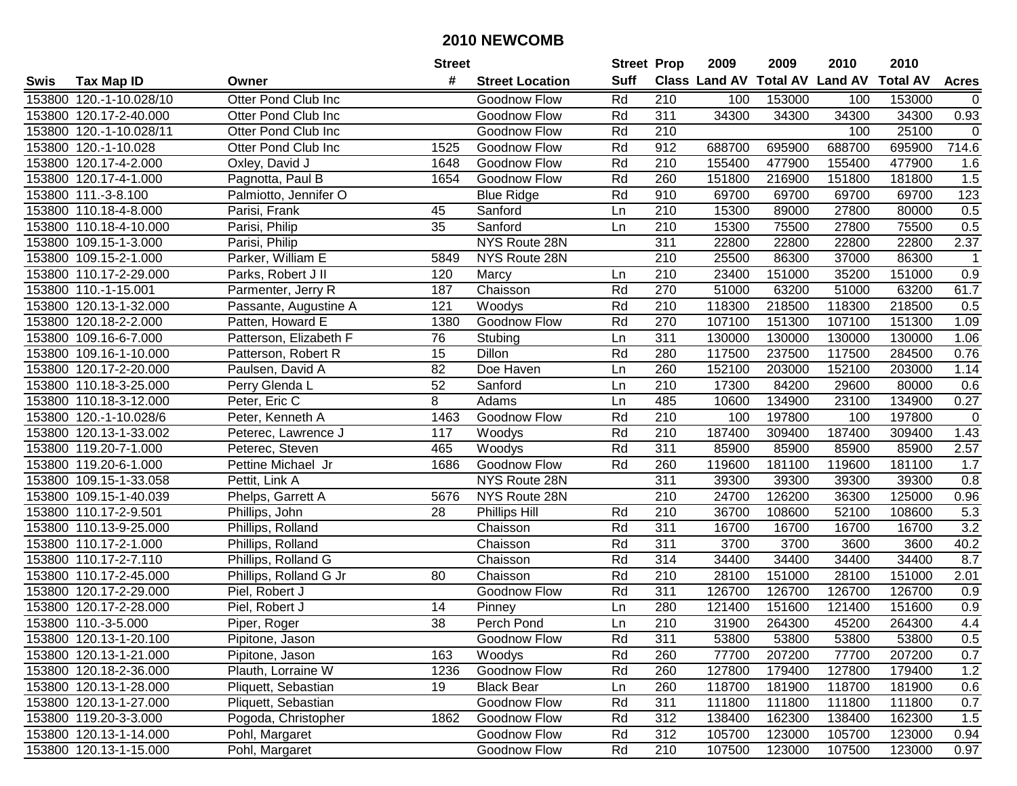|        |                         |                        | <b>Street</b>   |                        | <b>Street Prop</b> |                  | 2009                          | 2009   | 2010           | 2010            |                  |
|--------|-------------------------|------------------------|-----------------|------------------------|--------------------|------------------|-------------------------------|--------|----------------|-----------------|------------------|
| Swis   | <b>Tax Map ID</b>       | Owner                  | #               | <b>Street Location</b> | <b>Suff</b>        |                  | <b>Class Land AV Total AV</b> |        | <b>Land AV</b> | <b>Total AV</b> | <b>Acres</b>     |
|        | 153800 120.-1-10.028/10 | Otter Pond Club Inc    |                 | Goodnow Flow           | Rd                 | 210              | 100                           | 153000 | 100            | 153000          | $\mathbf 0$      |
|        | 153800 120.17-2-40.000  | Otter Pond Club Inc    |                 | Goodnow Flow           | Rd                 | 311              | 34300                         | 34300  | 34300          | 34300           | 0.93             |
|        | 153800 120.-1-10.028/11 | Otter Pond Club Inc    |                 | Goodnow Flow           | Rd                 | 210              |                               |        | 100            | 25100           | $\overline{0}$   |
|        | 153800 120.-1-10.028    | Otter Pond Club Inc    | 1525            | Goodnow Flow           | Rd                 | 912              | 688700                        | 695900 | 688700         | 695900          | 714.6            |
|        | 153800 120.17-4-2.000   | Oxley, David J         | 1648            | Goodnow Flow           | Rd                 | 210              | 155400                        | 477900 | 155400         | 477900          | 1.6              |
|        | 153800 120.17-4-1.000   | Pagnotta, Paul B       | 1654            | Goodnow Flow           | Rd                 | 260              | 151800                        | 216900 | 151800         | 181800          | 1.5              |
|        | 153800 111.-3-8.100     | Palmiotto, Jennifer O  |                 | <b>Blue Ridge</b>      | Rd                 | 910              | 69700                         | 69700  | 69700          | 69700           | 123              |
|        | 153800 110.18-4-8.000   | Parisi, Frank          | 45              | Sanford                | Ln                 | $\overline{210}$ | 15300                         | 89000  | 27800          | 80000           | 0.5              |
|        | 153800 110.18-4-10.000  | Parisi, Philip         | $\overline{35}$ | Sanford                | Ln                 | $\overline{210}$ | 15300                         | 75500  | 27800          | 75500           | 0.5              |
|        | 153800 109.15-1-3.000   | Parisi, Philip         |                 | NYS Route 28N          |                    | 311              | 22800                         | 22800  | 22800          | 22800           | 2.37             |
|        | 153800 109.15-2-1.000   | Parker, William E      | 5849            | NYS Route 28N          |                    | 210              | 25500                         | 86300  | 37000          | 86300           | -1               |
|        | 153800 110.17-2-29.000  | Parks, Robert J II     | 120             | Marcy                  | Ln                 | 210              | 23400                         | 151000 | 35200          | 151000          | 0.9              |
|        | 153800 110.-1-15.001    | Parmenter, Jerry R     | 187             | Chaisson               | Rd                 | 270              | 51000                         | 63200  | 51000          | 63200           | 61.7             |
|        | 153800 120.13-1-32.000  | Passante, Augustine A  | 121             | Woodys                 | Rd                 | 210              | 118300                        | 218500 | 118300         | 218500          | 0.5              |
|        | 153800 120.18-2-2.000   | Patten, Howard E       | 1380            | Goodnow Flow           | Rd                 | 270              | 107100                        | 151300 | 107100         | 151300          | 1.09             |
|        | 153800 109.16-6-7.000   | Patterson, Elizabeth F | 76              | Stubing                | Ln                 | 311              | 130000                        | 130000 | 130000         | 130000          | 1.06             |
|        | 153800 109.16-1-10.000  | Patterson, Robert R    | 15              | Dillon                 | Rd                 | 280              | 117500                        | 237500 | 117500         | 284500          | 0.76             |
|        | 153800 120.17-2-20.000  | Paulsen, David A       | 82              | Doe Haven              | Ln                 | 260              | 152100                        | 203000 | 152100         | 203000          | 1.14             |
|        | 153800 110.18-3-25.000  | Perry Glenda L         | 52              | Sanford                | Ln                 | 210              | 17300                         | 84200  | 29600          | 80000           | 0.6              |
|        | 153800 110.18-3-12.000  | Peter, Eric C          | 8               | Adams                  | Ln                 | 485              | 10600                         | 134900 | 23100          | 134900          | 0.27             |
|        | 153800 120.-1-10.028/6  | Peter, Kenneth A       | 1463            | Goodnow Flow           | Rd                 | 210              | 100                           | 197800 | 100            | 197800          | $\mathsf 0$      |
|        | 153800 120.13-1-33.002  | Peterec, Lawrence J    | 117             | Woodys                 | Rd                 | 210              | 187400                        | 309400 | 187400         | 309400          | 1.43             |
| 153800 | 119.20-7-1.000          | Peterec, Steven        | 465             | Woodys                 | Rd                 | 311              | 85900                         | 85900  | 85900          | 85900           | 2.57             |
| 153800 | 119.20-6-1.000          | Pettine Michael Jr     | 1686            | Goodnow Flow           | Rd                 | 260              | 119600                        | 181100 | 119600         | 181100          | 1.7              |
|        | 153800 109.15-1-33.058  | Pettit, Link A         |                 | NYS Route 28N          |                    | $\overline{311}$ | 39300                         | 39300  | 39300          | 39300           | 0.8              |
|        | 153800 109.15-1-40.039  | Phelps, Garrett A      | 5676            | NYS Route 28N          |                    | 210              | 24700                         | 126200 | 36300          | 125000          | 0.96             |
|        | 153800 110.17-2-9.501   | Phillips, John         | 28              | <b>Phillips Hill</b>   | Rd                 | 210              | 36700                         | 108600 | 52100          | 108600          | 5.3              |
|        | 153800 110.13-9-25.000  | Phillips, Rolland      |                 | Chaisson               | Rd                 | 311              | 16700                         | 16700  | 16700          | 16700           | 3.2              |
|        | 153800 110.17-2-1.000   | Phillips, Rolland      |                 | Chaisson               | Rd                 | 311              | 3700                          | 3700   | 3600           | 3600            | 40.2             |
|        | 153800 110.17-2-7.110   | Phillips, Rolland G    |                 | Chaisson               | Rd                 | $\overline{314}$ | 34400                         | 34400  | 34400          | 34400           | 8.7              |
|        | 153800 110.17-2-45.000  | Phillips, Rolland G Jr | 80              | Chaisson               | Rd                 | $\overline{210}$ | 28100                         | 151000 | 28100          | 151000          | 2.01             |
|        | 153800 120.17-2-29.000  | Piel, Robert J         |                 | Goodnow Flow           | Rd                 | 311              | 126700                        | 126700 | 126700         | 126700          | 0.9              |
|        | 153800 120.17-2-28.000  | Piel, Robert J         | 14              | Pinney                 | Ln                 | 280              | 121400                        | 151600 | 121400         | 151600          | $\overline{0.9}$ |
|        | 153800 110.-3-5.000     | Piper, Roger           | $\overline{38}$ | Perch Pond             | Ln                 | $\overline{210}$ | 31900                         | 264300 | 45200          | 264300          | 4.4              |
|        | 153800 120.13-1-20.100  | Pipitone, Jason        |                 | Goodnow Flow           | Rd                 | 311              | 53800                         | 53800  | 53800          | 53800           | 0.5              |
|        | 153800 120.13-1-21.000  | Pipitone, Jason        | 163             | Woodys                 | Rd                 | 260              | 77700                         | 207200 | 77700          | 207200          | 0.7              |
|        | 153800 120.18-2-36.000  | Plauth, Lorraine W     | 1236            | Goodnow Flow           | Rd                 | 260              | 127800                        | 179400 | 127800         | 179400          | 1.2              |
|        | 153800 120.13-1-28.000  | Pliquett, Sebastian    | 19              | <b>Black Bear</b>      | Ln                 | 260              | 118700                        | 181900 | 118700         | 181900          | 0.6              |
|        | 153800 120.13-1-27.000  | Pliquett, Sebastian    |                 | Goodnow Flow           | Rd                 | 311              | 111800                        | 111800 | 111800         | 111800          | 0.7              |
|        | 153800 119.20-3-3.000   | Pogoda, Christopher    | 1862            | Goodnow Flow           | Rd                 | 312              | 138400                        | 162300 | 138400         | 162300          | 1.5              |
|        | 153800 120.13-1-14.000  | Pohl, Margaret         |                 | Goodnow Flow           | Rd                 | 312              | 105700                        | 123000 | 105700         | 123000          | 0.94             |
|        | 153800 120.13-1-15.000  | Pohl, Margaret         |                 | Goodnow Flow           | Rd                 | 210              | 107500                        | 123000 | 107500         | 123000          | 0.97             |
|        |                         |                        |                 |                        |                    |                  |                               |        |                |                 |                  |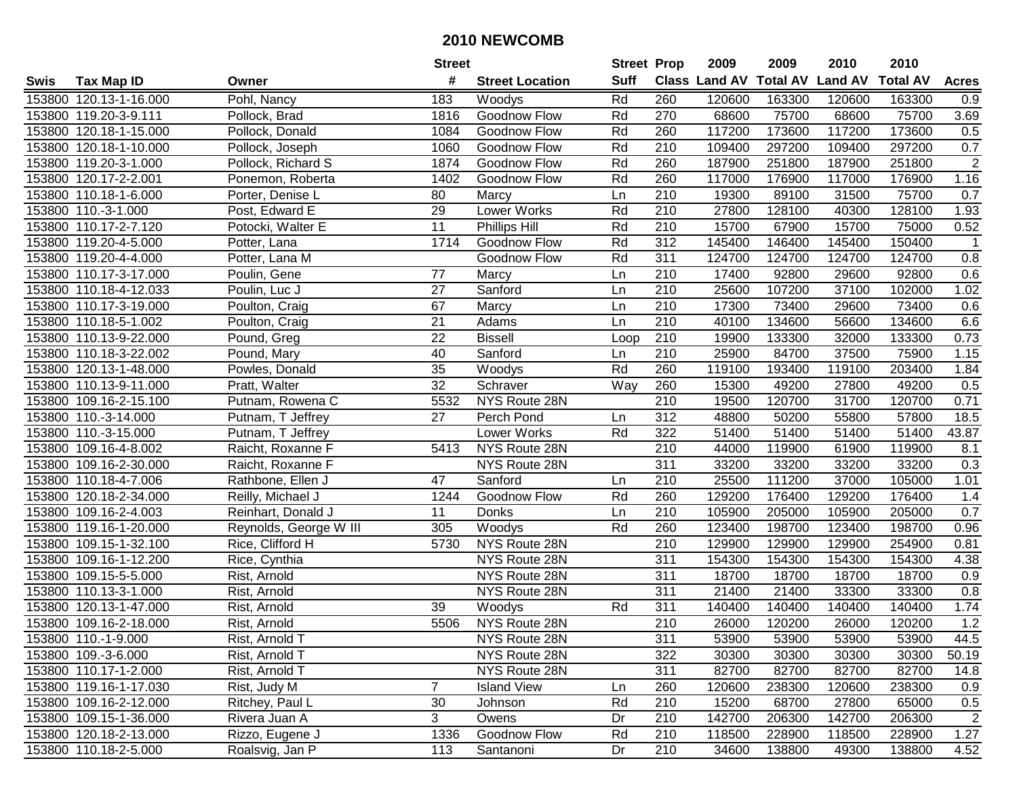|      |                        |                        | <b>Street</b>   |                        | <b>Street Prop</b> |                  | 2009   | 2009   | 2010                                    | 2010   |                |
|------|------------------------|------------------------|-----------------|------------------------|--------------------|------------------|--------|--------|-----------------------------------------|--------|----------------|
| Swis | <b>Tax Map ID</b>      | Owner                  | #               | <b>Street Location</b> | Suff               |                  |        |        | Class Land AV Total AV Land AV Total AV |        | <b>Acres</b>   |
|      | 153800 120.13-1-16.000 | Pohl, Nancy            | 183             | Woodys                 | Rd                 | 260              | 120600 | 163300 | 120600                                  | 163300 | 0.9            |
|      | 153800 119.20-3-9.111  | Pollock, Brad          | 1816            | Goodnow Flow           | Rd                 | 270              | 68600  | 75700  | 68600                                   | 75700  | 3.69           |
|      | 153800 120.18-1-15.000 | Pollock, Donald        | 1084            | Goodnow Flow           | Rd                 | 260              | 117200 | 173600 | 117200                                  | 173600 | 0.5            |
|      | 153800 120.18-1-10.000 | Pollock, Joseph        | 1060            | Goodnow Flow           | Rd                 | 210              | 109400 | 297200 | 109400                                  | 297200 | 0.7            |
|      | 153800 119.20-3-1.000  | Pollock, Richard S     | 1874            | Goodnow Flow           | Rd                 | 260              | 187900 | 251800 | 187900                                  | 251800 | $\overline{2}$ |
|      | 153800 120.17-2-2.001  | Ponemon, Roberta       | 1402            | Goodnow Flow           | Rd                 | 260              | 117000 | 176900 | 117000                                  | 176900 | 1.16           |
|      | 153800 110.18-1-6.000  | Porter, Denise L       | 80              | Marcy                  | Ln                 | 210              | 19300  | 89100  | 31500                                   | 75700  | 0.7            |
|      | 153800 110.-3-1.000    | Post, Edward E         | $\overline{29}$ | Lower Works            | Rd                 | $\overline{210}$ | 27800  | 128100 | 40300                                   | 128100 | 1.93           |
|      | 153800 110.17-2-7.120  | Potocki, Walter E      | $\overline{11}$ | Phillips Hill          | Rd                 | $\overline{210}$ | 15700  | 67900  | 15700                                   | 75000  | 0.52           |
|      | 153800 119.20-4-5.000  | Potter, Lana           | 1714            | Goodnow Flow           | Rd                 | 312              | 145400 | 146400 | 145400                                  | 150400 | $\mathbf{1}$   |
|      | 153800 119.20-4-4.000  | Potter, Lana M         |                 | Goodnow Flow           | Rd                 | 311              | 124700 | 124700 | 124700                                  | 124700 | 0.8            |
|      | 153800 110.17-3-17.000 | Poulin, Gene           | 77              | Marcy                  | Ln                 | 210              | 17400  | 92800  | 29600                                   | 92800  | 0.6            |
|      | 153800 110.18-4-12.033 | Poulin, Luc J          | 27              | Sanford                | Ln                 | 210              | 25600  | 107200 | 37100                                   | 102000 | 1.02           |
|      | 153800 110.17-3-19.000 | Poulton, Craig         | 67              | Marcy                  | Ln                 | 210              | 17300  | 73400  | 29600                                   | 73400  | 0.6            |
|      | 153800 110.18-5-1.002  | Poulton, Craig         | 21              | Adams                  | Ln                 | 210              | 40100  | 134600 | 56600                                   | 134600 | 6.6            |
|      | 153800 110.13-9-22.000 | Pound, Greg            | $\overline{22}$ | <b>Bissell</b>         | Loop               | 210              | 19900  | 133300 | 32000                                   | 133300 | 0.73           |
|      | 153800 110.18-3-22.002 | Pound, Mary            | 40              | Sanford                | Ln                 | 210              | 25900  | 84700  | 37500                                   | 75900  | 1.15           |
|      | 153800 120.13-1-48.000 | Powles, Donald         | 35              | Woodys                 | Rd                 | 260              | 119100 | 193400 | 119100                                  | 203400 | 1.84           |
|      | 153800 110.13-9-11.000 | Pratt, Walter          | 32              | Schraver               | Way                | 260              | 15300  | 49200  | 27800                                   | 49200  | 0.5            |
|      | 153800 109.16-2-15.100 | Putnam, Rowena C       | 5532            | NYS Route 28N          |                    | $\overline{210}$ | 19500  | 120700 | 31700                                   | 120700 | 0.71           |
|      | 153800 110.-3-14.000   | Putnam, T Jeffrey      | 27              | Perch Pond             | Ln                 | 312              | 48800  | 50200  | 55800                                   | 57800  | 18.5           |
|      | 153800 110.-3-15.000   | Putnam, T Jeffrey      |                 | Lower Works            | Rd                 | 322              | 51400  | 51400  | 51400                                   | 51400  | 43.87          |
|      | 153800 109.16-4-8.002  | Raicht, Roxanne F      | 5413            | NYS Route 28N          |                    | 210              | 44000  | 119900 | 61900                                   | 119900 | 8.1            |
|      | 153800 109.16-2-30.000 | Raicht, Roxanne F      |                 | NYS Route 28N          |                    | $\overline{311}$ | 33200  | 33200  | 33200                                   | 33200  | 0.3            |
|      | 153800 110.18-4-7.006  | Rathbone, Ellen J      | 47              | Sanford                | Ln                 | 210              | 25500  | 111200 | 37000                                   | 105000 | 1.01           |
|      | 153800 120.18-2-34.000 | Reilly, Michael J      | 1244            | Goodnow Flow           | Rd                 | 260              | 129200 | 176400 | 129200                                  | 176400 | 1.4            |
|      | 153800 109.16-2-4.003  | Reinhart, Donald J     | 11              | Donks                  | Ln                 | 210              | 105900 | 205000 | 105900                                  | 205000 | 0.7            |
|      | 153800 119.16-1-20.000 | Reynolds, George W III | 305             | Woodys                 | Rd                 | 260              | 123400 | 198700 | 123400                                  | 198700 | 0.96           |
|      | 153800 109.15-1-32.100 | Rice, Clifford H       | 5730            | NYS Route 28N          |                    | 210              | 129900 | 129900 | 129900                                  | 254900 | 0.81           |
|      | 153800 109.16-1-12.200 | Rice, Cynthia          |                 | NYS Route 28N          |                    | 311              | 154300 | 154300 | 154300                                  | 154300 | 4.38           |
|      | 153800 109.15-5-5.000  | Rist, Arnold           |                 | NYS Route 28N          |                    | 311              | 18700  | 18700  | 18700                                   | 18700  | 0.9            |
|      | 153800 110.13-3-1.000  | Rist, Arnold           |                 | NYS Route 28N          |                    | 311              | 21400  | 21400  | 33300                                   | 33300  | 0.8            |
|      | 153800 120.13-1-47.000 | Rist, Arnold           | 39              | Woodys                 | Rd                 | 311              | 140400 | 140400 | 140400                                  | 140400 | 1.74           |
|      | 153800 109.16-2-18.000 | Rist, Arnold           | 5506            | NYS Route 28N          |                    | $\overline{210}$ | 26000  | 120200 | 26000                                   | 120200 | 1.2            |
|      | 153800 110.-1-9.000    | Rist, Arnold T         |                 | NYS Route 28N          |                    | 311              | 53900  | 53900  | 53900                                   | 53900  | 44.5           |
|      | 153800 109.-3-6.000    | Rist, Arnold T         |                 | NYS Route 28N          |                    | 322              | 30300  | 30300  | 30300                                   | 30300  | 50.19          |
|      | 153800 110.17-1-2.000  | Rist, Arnold T         |                 | NYS Route 28N          |                    | 311              | 82700  | 82700  | 82700                                   | 82700  | 14.8           |
|      | 153800 119.16-1-17.030 | Rist, Judy M           | $\overline{7}$  | <b>Island View</b>     | Ln                 | 260              | 120600 | 238300 | 120600                                  | 238300 | 0.9            |
|      | 153800 109.16-2-12.000 | Ritchey, Paul L        | 30              | Johnson                | Rd                 | 210              | 15200  | 68700  | 27800                                   | 65000  | 0.5            |
|      | 153800 109.15-1-36.000 | Rivera Juan A          | 3               | Owens                  | Dr                 | 210              | 142700 | 206300 | 142700                                  | 206300 | $\overline{2}$ |
|      | 153800 120.18-2-13.000 | Rizzo, Eugene J        | 1336            | Goodnow Flow           | Rd                 | 210              | 118500 | 228900 | 118500                                  | 228900 | 1.27           |
|      | 153800 110.18-2-5.000  | Roalsvig, Jan P        | 113             | Santanoni              | Dr                 | 210              | 34600  | 138800 | 49300                                   | 138800 | 4.52           |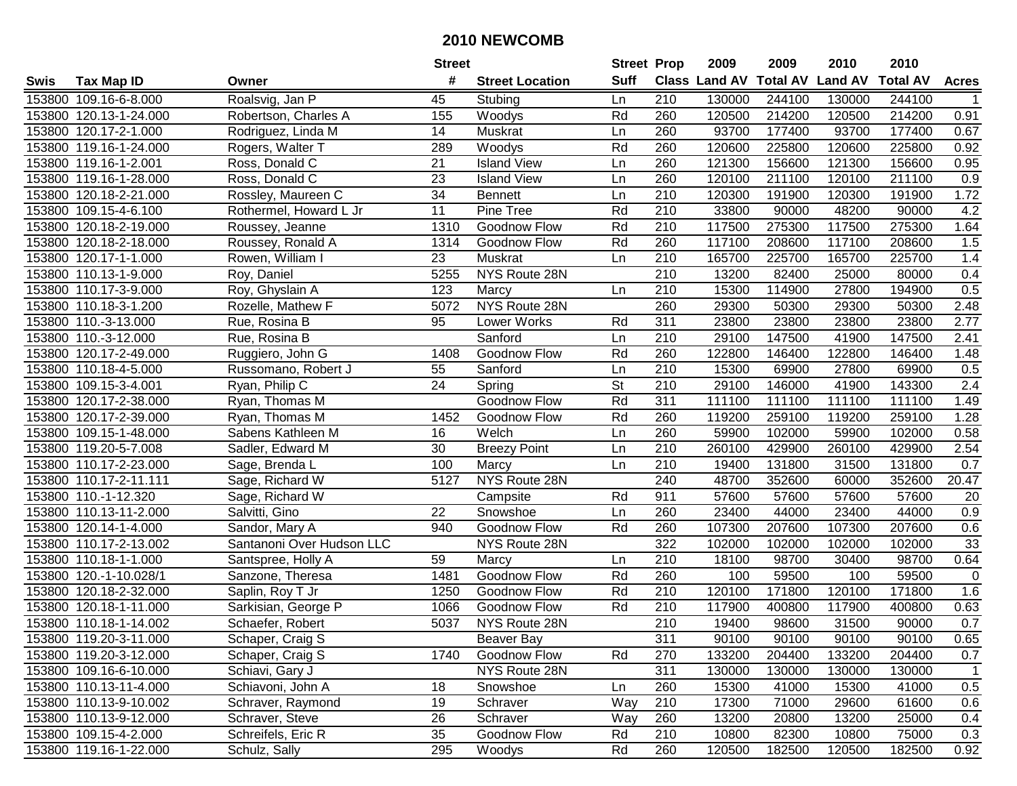|      |                        |                           | <b>Street</b>   |                        | <b>Street Prop</b>       |                  | 2009                          | 2009   | 2010           | 2010            |                  |
|------|------------------------|---------------------------|-----------------|------------------------|--------------------------|------------------|-------------------------------|--------|----------------|-----------------|------------------|
| Swis | <b>Tax Map ID</b>      | Owner                     | #               | <b>Street Location</b> | <b>Suff</b>              |                  | <b>Class Land AV Total AV</b> |        | <b>Land AV</b> | <b>Total AV</b> | <b>Acres</b>     |
|      | 153800 109.16-6-8.000  | Roalsvig, Jan P           | 45              | Stubing                | Ln                       | 210              | 130000                        | 244100 | 130000         | 244100          |                  |
|      | 153800 120.13-1-24.000 | Robertson, Charles A      | 155             | Woodys                 | Rd                       | 260              | 120500                        | 214200 | 120500         | 214200          | 0.91             |
|      | 153800 120.17-2-1.000  | Rodriguez, Linda M        | 14              | Muskrat                | Ln                       | 260              | 93700                         | 177400 | 93700          | 177400          | 0.67             |
|      | 153800 119.16-1-24.000 | Rogers, Walter T          | 289             | Woodys                 | Rd                       | 260              | 120600                        | 225800 | 120600         | 225800          | 0.92             |
|      | 153800 119.16-1-2.001  | Ross, Donald C            | 21              | <b>Island View</b>     | Ln                       | 260              | 121300                        | 156600 | 121300         | 156600          | 0.95             |
|      | 153800 119.16-1-28.000 | Ross, Donald C            | $\overline{23}$ | <b>Island View</b>     | Ln                       | 260              | 120100                        | 211100 | 120100         | 211100          | $\overline{0.9}$ |
|      | 153800 120.18-2-21.000 | Rossley, Maureen C        | 34              | <b>Bennett</b>         | Ln                       | 210              | 120300                        | 191900 | 120300         | 191900          | 1.72             |
|      | 153800 109.15-4-6.100  | Rothermel, Howard L Jr    | 11              | Pine Tree              | Rd                       | 210              | 33800                         | 90000  | 48200          | 90000           | 4.2              |
|      | 153800 120.18-2-19.000 | Roussey, Jeanne           | 1310            | Goodnow Flow           | Rd                       | $\overline{210}$ | 117500                        | 275300 | 117500         | 275300          | 1.64             |
|      | 153800 120.18-2-18.000 | Roussey, Ronald A         | 1314            | <b>Goodnow Flow</b>    | Rd                       | 260              | 117100                        | 208600 | 117100         | 208600          | 1.5              |
|      | 153800 120.17-1-1.000  | Rowen, William I          | 23              | Muskrat                | Ln                       | 210              | 165700                        | 225700 | 165700         | 225700          | 1.4              |
|      | 153800 110.13-1-9.000  | Roy, Daniel               | 5255            | NYS Route 28N          |                          | 210              | 13200                         | 82400  | 25000          | 80000           | 0.4              |
|      | 153800 110.17-3-9.000  | Roy, Ghyslain A           | 123             | Marcy                  | Ln                       | 210              | 15300                         | 114900 | 27800          | 194900          | 0.5              |
|      | 153800 110.18-3-1.200  | Rozelle, Mathew F         | 5072            | NYS Route 28N          |                          | 260              | 29300                         | 50300  | 29300          | 50300           | 2.48             |
|      | 153800 110.-3-13.000   | Rue, Rosina B             | 95              | Lower Works            | Rd                       | 311              | 23800                         | 23800  | 23800          | 23800           | 2.77             |
|      | 153800 110.-3-12.000   | Rue, Rosina B             |                 | Sanford                | Ln                       | 210              | 29100                         | 147500 | 41900          | 147500          | 2.41             |
|      | 153800 120.17-2-49.000 | Ruggiero, John G          | 1408            | Goodnow Flow           | Rd                       | 260              | 122800                        | 146400 | 122800         | 146400          | 1.48             |
|      | 153800 110.18-4-5.000  | Russomano, Robert J       | 55              | Sanford                | Ln                       | 210              | 15300                         | 69900  | 27800          | 69900           | 0.5              |
|      | 153800 109.15-3-4.001  | Ryan, Philip C            | 24              | Spring                 | $\overline{\mathsf{St}}$ | 210              | 29100                         | 146000 | 41900          | 143300          | 2.4              |
|      | 153800 120.17-2-38.000 | Ryan, Thomas M            |                 | Goodnow Flow           | Rd                       | 311              | 111100                        | 111100 | 111100         | 111100          | 1.49             |
|      | 153800 120.17-2-39.000 | Ryan, Thomas M            | 1452            | Goodnow Flow           | Rd                       | 260              | 119200                        | 259100 | 119200         | 259100          | 1.28             |
|      | 153800 109.15-1-48.000 | Sabens Kathleen M         | 16              | Welch                  | Ln                       | 260              | 59900                         | 102000 | 59900          | 102000          | 0.58             |
|      | 153800 119.20-5-7.008  | Sadler, Edward M          | 30              | <b>Breezy Point</b>    | Ln                       | 210              | 260100                        | 429900 | 260100         | 429900          | 2.54             |
|      | 153800 110.17-2-23.000 | Sage, Brenda L            | 100             | Marcy                  | Ln                       | 210              | 19400                         | 131800 | 31500          | 131800          | 0.7              |
|      | 153800 110.17-2-11.111 | Sage, Richard W           | 5127            | NYS Route 28N          |                          | 240              | 48700                         | 352600 | 60000          | 352600          | 20.47            |
|      | 153800 110.-1-12.320   | Sage, Richard W           |                 | Campsite               | Rd                       | 911              | 57600                         | 57600  | 57600          | 57600           | 20               |
|      | 153800 110.13-11-2.000 | Salvitti, Gino            | 22              | Snowshoe               | Ln                       | 260              | 23400                         | 44000  | 23400          | 44000           | 0.9              |
|      | 153800 120.14-1-4.000  | Sandor, Mary A            | 940             | Goodnow Flow           | Rd                       | 260              | 107300                        | 207600 | 107300         | 207600          | 0.6              |
|      | 153800 110.17-2-13.002 | Santanoni Over Hudson LLC |                 | NYS Route 28N          |                          | 322              | 102000                        | 102000 | 102000         | 102000          | 33               |
|      | 153800 110.18-1-1.000  | Santspree, Holly A        | 59              | Marcy                  | Ln                       | $\overline{210}$ | 18100                         | 98700  | 30400          | 98700           | 0.64             |
|      | 153800 120.-1-10.028/1 | Sanzone, Theresa          | 1481            | <b>Goodnow Flow</b>    | Rd                       | 260              | 100                           | 59500  | 100            | 59500           | $\mathbf 0$      |
|      | 153800 120.18-2-32.000 | Saplin, Roy T Jr          | 1250            | Goodnow Flow           | Rd                       | 210              | 120100                        | 171800 | 120100         | 171800          | 1.6              |
|      | 153800 120.18-1-11.000 | Sarkisian, George P       | 1066            | <b>Goodnow Flow</b>    | Rd                       | $\overline{210}$ | 117900                        | 400800 | 117900         | 400800          | 0.63             |
|      | 153800 110.18-1-14.002 | Schaefer, Robert          | 5037            | NYS Route 28N          |                          | $\overline{210}$ | 19400                         | 98600  | 31500          | 90000           | 0.7              |
|      | 153800 119.20-3-11.000 | Schaper, Craig S          |                 | Beaver Bay             |                          | 311              | 90100                         | 90100  | 90100          | 90100           | 0.65             |
|      | 153800 119.20-3-12.000 | Schaper, Craig S          | 1740            | Goodnow Flow           | Rd                       | 270              | 133200                        | 204400 | 133200         | 204400          | 0.7              |
|      | 153800 109.16-6-10.000 | Schiavi, Gary J           |                 | NYS Route 28N          |                          | 311              | 130000                        | 130000 | 130000         | 130000          | $\mathbf 1$      |
|      | 153800 110.13-11-4.000 | Schiavoni, John A         | 18              | Snowshoe               | Ln                       | 260              | 15300                         | 41000  | 15300          | 41000           | 0.5              |
|      | 153800 110.13-9-10.002 | Schraver, Raymond         | 19              | Schraver               | Way                      | 210              | 17300                         | 71000  | 29600          | 61600           | 0.6              |
|      | 153800 110.13-9-12.000 | Schraver, Steve           | 26              | Schraver               | Way                      | 260              | 13200                         | 20800  | 13200          | 25000           | 0.4              |
|      | 153800 109.15-4-2.000  | Schreifels, Eric R        | 35              | Goodnow Flow           | Rd                       | 210              | 10800                         | 82300  | 10800          | 75000           | 0.3              |
|      | 153800 119.16-1-22.000 | Schulz, Sally             | 295             | Woodys                 | Rd                       | 260              | 120500                        | 182500 | 120500         | 182500          | 0.92             |
|      |                        |                           |                 |                        |                          |                  |                               |        |                |                 |                  |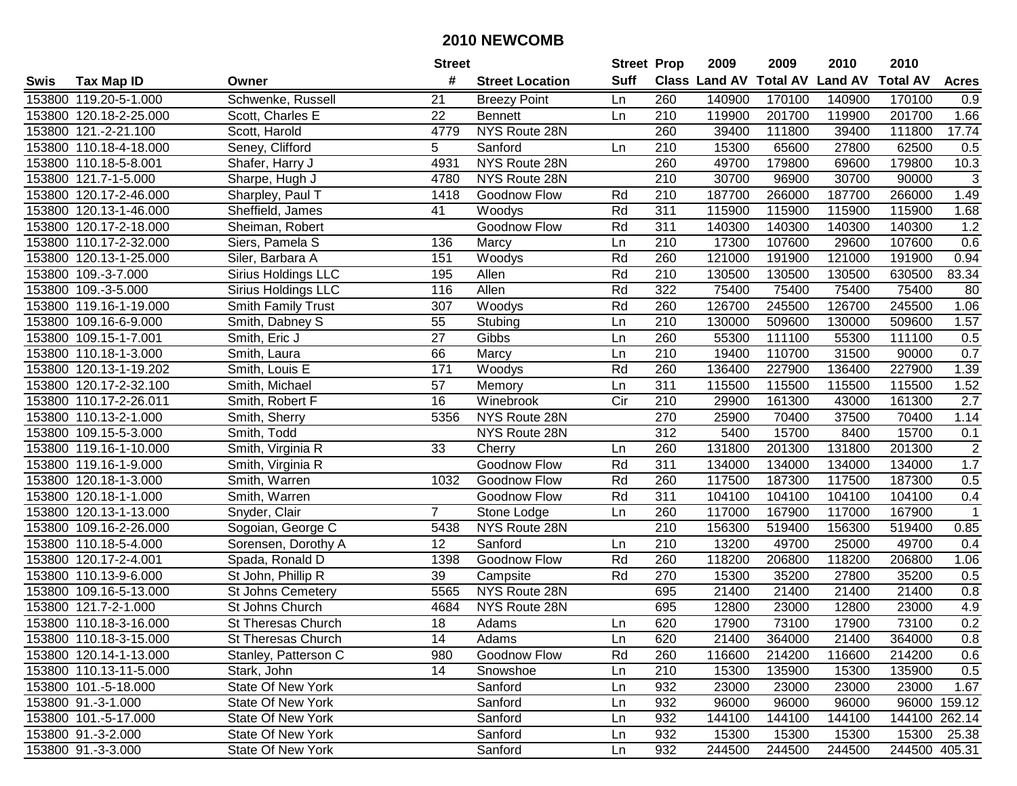|        |                        |                           | <b>Street</b>   |                        | <b>Street Prop</b> |                  | 2009          | 2009            | 2010           | 2010            |                |
|--------|------------------------|---------------------------|-----------------|------------------------|--------------------|------------------|---------------|-----------------|----------------|-----------------|----------------|
| Swis   | <b>Tax Map ID</b>      | Owner                     | #               | <b>Street Location</b> | <b>Suff</b>        |                  | Class Land AV | <b>Total AV</b> | <b>Land AV</b> | <b>Total AV</b> | <b>Acres</b>   |
|        | 153800 119.20-5-1.000  | Schwenke, Russell         | 21              | <b>Breezy Point</b>    | Ln                 | 260              | 140900        | 170100          | 140900         | 170100          | 0.9            |
|        | 153800 120.18-2-25.000 | Scott, Charles E          | 22              | <b>Bennett</b>         | Ln                 | 210              | 119900        | 201700          | 119900         | 201700          | 1.66           |
|        | 153800 121.-2-21.100   | Scott, Harold             | 4779            | NYS Route 28N          |                    | 260              | 39400         | 111800          | 39400          | 111800          | 17.74          |
|        | 153800 110.18-4-18.000 | Seney, Clifford           | 5               | Sanford                | Ln                 | 210              | 15300         | 65600           | 27800          | 62500           | 0.5            |
|        | 153800 110.18-5-8.001  | Shafer, Harry J           | 4931            | NYS Route 28N          |                    | 260              | 49700         | 179800          | 69600          | 179800          | 10.3           |
|        | 153800 121.7-1-5.000   | Sharpe, Hugh J            | 4780            | NYS Route 28N          |                    | 210              | 30700         | 96900           | 30700          | 90000           | 3              |
|        | 153800 120.17-2-46.000 | Sharpley, Paul T          | 1418            | Goodnow Flow           | Rd                 | 210              | 187700        | 266000          | 187700         | 266000          | 1.49           |
|        | 153800 120.13-1-46.000 | Sheffield, James          | $\overline{41}$ | Woodys                 | Rd                 | 311              | 115900        | 115900          | 115900         | 115900          | 1.68           |
|        | 153800 120.17-2-18.000 | Sheiman, Robert           |                 | <b>Goodnow Flow</b>    | Rd                 | 311              | 140300        | 140300          | 140300         | 140300          | 1.2            |
|        | 153800 110.17-2-32.000 | Siers, Pamela S           | 136             | Marcy                  | Ln                 | 210              | 17300         | 107600          | 29600          | 107600          | 0.6            |
|        | 153800 120.13-1-25.000 | Siler, Barbara A          | 151             | Woodys                 | Rd                 | 260              | 121000        | 191900          | 121000         | 191900          | 0.94           |
|        | 153800 109.-3-7.000    | Sirius Holdings LLC       | 195             | Allen                  | Rd                 | 210              | 130500        | 130500          | 130500         | 630500          | 83.34          |
|        | 153800 109.-3-5.000    | Sirius Holdings LLC       | 116             | Allen                  | Rd                 | 322              | 75400         | 75400           | 75400          | 75400           | 80             |
|        | 153800 119.16-1-19.000 | <b>Smith Family Trust</b> | 307             | Woodys                 | Rd                 | 260              | 126700        | 245500          | 126700         | 245500          | 1.06           |
|        | 153800 109.16-6-9.000  | Smith, Dabney S           | 55              | Stubing                | Ln                 | 210              | 130000        | 509600          | 130000         | 509600          | 1.57           |
|        | 153800 109.15-1-7.001  | Smith, Eric J             | 27              | Gibbs                  | Ln                 | 260              | 55300         | 111100          | 55300          | 111100          | 0.5            |
|        | 153800 110.18-1-3.000  | Smith, Laura              | 66              | Marcy                  | Ln                 | $\overline{210}$ | 19400         | 110700          | 31500          | 90000           | 0.7            |
|        | 153800 120.13-1-19.202 | Smith, Louis E            | 171             | Woodys                 | Rd                 | 260              | 136400        | 227900          | 136400         | 227900          | 1.39           |
|        | 153800 120.17-2-32.100 | Smith, Michael            | $\overline{57}$ | Memory                 | Ln                 | 311              | 115500        | 115500          | 115500         | 115500          | 1.52           |
|        | 153800 110.17-2-26.011 | Smith, Robert F           | 16              | Winebrook              | Cir                | 210              | 29900         | 161300          | 43000          | 161300          | 2.7            |
|        | 153800 110.13-2-1.000  | Smith, Sherry             | 5356            | NYS Route 28N          |                    | 270              | 25900         | 70400           | 37500          | 70400           | 1.14           |
|        | 153800 109.15-5-3.000  | Smith, Todd               |                 | NYS Route 28N          |                    | 312              | 5400          | 15700           | 8400           | 15700           | 0.1            |
| 153800 | 119.16-1-10.000        | Smith, Virginia R         | 33              | Cherry                 | Ln                 | 260              | 131800        | 201300          | 131800         | 201300          | $\overline{c}$ |
| 153800 | 119.16-1-9.000         | Smith, Virginia R         |                 | Goodnow Flow           | Rd                 | 311              | 134000        | 134000          | 134000         | 134000          | 1.7            |
|        | 153800 120.18-1-3.000  | Smith, Warren             | 1032            | Goodnow Flow           | Rd                 | 260              | 117500        | 187300          | 117500         | 187300          | 0.5            |
|        | 153800 120.18-1-1.000  | Smith, Warren             |                 | Goodnow Flow           | Rd                 | $\overline{311}$ | 104100        | 104100          | 104100         | 104100          | 0.4            |
|        | 153800 120.13-1-13.000 | Snyder, Clair             | $\overline{7}$  | Stone Lodge            | Ln                 | 260              | 117000        | 167900          | 117000         | 167900          | $\mathbf 1$    |
|        | 153800 109.16-2-26.000 | Sogoian, George C         | 5438            | NYS Route 28N          |                    | 210              | 156300        | 519400          | 156300         | 519400          | 0.85           |
|        | 153800 110.18-5-4.000  | Sorensen, Dorothy A       | 12              | Sanford                | Ln                 | 210              | 13200         | 49700           | 25000          | 49700           | 0.4            |
|        | 153800 120.17-2-4.001  | Spada, Ronald D           | 1398            | <b>Goodnow Flow</b>    | Rd                 | 260              | 118200        | 206800          | 118200         | 206800          | 1.06           |
|        | 153800 110.13-9-6.000  | St John, Phillip R        | 39              | Campsite               | Rd                 | 270              | 15300         | 35200           | 27800          | 35200           | 0.5            |
|        | 153800 109.16-5-13.000 | St Johns Cemetery         | 5565            | NYS Route 28N          |                    | 695              | 21400         | 21400           | 21400          | 21400           | 0.8            |
|        | 153800 121.7-2-1.000   | St Johns Church           | 4684            | NYS Route 28N          |                    | 695              | 12800         | 23000           | 12800          | 23000           | 4.9            |
|        | 153800 110.18-3-16.000 | St Theresas Church        | 18              | Adams                  | Ln                 | 620              | 17900         | 73100           | 17900          | 73100           | 0.2            |
|        | 153800 110.18-3-15.000 | <b>St Theresas Church</b> | 14              | Adams                  | Ln                 | 620              | 21400         | 364000          | 21400          | 364000          | 0.8            |
|        | 153800 120.14-1-13.000 | Stanley, Patterson C      | 980             | Goodnow Flow           | Rd                 | 260              | 116600        | 214200          | 116600         | 214200          | 0.6            |
|        | 153800 110.13-11-5.000 | Stark, John               | 14              | Snowshoe               | Ln                 | 210              | 15300         | 135900          | 15300          | 135900          | 0.5            |
|        | 153800 101.-5-18.000   | State Of New York         |                 | Sanford                | Ln                 | 932              | 23000         | 23000           | 23000          | 23000           | 1.67           |
|        | 153800 91.-3-1.000     | State Of New York         |                 | Sanford                | Ln                 | 932              | 96000         | 96000           | 96000          | 96000           | 159.12         |
|        | 153800 101.-5-17.000   | State Of New York         |                 | Sanford                | Ln                 | 932              | 144100        | 144100          | 144100         |                 | 144100 262.14  |
|        | 153800 91.-3-2.000     | State Of New York         |                 | Sanford                | Ln                 | 932              | 15300         | 15300           | 15300          | 15300           | 25.38          |
|        | 153800 91.-3-3.000     | State Of New York         |                 | Sanford                | Ln                 | 932              | 244500        | 244500          | 244500         | 244500 405.31   |                |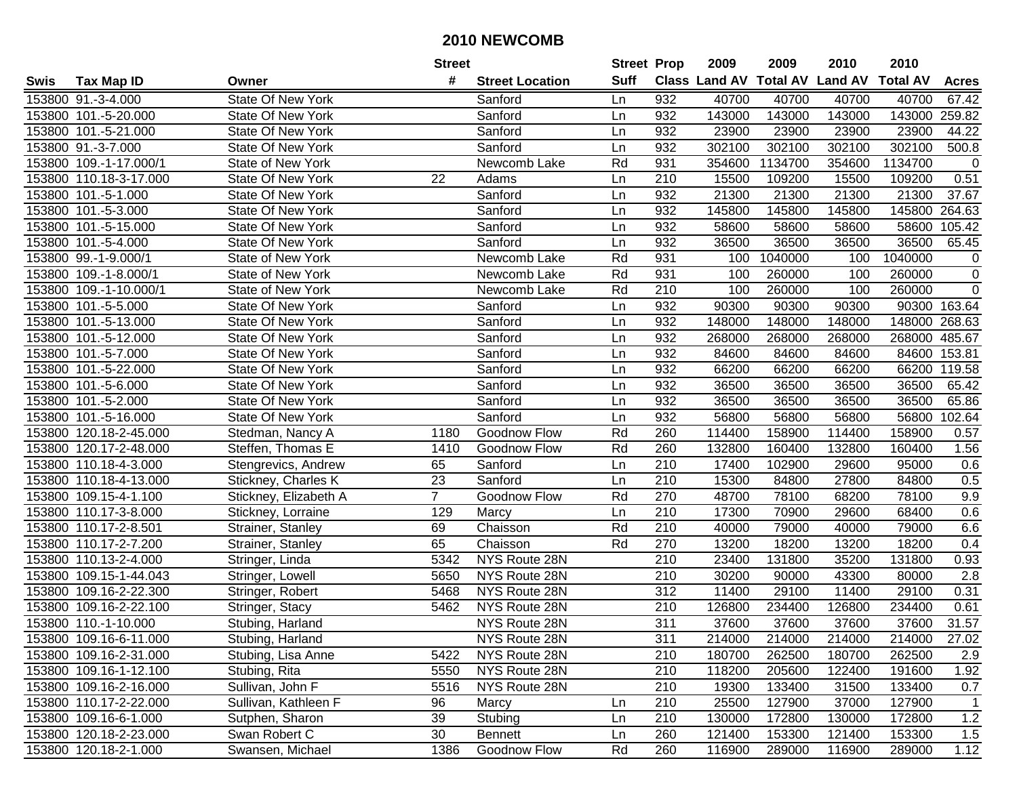|        |                        |                          | <b>Street</b>  |                        | <b>Street Prop</b> |                  | 2009   | 2009    | 2010                           | 2010            |                  |
|--------|------------------------|--------------------------|----------------|------------------------|--------------------|------------------|--------|---------|--------------------------------|-----------------|------------------|
| Swis   | <b>Tax Map ID</b>      | Owner                    | #              | <b>Street Location</b> | <b>Suff</b>        |                  |        |         | Class Land AV Total AV Land AV | <b>Total AV</b> | <b>Acres</b>     |
|        | 153800 91.-3-4.000     | <b>State Of New York</b> |                | Sanford                | Ln                 | 932              | 40700  | 40700   | 40700                          | 40700           | 67.42            |
|        | 153800 101.-5-20.000   | <b>State Of New York</b> |                | Sanford                | Ln                 | 932              | 143000 | 143000  | 143000                         | 143000          | 259.82           |
|        | 153800 101.-5-21.000   | <b>State Of New York</b> |                | Sanford                | Ln                 | 932              | 23900  | 23900   | 23900                          | 23900           | 44.22            |
|        | 153800 91.-3-7.000     | <b>State Of New York</b> |                | Sanford                | Ln                 | 932              | 302100 | 302100  | 302100                         | 302100          | 500.8            |
|        | 153800 109.-1-17.000/1 | State of New York        |                | Newcomb Lake           | Rd                 | 931              | 354600 | 1134700 | 354600                         | 1134700         | $\mathbf 0$      |
|        | 153800 110.18-3-17.000 | <b>State Of New York</b> | 22             | Adams                  | Ln                 | 210              | 15500  | 109200  | 15500                          | 109200          | 0.51             |
|        | 153800 101.-5-1.000    | <b>State Of New York</b> |                | Sanford                | Ln                 | 932              | 21300  | 21300   | 21300                          | 21300           | 37.67            |
|        | 153800 101.-5-3.000    | <b>State Of New York</b> |                | Sanford                | Ln                 | 932              | 145800 | 145800  | 145800                         | 145800          | 264.63           |
|        | 153800 101.-5-15.000   | <b>State Of New York</b> |                | Sanford                | Ln                 | 932              | 58600  | 58600   | 58600                          | 58600           | 105.42           |
|        | 153800 101.-5-4.000    | <b>State Of New York</b> |                | Sanford                | Ln                 | 932              | 36500  | 36500   | 36500                          | 36500           | 65.45            |
|        | 153800 99.-1-9.000/1   | State of New York        |                | Newcomb Lake           | Rd                 | 931              | 100    | 1040000 | 100                            | 1040000         | 0                |
|        | 153800 109.-1-8.000/1  | State of New York        |                | Newcomb Lake           | Rd                 | 931              | 100    | 260000  | 100                            | 260000          | $\pmb{0}$        |
|        | 153800 109.-1-10.000/1 | State of New York        |                | Newcomb Lake           | Rd                 | $\overline{210}$ | 100    | 260000  | 100                            | 260000          | $\overline{0}$   |
|        | 153800 101.-5-5.000    | <b>State Of New York</b> |                | Sanford                | Ln                 | 932              | 90300  | 90300   | 90300                          |                 | 90300 163.64     |
|        | 153800 101.-5-13.000   | <b>State Of New York</b> |                | Sanford                | Ln                 | 932              | 148000 | 148000  | 148000                         | 148000          | 268.63           |
|        | 153800 101.-5-12.000   | <b>State Of New York</b> |                | Sanford                | Ln                 | 932              | 268000 | 268000  | 268000                         | 268000          | 485.67           |
|        | 153800 101.-5-7.000    | <b>State Of New York</b> |                | Sanford                | Ln                 | 932              | 84600  | 84600   | 84600                          | 84600           | 153.81           |
|        | 153800 101.-5-22.000   | <b>State Of New York</b> |                | Sanford                | Ln                 | 932              | 66200  | 66200   | 66200                          | 66200           | 119.58           |
|        | 153800 101.-5-6.000    | State Of New York        |                | Sanford                | Ln                 | 932              | 36500  | 36500   | 36500                          | 36500           | 65.42            |
|        | 153800 101.-5-2.000    | State Of New York        |                | Sanford                | Ln                 | 932              | 36500  | 36500   | 36500                          | 36500           | 65.86            |
|        | 153800 101.-5-16.000   | State Of New York        |                | Sanford                | Ln                 | 932              | 56800  | 56800   | 56800                          | 56800           | 102.64           |
|        | 153800 120.18-2-45.000 | Stedman, Nancy A         | 1180           | Goodnow Flow           | Rd                 | 260              | 114400 | 158900  | 114400                         | 158900          | 0.57             |
|        | 153800 120.17-2-48.000 | Steffen, Thomas E        | 1410           | Goodnow Flow           | Rd                 | 260              | 132800 | 160400  | 132800                         | 160400          | 1.56             |
| 153800 | 110.18-4-3.000         | Stengrevics, Andrew      | 65             | Sanford                | Ln                 | 210              | 17400  | 102900  | 29600                          | 95000           | 0.6              |
|        | 153800 110.18-4-13.000 | Stickney, Charles K      | 23             | Sanford                | Ln                 | 210              | 15300  | 84800   | 27800                          | 84800           | 0.5              |
|        | 153800 109.15-4-1.100  | Stickney, Elizabeth A    | $\overline{7}$ | Goodnow Flow           | Rd                 | 270              | 48700  | 78100   | 68200                          | 78100           | 9.9              |
|        | 153800 110.17-3-8.000  | Stickney, Lorraine       | 129            | Marcy                  | Ln                 | 210              | 17300  | 70900   | 29600                          | 68400           | 0.6              |
|        | 153800 110.17-2-8.501  | Strainer, Stanley        | 69             | Chaisson               | Rd                 | 210              | 40000  | 79000   | 40000                          | 79000           | 6.6              |
|        | 153800 110.17-2-7.200  | Strainer, Stanley        | 65             | Chaisson               | Rd                 | 270              | 13200  | 18200   | 13200                          | 18200           | 0.4              |
|        | 153800 110.13-2-4.000  | Stringer, Linda          | 5342           | NYS Route 28N          |                    | $\overline{210}$ | 23400  | 131800  | 35200                          | 131800          | 0.93             |
|        | 153800 109.15-1-44.043 | Stringer, Lowell         | 5650           | NYS Route 28N          |                    | $\overline{210}$ | 30200  | 90000   | 43300                          | 80000           | $\overline{2.8}$ |
|        | 153800 109.16-2-22.300 | Stringer, Robert         | 5468           | NYS Route 28N          |                    | 312              | 11400  | 29100   | 11400                          | 29100           | 0.31             |
|        | 153800 109.16-2-22.100 | Stringer, Stacy          | 5462           | NYS Route 28N          |                    | $\overline{210}$ | 126800 | 234400  | 126800                         | 234400          | 0.61             |
|        | 153800 110.-1-10.000   | Stubing, Harland         |                | NYS Route 28N          |                    | 311              | 37600  | 37600   | 37600                          | 37600           | 31.57            |
|        | 153800 109.16-6-11.000 | Stubing, Harland         |                | NYS Route 28N          |                    | 311              | 214000 | 214000  | 214000                         | 214000          | 27.02            |
|        | 153800 109.16-2-31.000 | Stubing, Lisa Anne       | 5422           | NYS Route 28N          |                    | 210              | 180700 | 262500  | 180700                         | 262500          | 2.9              |
|        | 153800 109.16-1-12.100 | Stubing, Rita            | 5550           | NYS Route 28N          |                    | 210              | 118200 | 205600  | 122400                         | 191600          | 1.92             |
|        | 153800 109.16-2-16.000 | Sullivan, John F         | 5516           | NYS Route 28N          |                    | 210              | 19300  | 133400  | 31500                          | 133400          | 0.7              |
|        | 153800 110.17-2-22.000 | Sullivan, Kathleen F     | 96             | Marcy                  | Ln                 | 210              | 25500  | 127900  | 37000                          | 127900          | $\mathbf{1}$     |
|        | 153800 109.16-6-1.000  | Sutphen, Sharon          | 39             | Stubing                | Ln                 | 210              | 130000 | 172800  | 130000                         | 172800          | $1.2$            |
|        | 153800 120.18-2-23.000 | Swan Robert C            | 30             | <b>Bennett</b>         | Ln                 | 260              | 121400 | 153300  | 121400                         | 153300          | 1.5              |
|        | 153800 120.18-2-1.000  | Swansen, Michael         | 1386           | Goodnow Flow           | Rd                 | 260              | 116900 | 289000  | 116900                         | 289000          | 1.12             |
|        |                        |                          |                |                        |                    |                  |        |         |                                |                 |                  |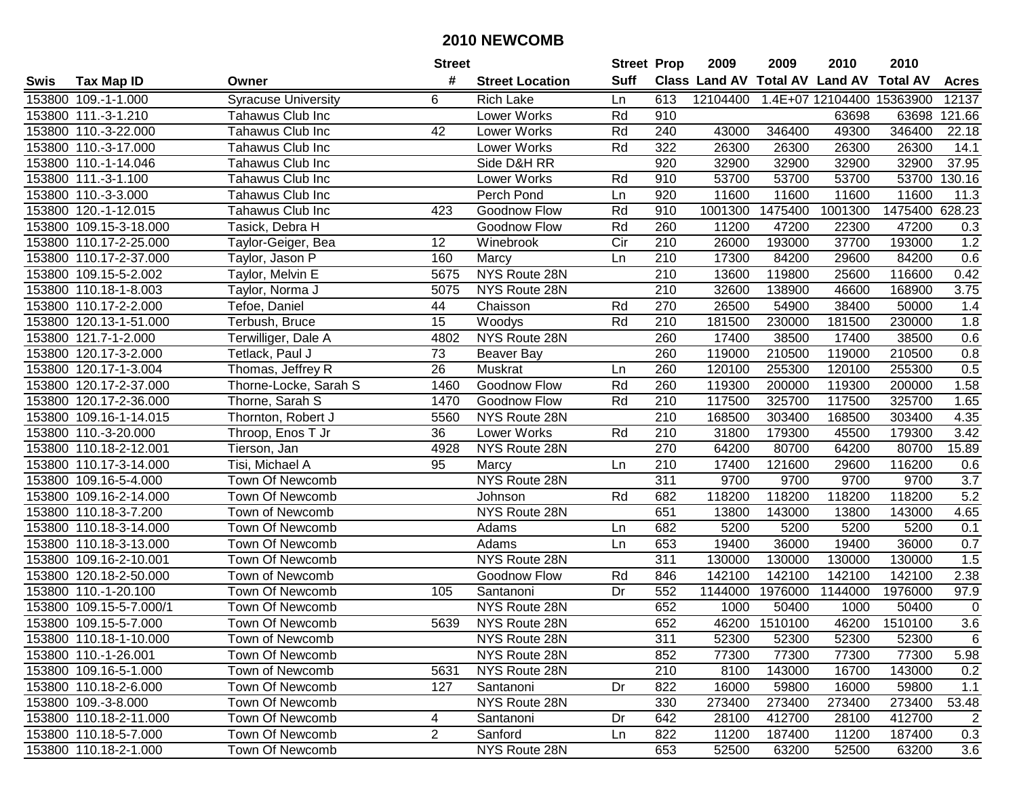|      |                         |                            | <b>Street</b>   |                        | <b>Street Prop</b> |                  | 2009     | 2009    | 2010                           | 2010            |              |
|------|-------------------------|----------------------------|-----------------|------------------------|--------------------|------------------|----------|---------|--------------------------------|-----------------|--------------|
| Swis | <b>Tax Map ID</b>       | Owner                      | #               | <b>Street Location</b> | <b>Suff</b>        |                  |          |         | Class Land AV Total AV Land AV | <b>Total AV</b> | <b>Acres</b> |
|      | 153800 109.-1-1.000     | <b>Syracuse University</b> | 6               | <b>Rich Lake</b>       | Ln                 | 613              | 12104400 |         | 1.4E+07 12104400 15363900      |                 | 12137        |
|      | 153800 111.-3-1.210     | Tahawus Club Inc           |                 | Lower Works            | Rd                 | 910              |          |         | 63698                          | 63698           | 121.66       |
|      | 153800 110.-3-22.000    | Tahawus Club Inc           | 42              | Lower Works            | Rd                 | 240              | 43000    | 346400  | 49300                          | 346400          | 22.18        |
|      | 153800 110.-3-17.000    | Tahawus Club Inc           |                 | Lower Works            | Rd                 | 322              | 26300    | 26300   | 26300                          | 26300           | 14.1         |
|      | 153800 110.-1-14.046    | Tahawus Club Inc           |                 | Side D&H RR            |                    | $\overline{920}$ | 32900    | 32900   | 32900                          | 32900           | 37.95        |
|      | 153800 111.-3-1.100     | Tahawus Club Inc           |                 | Lower Works            | Rd                 | 910              | 53700    | 53700   | 53700                          | 53700           | 130.16       |
|      | 153800 110.-3-3.000     | Tahawus Club Inc           |                 | Perch Pond             | Ln                 | 920              | 11600    | 11600   | 11600                          | 11600           | 11.3         |
|      | 153800 120.-1-12.015    | Tahawus Club Inc           | 423             | Goodnow Flow           | Rd                 | 910              | 1001300  | 1475400 | 1001300                        | 1475400         | 628.23       |
|      | 153800 109.15-3-18.000  | Tasick, Debra H            |                 | Goodnow Flow           | Rd                 | 260              | 11200    | 47200   | 22300                          | 47200           | 0.3          |
|      | 153800 110.17-2-25.000  | Taylor-Geiger, Bea         | 12              | Winebrook              | Cir                | 210              | 26000    | 193000  | 37700                          | 193000          | 1.2          |
|      | 153800 110.17-2-37.000  | Taylor, Jason P            | 160             | Marcy                  | Ln                 | 210              | 17300    | 84200   | 29600                          | 84200           | 0.6          |
|      | 153800 109.15-5-2.002   | Taylor, Melvin E           | 5675            | NYS Route 28N          |                    | 210              | 13600    | 119800  | 25600                          | 116600          | 0.42         |
|      | 153800 110.18-1-8.003   | Taylor, Norma J            | 5075            | NYS Route 28N          |                    | 210              | 32600    | 138900  | 46600                          | 168900          | 3.75         |
|      | 153800 110.17-2-2.000   | Tefoe, Daniel              | 44              | Chaisson               | Rd                 | 270              | 26500    | 54900   | 38400                          | 50000           | 1.4          |
|      | 153800 120.13-1-51.000  | Terbush, Bruce             | 15              | Woodys                 | Rd                 | 210              | 181500   | 230000  | 181500                         | 230000          | 1.8          |
|      | 153800 121.7-1-2.000    | Terwilliger, Dale A        | 4802            | NYS Route 28N          |                    | 260              | 17400    | 38500   | 17400                          | 38500           | 0.6          |
|      | 153800 120.17-3-2.000   | Tetlack, Paul J            | 73              | Beaver Bay             |                    | 260              | 119000   | 210500  | 119000                         | 210500          | 0.8          |
|      | 153800 120.17-1-3.004   | Thomas, Jeffrey R          | $\overline{26}$ | Muskrat                | Ln                 | 260              | 120100   | 255300  | 120100                         | 255300          | 0.5          |
|      | 153800 120.17-2-37.000  | Thorne-Locke, Sarah S      | 1460            | Goodnow Flow           | Rd                 | 260              | 119300   | 200000  | 119300                         | 200000          | 1.58         |
|      | 153800 120.17-2-36.000  | Thorne, Sarah S            | 1470            | Goodnow Flow           | Rd                 | 210              | 117500   | 325700  | 117500                         | 325700          | 1.65         |
|      | 153800 109.16-1-14.015  | Thornton, Robert J         | 5560            | NYS Route 28N          |                    | $\overline{210}$ | 168500   | 303400  | 168500                         | 303400          | 4.35         |
|      | 153800 110.-3-20.000    | Throop, Enos T Jr          | 36              | Lower Works            | Rd                 | 210              | 31800    | 179300  | 45500                          | 179300          | 3.42         |
|      | 153800 110.18-2-12.001  | Tierson, Jan               | 4928            | NYS Route 28N          |                    | 270              | 64200    | 80700   | 64200                          | 80700           | 15.89        |
|      | 153800 110.17-3-14.000  | Tisi, Michael A            | 95              | Marcy                  | Ln                 | 210              | 17400    | 121600  | 29600                          | 116200          | 0.6          |
|      | 153800 109.16-5-4.000   | Town Of Newcomb            |                 | NYS Route 28N          |                    | $\overline{311}$ | 9700     | 9700    | 9700                           | 9700            | 3.7          |
|      | 153800 109.16-2-14.000  | Town Of Newcomb            |                 | Johnson                | Rd                 | 682              | 118200   | 118200  | 118200                         | 118200          | 5.2          |
|      | 153800 110.18-3-7.200   | Town of Newcomb            |                 | NYS Route 28N          |                    | 651              | 13800    | 143000  | 13800                          | 143000          | 4.65         |
|      | 153800 110.18-3-14.000  | Town Of Newcomb            |                 | Adams                  | Ln                 | 682              | 5200     | 5200    | 5200                           | 5200            | 0.1          |
|      | 153800 110.18-3-13.000  | Town Of Newcomb            |                 | Adams                  | Ln                 | 653              | 19400    | 36000   | 19400                          | 36000           | 0.7          |
|      | 153800 109.16-2-10.001  | Town Of Newcomb            |                 | NYS Route 28N          |                    | 311              | 130000   | 130000  | 130000                         | 130000          | 1.5          |
|      | 153800 120.18-2-50.000  | Town of Newcomb            |                 | Goodnow Flow           | Rd                 | 846              | 142100   | 142100  | 142100                         | 142100          | 2.38         |
|      | 153800 110.-1-20.100    | Town Of Newcomb            | 105             | Santanoni              | Dr                 | 552              | 1144000  | 1976000 | 1144000                        | 1976000         | 97.9         |
|      | 153800 109.15-5-7.000/1 | Town Of Newcomb            |                 | NYS Route 28N          |                    | 652              | 1000     | 50400   | 1000                           | 50400           | $\mathbf 0$  |
|      | 153800 109.15-5-7.000   | Town Of Newcomb            | 5639            | NYS Route 28N          |                    | 652              | 46200    | 1510100 | 46200                          | 1510100         | 3.6          |
|      | 153800 110.18-1-10.000  | Town of Newcomb            |                 | NYS Route 28N          |                    | 311              | 52300    | 52300   | 52300                          | 52300           | 6            |
|      | 153800 110.-1-26.001    | Town Of Newcomb            |                 | NYS Route 28N          |                    | 852              | 77300    | 77300   | 77300                          | 77300           | 5.98         |
|      | 153800 109.16-5-1.000   | Town of Newcomb            | 5631            | NYS Route 28N          |                    | 210              | 8100     | 143000  | 16700                          | 143000          | 0.2          |
|      | 153800 110.18-2-6.000   | Town Of Newcomb            | 127             | Santanoni              | Dr                 | 822              | 16000    | 59800   | 16000                          | 59800           | 1.1          |
|      | 153800 109.-3-8.000     | Town Of Newcomb            |                 | NYS Route 28N          |                    | 330              | 273400   | 273400  | 273400                         | 273400          | 53.48        |
|      | 153800 110.18-2-11.000  | Town Of Newcomb            | 4               | Santanoni              | Dr                 | 642              | 28100    | 412700  | 28100                          | 412700          | 2            |
|      | 153800 110.18-5-7.000   | Town Of Newcomb            | $\overline{2}$  | Sanford                | Ln                 | 822              | 11200    | 187400  | 11200                          | 187400          | 0.3          |
|      | 153800 110.18-2-1.000   | Town Of Newcomb            |                 | NYS Route 28N          |                    | 653              | 52500    | 63200   | 52500                          | 63200           | 3.6          |
|      |                         |                            |                 |                        |                    |                  |          |         |                                |                 |              |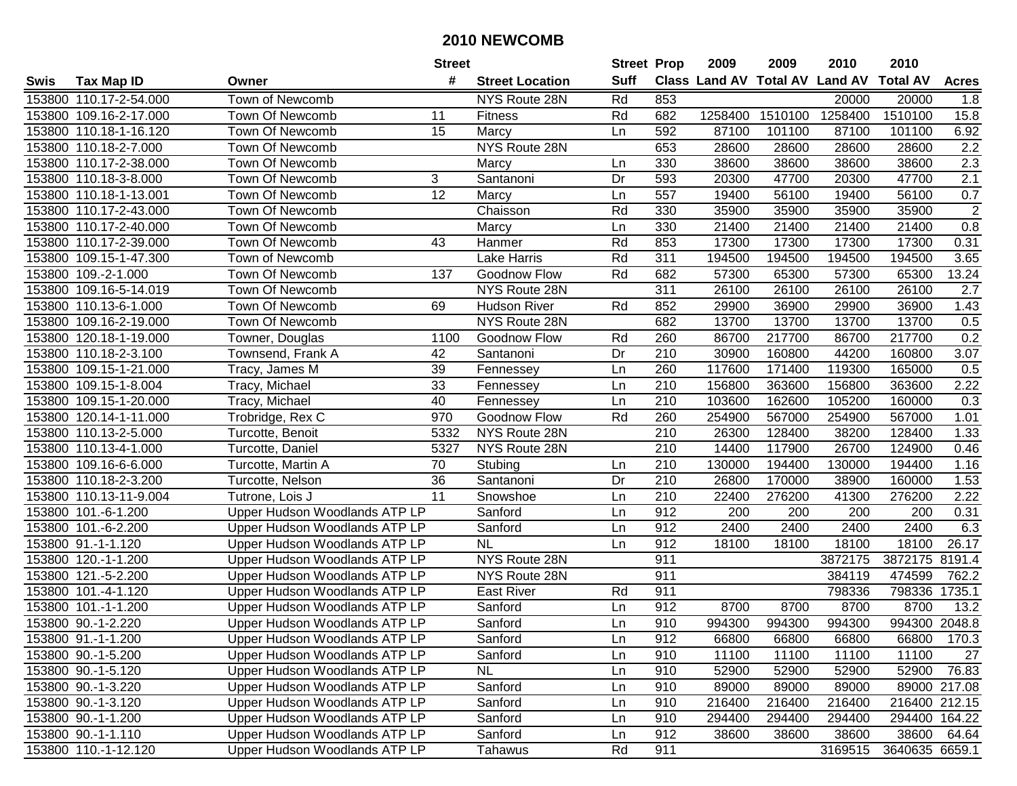|        |                        |                               | <b>Street</b> |                        | <b>Street Prop</b> |                  | 2009    | 2009    | 2010                           | 2010            |                  |
|--------|------------------------|-------------------------------|---------------|------------------------|--------------------|------------------|---------|---------|--------------------------------|-----------------|------------------|
| Swis   | <b>Tax Map ID</b>      | Owner                         | #             | <b>Street Location</b> | <b>Suff</b>        |                  |         |         | Class Land AV Total AV Land AV | <b>Total AV</b> | <b>Acres</b>     |
|        | 153800 110.17-2-54.000 | Town of Newcomb               |               | NYS Route 28N          | Rd                 | 853              |         |         | 20000                          | 20000           | 1.8              |
|        | 153800 109.16-2-17.000 | Town Of Newcomb               | 11            | <b>Fitness</b>         | Rd                 | 682              | 1258400 | 1510100 | 1258400                        | 1510100         | 15.8             |
|        | 153800 110.18-1-16.120 | Town Of Newcomb               | 15            | Marcy                  | Ln                 | 592              | 87100   | 101100  | 87100                          | 101100          | 6.92             |
|        | 153800 110.18-2-7.000  | Town Of Newcomb               |               | NYS Route 28N          |                    | 653              | 28600   | 28600   | 28600                          | 28600           | $\overline{2.2}$ |
|        | 153800 110.17-2-38.000 | Town Of Newcomb               |               | Marcy                  | Ln                 | 330              | 38600   | 38600   | 38600                          | 38600           | 2.3              |
| 153800 | 110.18-3-8.000         | Town Of Newcomb               | 3             | Santanoni              | Dr                 | 593              | 20300   | 47700   | 20300                          | 47700           | 2.1              |
| 153800 | 110.18-1-13.001        | Town Of Newcomb               | 12            | Marcy                  | Ln                 | 557              | 19400   | 56100   | 19400                          | 56100           | 0.7              |
| 153800 | 110.17-2-43.000        | Town Of Newcomb               |               | Chaisson               | Rd                 | 330              | 35900   | 35900   | 35900                          | 35900           | $\overline{2}$   |
|        | 153800 110.17-2-40.000 | Town Of Newcomb               |               | Marcy                  | Ln                 | 330              | 21400   | 21400   | 21400                          | 21400           | 0.8              |
|        | 153800 110.17-2-39.000 | Town Of Newcomb               | 43            | Hanmer                 | Rd                 | 853              | 17300   | 17300   | 17300                          | 17300           | 0.31             |
|        | 153800 109.15-1-47.300 | Town of Newcomb               |               | Lake Harris            | Rd                 | 311              | 194500  | 194500  | 194500                         | 194500          | 3.65             |
|        | 153800 109.-2-1.000    | Town Of Newcomb               | 137           | Goodnow Flow           | Rd                 | 682              | 57300   | 65300   | 57300                          | 65300           | 13.24            |
|        | 153800 109.16-5-14.019 | Town Of Newcomb               |               | NYS Route 28N          |                    | 311              | 26100   | 26100   | 26100                          | 26100           | 2.7              |
| 153800 | 110.13-6-1.000         | Town Of Newcomb               | 69            | <b>Hudson River</b>    | Rd                 | 852              | 29900   | 36900   | 29900                          | 36900           | 1.43             |
| 153800 | 109.16-2-19.000        | Town Of Newcomb               |               | NYS Route 28N          |                    | 682              | 13700   | 13700   | 13700                          | 13700           | 0.5              |
| 153800 | 120.18-1-19.000        | Towner, Douglas               | 1100          | Goodnow Flow           | Rd                 | 260              | 86700   | 217700  | 86700                          | 217700          | 0.2              |
| 153800 | 110.18-2-3.100         | Townsend, Frank A             | 42            | Santanoni              | Dr                 | 210              | 30900   | 160800  | 44200                          | 160800          | 3.07             |
| 153800 | 109.15-1-21.000        | Tracy, James M                | 39            | Fennessey              | Ln                 | 260              | 117600  | 171400  | 119300                         | 165000          | 0.5              |
|        | 153800 109.15-1-8.004  | Tracy, Michael                | 33            | Fennessey              | Ln                 | 210              | 156800  | 363600  | 156800                         | 363600          | 2.22             |
|        | 153800 109.15-1-20.000 | Tracy, Michael                | 40            | Fennessey              | Ln                 | 210              | 103600  | 162600  | 105200                         | 160000          | 0.3              |
|        | 153800 120.14-1-11.000 | Trobridge, Rex C              | 970           | Goodnow Flow           | Rd                 | 260              | 254900  | 567000  | 254900                         | 567000          | 1.01             |
| 153800 | 110.13-2-5.000         | Turcotte, Benoit              | 5332          | NYS Route 28N          |                    | 210              | 26300   | 128400  | 38200                          | 128400          | 1.33             |
| 153800 | 110.13-4-1.000         | Turcotte, Daniel              | 5327          | NYS Route 28N          |                    | 210              | 14400   | 117900  | 26700                          | 124900          | 0.46             |
| 153800 | 109.16-6-6.000         | Turcotte, Martin A            | 70            | Stubing                | Ln                 | 210              | 130000  | 194400  | 130000                         | 194400          | 1.16             |
| 153800 | 110.18-2-3.200         | Turcotte, Nelson              | 36            | Santanoni              | Dr                 | $\overline{210}$ | 26800   | 170000  | 38900                          | 160000          | 1.53             |
|        | 153800 110.13-11-9.004 | Tutrone, Lois J               | 11            | Snowshoe               | Ln                 | 210              | 22400   | 276200  | 41300                          | 276200          | 2.22             |
|        | 153800 101.-6-1.200    | Upper Hudson Woodlands ATP LP |               | Sanford                | Ln                 | 912              | 200     | 200     | 200                            | 200             | 0.31             |
|        | 153800 101.-6-2.200    | Upper Hudson Woodlands ATP LP |               | Sanford                | Ln                 | 912              | 2400    | 2400    | 2400                           | 2400            | 6.3              |
|        | 153800 91.-1-1.120     | Upper Hudson Woodlands ATP LP |               | <b>NL</b>              | Ln                 | 912              | 18100   | 18100   | 18100                          | 18100           | 26.17            |
|        | 153800 120.-1-1.200    | Upper Hudson Woodlands ATP LP |               | NYS Route 28N          |                    | 911              |         |         | 3872175                        | 3872175         | 8191.4           |
|        | 153800 121.-5-2.200    | Upper Hudson Woodlands ATP LP |               | NYS Route 28N          |                    | 911              |         |         | 384119                         | 474599          | 762.2            |
|        | 153800 101.-4-1.120    | Upper Hudson Woodlands ATP LP |               | <b>East River</b>      | Rd                 | 911              |         |         | 798336                         | 798336          | 1735.1           |
|        | 153800 101.-1-1.200    | Upper Hudson Woodlands ATP LP |               | Sanford                | Ln                 | 912              | 8700    | 8700    | 8700                           | 8700            | 13.2             |
|        | 153800 90.-1-2.220     | Upper Hudson Woodlands ATP LP |               | Sanford                | Ln                 | 910              | 994300  | 994300  | 994300                         | 994300 2048.8   |                  |
|        | 153800 91.-1-1.200     | Upper Hudson Woodlands ATP LP |               | Sanford                | Ln                 | 912              | 66800   | 66800   | 66800                          | 66800           | 170.3            |
|        | 153800 90.-1-5.200     | Upper Hudson Woodlands ATP LP |               | Sanford                | Ln                 | 910              | 11100   | 11100   | 11100                          | 11100           | 27               |
|        | 153800 90.-1-5.120     | Upper Hudson Woodlands ATP LP |               | <b>NL</b>              | Ln                 | 910              | 52900   | 52900   | 52900                          | 52900           | 76.83            |
|        | 153800 90.-1-3.220     | Upper Hudson Woodlands ATP LP |               | Sanford                | Ln                 | 910              | 89000   | 89000   | 89000                          |                 | 89000 217.08     |
|        | 153800 90.-1-3.120     | Upper Hudson Woodlands ATP LP |               | Sanford                | Ln                 | 910              | 216400  | 216400  | 216400                         |                 | 216400 212.15    |
|        | 153800 90.-1-1.200     | Upper Hudson Woodlands ATP LP |               | Sanford                | Ln                 | 910              | 294400  | 294400  | 294400                         |                 | 294400 164.22    |
|        | 153800 90.-1-1.110     | Upper Hudson Woodlands ATP LP |               | Sanford                | Ln                 | 912              | 38600   | 38600   | 38600                          | 38600           | 64.64            |
|        | 153800 110.-1-12.120   | Upper Hudson Woodlands ATP LP |               | Tahawus                | Rd                 | 911              |         |         | 3169515                        | 3640635 6659.1  |                  |
|        |                        |                               |               |                        |                    |                  |         |         |                                |                 |                  |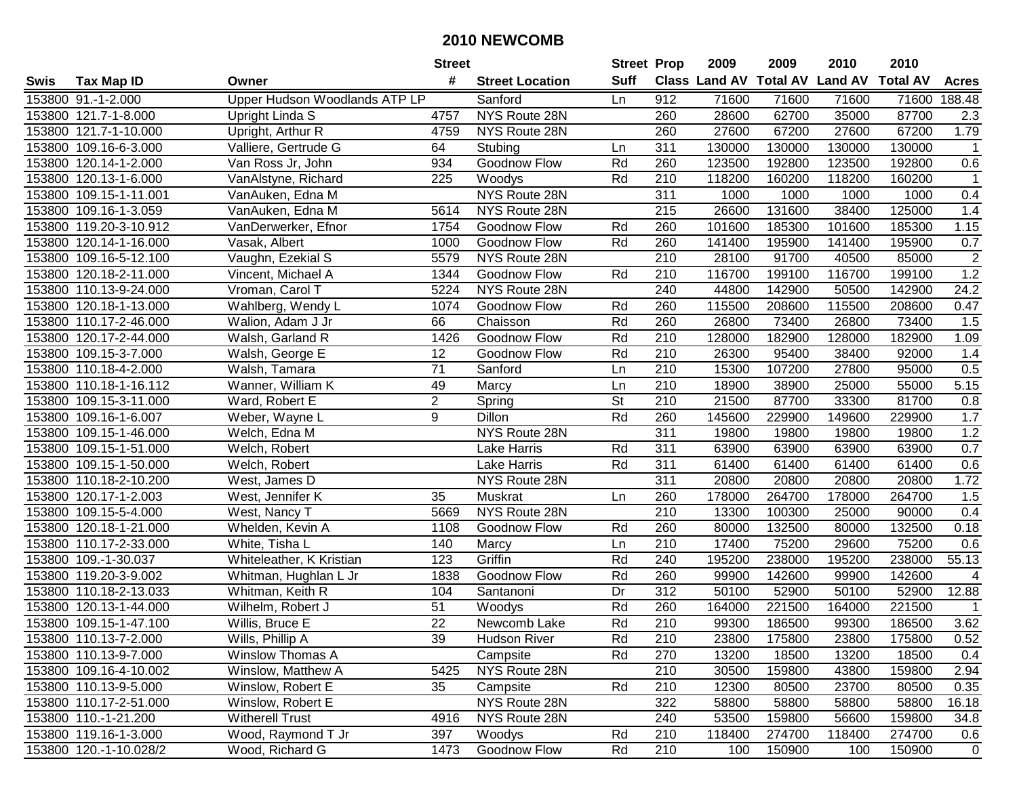|      |                        |                               | <b>Street</b>   |                        | <b>Street Prop</b> |                  | 2009   | 2009   | 2010                           | 2010            |                |
|------|------------------------|-------------------------------|-----------------|------------------------|--------------------|------------------|--------|--------|--------------------------------|-----------------|----------------|
| Swis | <b>Tax Map ID</b>      | Owner                         | #               | <b>Street Location</b> | <b>Suff</b>        |                  |        |        | Class Land AV Total AV Land AV | <b>Total AV</b> | <b>Acres</b>   |
|      | 153800 91.-1-2.000     | Upper Hudson Woodlands ATP LP |                 | Sanford                | Ln                 | 912              | 71600  | 71600  | 71600                          | 71600           | 188.48         |
|      | 153800 121.7-1-8.000   | Upright Linda S               | 4757            | NYS Route 28N          |                    | 260              | 28600  | 62700  | 35000                          | 87700           | 2.3            |
|      | 153800 121.7-1-10.000  | Upright, Arthur R             | 4759            | NYS Route 28N          |                    | 260              | 27600  | 67200  | 27600                          | 67200           | 1.79           |
|      | 153800 109.16-6-3.000  | Valliere, Gertrude G          | 64              | Stubing                | Ln                 | 311              | 130000 | 130000 | 130000                         | 130000          | $\mathbf{1}$   |
|      | 153800 120.14-1-2.000  | Van Ross Jr, John             | 934             | <b>Goodnow Flow</b>    | Rd                 | 260              | 123500 | 192800 | 123500                         | 192800          | 0.6            |
|      | 153800 120.13-1-6.000  | VanAlstyne, Richard           | 225             | Woodys                 | Rd                 | 210              | 118200 | 160200 | 118200                         | 160200          | $\mathbf{1}$   |
|      | 153800 109.15-1-11.001 | VanAuken, Edna M              |                 | NYS Route 28N          |                    | 311              | 1000   | 1000   | 1000                           | 1000            | 0.4            |
|      | 153800 109.16-1-3.059  | VanAuken, Edna M              | 5614            | NYS Route 28N          |                    | $\overline{215}$ | 26600  | 131600 | 38400                          | 125000          | 1.4            |
|      | 153800 119.20-3-10.912 | VanDerwerker, Efnor           | 1754            | Goodnow Flow           | Rd                 | 260              | 101600 | 185300 | 101600                         | 185300          | 1.15           |
|      | 153800 120.14-1-16.000 | Vasak, Albert                 | 1000            | Goodnow Flow           | Rd                 | 260              | 141400 | 195900 | 141400                         | 195900          | 0.7            |
|      | 153800 109.16-5-12.100 | Vaughn, Ezekial S             | 5579            | NYS Route 28N          |                    | 210              | 28100  | 91700  | 40500                          | 85000           | $\sqrt{2}$     |
|      | 153800 120.18-2-11.000 | Vincent, Michael A            | 1344            | Goodnow Flow           | Rd                 | 210              | 116700 | 199100 | 116700                         | 199100          | 1.2            |
|      | 153800 110.13-9-24.000 | Vroman, Carol T               | 5224            | NYS Route 28N          |                    | 240              | 44800  | 142900 | 50500                          | 142900          | 24.2           |
|      | 153800 120.18-1-13.000 | Wahlberg, Wendy L             | 1074            | Goodnow Flow           | Rd                 | 260              | 115500 | 208600 | 115500                         | 208600          | 0.47           |
|      | 153800 110.17-2-46.000 | Walion, Adam J Jr             | 66              | Chaisson               | Rd                 | 260              | 26800  | 73400  | 26800                          | 73400           | 1.5            |
|      | 153800 120.17-2-44.000 | Walsh, Garland R              | 1426            | Goodnow Flow           | Rd                 | 210              | 128000 | 182900 | 128000                         | 182900          | 1.09           |
|      | 153800 109.15-3-7.000  | Walsh, George E               | 12              | Goodnow Flow           | Rd                 | 210              | 26300  | 95400  | 38400                          | 92000           | 1.4            |
|      | 153800 110.18-4-2.000  | Walsh, Tamara                 | 71              | Sanford                | Ln                 | 210              | 15300  | 107200 | 27800                          | 95000           | 0.5            |
|      | 153800 110.18-1-16.112 | Wanner, William K             | 49              | Marcy                  | Ln                 | 210              | 18900  | 38900  | 25000                          | 55000           | 5.15           |
|      | 153800 109.15-3-11.000 | Ward, Robert E                | $\overline{c}$  | Spring                 | <b>St</b>          | 210              | 21500  | 87700  | 33300                          | 81700           | 0.8            |
|      | 153800 109.16-1-6.007  | Weber, Wayne L                | 9               | Dillon                 | Rd                 | 260              | 145600 | 229900 | 149600                         | 229900          | 1.7            |
|      | 153800 109.15-1-46.000 | Welch, Edna M                 |                 | NYS Route 28N          |                    | 311              | 19800  | 19800  | 19800                          | 19800           | $1.2$          |
|      | 153800 109.15-1-51.000 | Welch, Robert                 |                 | Lake Harris            | Rd                 | 311              | 63900  | 63900  | 63900                          | 63900           | 0.7            |
|      | 153800 109.15-1-50.000 | Welch, Robert                 |                 | Lake Harris            | Rd                 | 311              | 61400  | 61400  | 61400                          | 61400           | 0.6            |
|      | 153800 110.18-2-10.200 | West, James D                 |                 | NYS Route 28N          |                    | $\overline{311}$ | 20800  | 20800  | 20800                          | 20800           | 1.72           |
|      | 153800 120.17-1-2.003  | West, Jennifer K              | 35              | Muskrat                | Ln                 | 260              | 178000 | 264700 | 178000                         | 264700          | 1.5            |
|      | 153800 109.15-5-4.000  | West, Nancy T                 | 5669            | NYS Route 28N          |                    | 210              | 13300  | 100300 | 25000                          | 90000           | 0.4            |
|      | 153800 120.18-1-21.000 | Whelden, Kevin A              | 1108            | Goodnow Flow           | Rd                 | 260              | 80000  | 132500 | 80000                          | 132500          | 0.18           |
|      | 153800 110.17-2-33.000 | White, Tisha L                | 140             | Marcy                  | Ln                 | 210              | 17400  | 75200  | 29600                          | 75200           | 0.6            |
|      | 153800 109.-1-30.037   | Whiteleather, K Kristian      | 123             | Griffin                | Rd                 | 240              | 195200 | 238000 | 195200                         | 238000          | 55.13          |
|      | 153800 119.20-3-9.002  | Whitman, Hughlan L Jr         | 1838            | Goodnow Flow           | Rd                 | 260              | 99900  | 142600 | 99900                          | 142600          | $\overline{4}$ |
|      | 153800 110.18-2-13.033 | Whitman, Keith R              | 104             | Santanoni              | $\overline{Dr}$    | 312              | 50100  | 52900  | 50100                          | 52900           | 12.88          |
|      | 153800 120.13-1-44.000 | Wilhelm, Robert J             | $\overline{51}$ | Woodys                 | Rd                 | 260              | 164000 | 221500 | 164000                         | 221500          | $\mathbf{1}$   |
|      | 153800 109.15-1-47.100 | Willis, Bruce E               | $\overline{22}$ | Newcomb Lake           | Rd                 | $\overline{210}$ | 99300  | 186500 | 99300                          | 186500          | 3.62           |
|      | 153800 110.13-7-2.000  | Wills, Phillip A              | 39              | <b>Hudson River</b>    | Rd                 | 210              | 23800  | 175800 | 23800                          | 175800          | 0.52           |
|      | 153800 110.13-9-7.000  | Winslow Thomas A              |                 | Campsite               | Rd                 | 270              | 13200  | 18500  | 13200                          | 18500           | 0.4            |
|      | 153800 109.16-4-10.002 | Winslow, Matthew A            | 5425            | NYS Route 28N          |                    | 210              | 30500  | 159800 | 43800                          | 159800          | 2.94           |
|      | 153800 110.13-9-5.000  | Winslow, Robert E             | 35              | Campsite               | Rd                 | 210              | 12300  | 80500  | 23700                          | 80500           | 0.35           |
|      | 153800 110.17-2-51.000 | Winslow, Robert E             |                 | NYS Route 28N          |                    | 322              | 58800  | 58800  | 58800                          | 58800           | 16.18          |
|      | 153800 110.-1-21.200   | <b>Witherell Trust</b>        | 4916            | NYS Route 28N          |                    | 240              | 53500  | 159800 | 56600                          | 159800          | 34.8           |
|      | 153800 119.16-1-3.000  | Wood, Raymond T Jr            | 397             | Woodys                 | Rd                 | 210              | 118400 | 274700 | 118400                         | 274700          | 0.6            |
|      | 153800 120.-1-10.028/2 | Wood, Richard G               | 1473            | Goodnow Flow           | Rd                 | 210              | 100    | 150900 | 100                            | 150900          | $\mathbf 0$    |
|      |                        |                               |                 |                        |                    |                  |        |        |                                |                 |                |